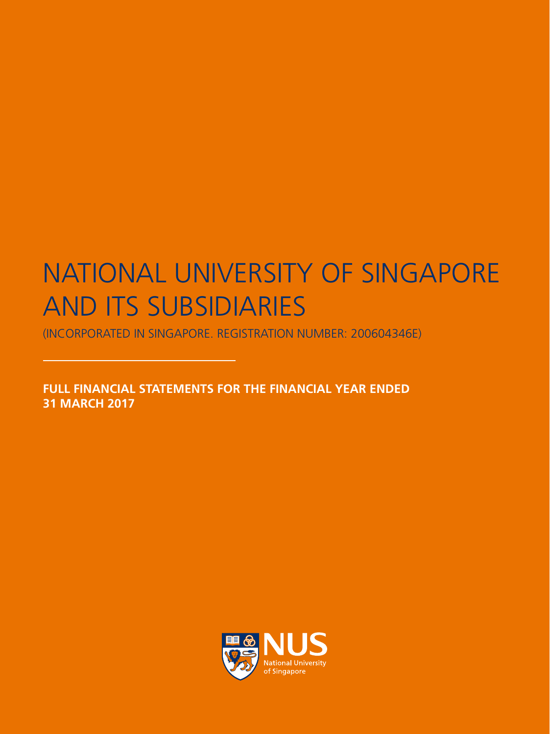# NATIONAL UNIVERSITY OF SINGAPORE AND ITS SUBSIDIARIES

(INCORPORATED IN SINGAPORE. REGISTRATION NUMBER: 200604346E)

**FULL FINANCIAL STATEMENTS FOR THE FINANCIAL YEAR ENDED 31 MARCH 2017**

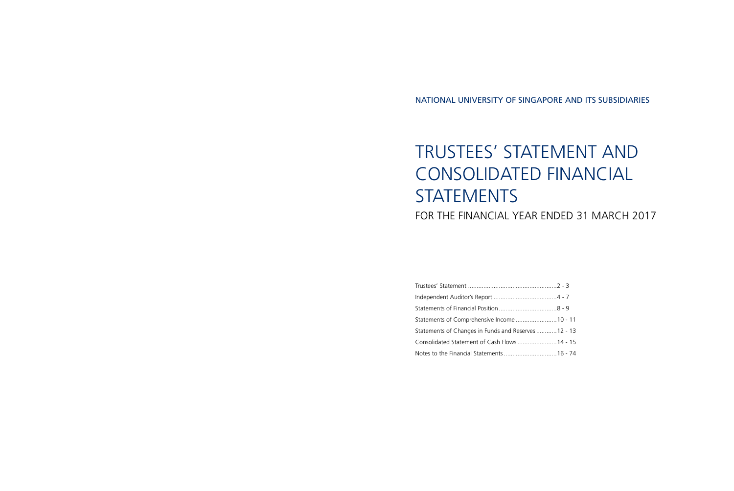NATIONAL UNIVERSITY OF SINGAPORE AND ITS SUBSIDIARIES

## TRUSTEES' STATEMENT AND CONSOLIDATED FINANCIAL **STATEMENTS** FOR THE FINANCIAL YEAR ENDED 31 MARCH 2017

| Statements of Comprehensive Income 10 - 11         |  |
|----------------------------------------------------|--|
| Statements of Changes in Funds and Reserves12 - 13 |  |
| Consolidated Statement of Cash Flows  14 - 15      |  |
| Notes to the Financial Statements  16 - 74         |  |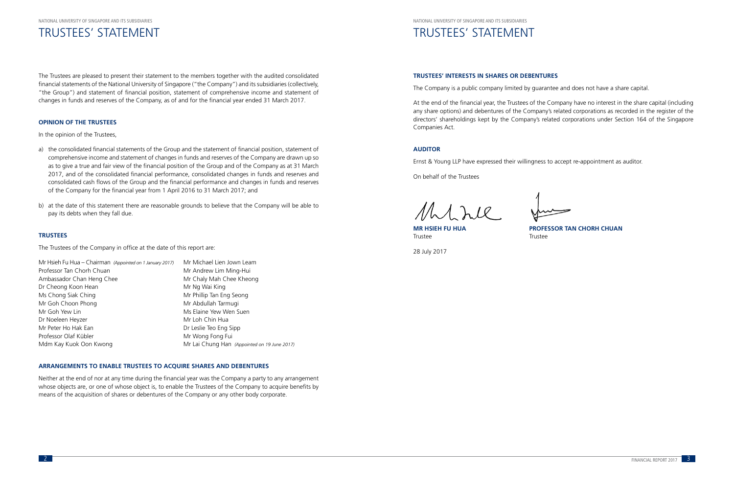### TRUSTEES' STATEMENT

The Trustees are pleased to present their statement to the members together with the audited consolidated financial statements of the National University of Singapore ("the Company") and its subsidiaries (collectively, "the Group") and statement of financial position, statement of comprehensive income and statement of changes in funds and reserves of the Company, as of and for the financial year ended 31 March 2017.

#### **OPINION OF THE TRUSTEES**

In the opinion of the Trustees,

- a) the consolidated financial statements of the Group and the statement of financial position, statement of comprehensive income and statement of changes in funds and reserves of the Company are drawn up so as to give a true and fair view of the financial position of the Group and of the Company as at 31 March 2017, and of the consolidated financial performance, consolidated changes in funds and reserves and consolidated cash flows of the Group and the financial performance and changes in funds and reserves of the Company for the financial year from 1 April 2016 to 31 March 2017; and
- b) at the date of this statement there are reasonable grounds to believe that the Company will be able to pay its debts when they fall due.

#### **TRUSTEES**

The Trustees of the Company in office at the date of this report are:

| Mr Hsieh Fu Hua - Chairman (Appointed on 1 January 2017) | Mr Michael Lien Jown Leam                    |
|----------------------------------------------------------|----------------------------------------------|
| Professor Tan Chorh Chuan                                | Mr Andrew Lim Ming-Hui                       |
| Ambassador Chan Heng Chee                                | Mr Chaly Mah Chee Kheong                     |
| Dr Cheong Koon Hean                                      | Mr Ng Wai King                               |
| Ms Chong Siak Ching                                      | Mr Phillip Tan Eng Seong                     |
| Mr Goh Choon Phong                                       | Mr Abdullah Tarmugi                          |
| Mr Goh Yew Lin                                           | Ms Elaine Yew Wen Suen                       |
| Dr Noeleen Heyzer                                        | Mr Loh Chin Hua                              |
| Mr Peter Ho Hak Ean                                      | Dr Leslie Teo Eng Sipp                       |
| Professor Olaf Kübler                                    | Mr Wong Fong Fui                             |
| Mdm Kay Kuok Oon Kwong                                   | Mr Lai Chung Han (Appointed on 19 June 2017) |

#### **ARRANGEMENTS TO ENABLE TRUSTEES TO ACQUIRE SHARES AND DEBENTURES**

Neither at the end of nor at any time during the financial year was the Company a party to any arrangement whose objects are, or one of whose object is, to enable the Trustees of the Company to acquire benefits by means of the acquisition of shares or debentures of the Company or any other body corporate.

## TRUSTEES' STATEMENT

#### **TRUSTEES' INTERESTS IN SHARES OR DEBENTURES**

The Company is a public company limited by guarantee and does not have a share capital.

At the end of the financial year, the Trustees of the Company have no interest in the share capital (including any share options) and debentures of the Company's related corporations as recorded in the register of the directors' shareholdings kept by the Company's related corporations under Section 164 of the Singapore Companies Act.

#### **AUDITOR**

Ernst & Young LLP have expressed their willingness to accept re-appointment as auditor.

On behalf of the Trustees

Myrie

Trustee Trustee

28 July 2017

**MR HSIEH FU HUA PROFESSOR TAN CHORH CHUAN**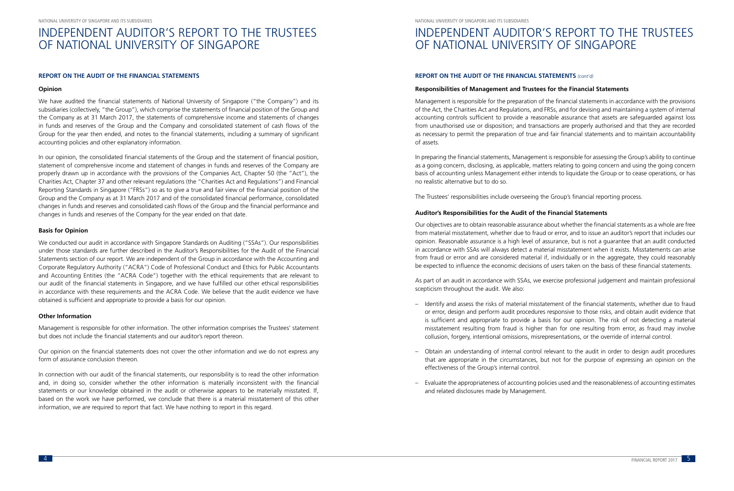### INDEPENDENT AUDITOR'S REPORT TO THE TRUSTEES OF NATIONAL UNIVERSITY OF SINGAPORE

#### **REPORT ON THE AUDIT OF THE FINANCIAL STATEMENTS**

#### **Opinion**

We have audited the financial statements of National University of Singapore ("the Company") and its subsidiaries (collectively, "the Group"), which comprise the statements of financial position of the Group and the Company as at 31 March 2017, the statements of comprehensive income and statements of changes in funds and reserves of the Group and the Company and consolidated statement of cash flows of the Group for the year then ended, and notes to the financial statements, including a summary of significant accounting policies and other explanatory information.

In our opinion, the consolidated financial statements of the Group and the statement of financial position, statement of comprehensive income and statement of changes in funds and reserves of the Company are properly drawn up in accordance with the provisions of the Companies Act, Chapter 50 (the "Act"), the Charities Act, Chapter 37 and other relevant regulations (the "Charities Act and Regulations") and Financial Reporting Standards in Singapore ("FRSs") so as to give a true and fair view of the financial position of the Group and the Company as at 31 March 2017 and of the consolidated financial performance, consolidated changes in funds and reserves and consolidated cash flows of the Group and the financial performance and changes in funds and reserves of the Company for the year ended on that date.

#### **Basis for Opinion**

We conducted our audit in accordance with Singapore Standards on Auditing ("SSAs"). Our responsibilities under those standards are further described in the Auditor's Responsibilities for the Audit of the Financial Statements section of our report. We are independent of the Group in accordance with the Accounting and Corporate Regulatory Authority ("ACRA") Code of Professional Conduct and Ethics for Public Accountants and Accounting Entities (the "ACRA Code") together with the ethical requirements that are relevant to our audit of the financial statements in Singapore, and we have fulfilled our other ethical responsibilities in accordance with these requirements and the ACRA Code. We believe that the audit evidence we have obtained is sufficient and appropriate to provide a basis for our opinion.

#### **Other Information**

Management is responsible for other information. The other information comprises the Trustees' statement but does not include the financial statements and our auditor's report thereon.

Our opinion on the financial statements does not cover the other information and we do not express any form of assurance conclusion thereon.

In connection with our audit of the financial statements, our responsibility is to read the other information and, in doing so, consider whether the other information is materially inconsistent with the financial statements or our knowledge obtained in the audit or otherwise appears to be materially misstated. If, based on the work we have performed, we conclude that there is a material misstatement of this other information, we are required to report that fact. We have nothing to report in this regard.

### INDEPENDENT AUDITOR'S REPORT TO THE TRUSTEES OF NATIONAL UNIVERSITY OF SINGAPORE

#### **REPORT ON THE AUDIT OF THE FINANCIAL STATEMENTS** *(cont'd)*

#### **Responsibilities of Management and Trustees for the Financial Statements**

Management is responsible for the preparation of the financial statements in accordance with the provisions of the Act, the Charities Act and Regulations, and FRSs, and for devising and maintaining a system of internal accounting controls sufficient to provide a reasonable assurance that assets are safeguarded against loss from unauthorised use or disposition; and transactions are properly authorised and that they are recorded as necessary to permit the preparation of true and fair financial statements and to maintain accountability of assets.

In preparing the financial statements, Management is responsible for assessing the Group's ability to continue as a going concern, disclosing, as applicable, matters relating to going concern and using the going concern basis of accounting unless Management either intends to liquidate the Group or to cease operations, or has no realistic alternative but to do so.

The Trustees' responsibilities include overseeing the Group's financial reporting process.

#### **Auditor's Responsibilities for the Audit of the Financial Statements**

Our objectives are to obtain reasonable assurance about whether the financial statements as a whole are free from material misstatement, whether due to fraud or error, and to issue an auditor's report that includes our opinion. Reasonable assurance is a high level of assurance, but is not a guarantee that an audit conducted in accordance with SSAs will always detect a material misstatement when it exists. Misstatements can arise from fraud or error and are considered material if, individually or in the aggregate, they could reasonably be expected to influence the economic decisions of users taken on the basis of these financial statements.

As part of an audit in accordance with SSAs, we exercise professional judgement and maintain professional scepticism throughout the audit. We also:

- Identify and assess the risks of material misstatement of the financial statements, whether due to fraud or error, design and perform audit procedures responsive to those risks, and obtain audit evidence that is sufficient and appropriate to provide a basis for our opinion. The risk of not detecting a material misstatement resulting from fraud is higher than for one resulting from error, as fraud may involve collusion, forgery, intentional omissions, misrepresentations, or the override of internal control.
- Obtain an understanding of internal control relevant to the audit in order to design audit procedures that are appropriate in the circumstances, but not for the purpose of expressing an opinion on the effectiveness of the Group's internal control.
- Evaluate the appropriateness of accounting policies used and the reasonableness of accounting estimates and related disclosures made by Management.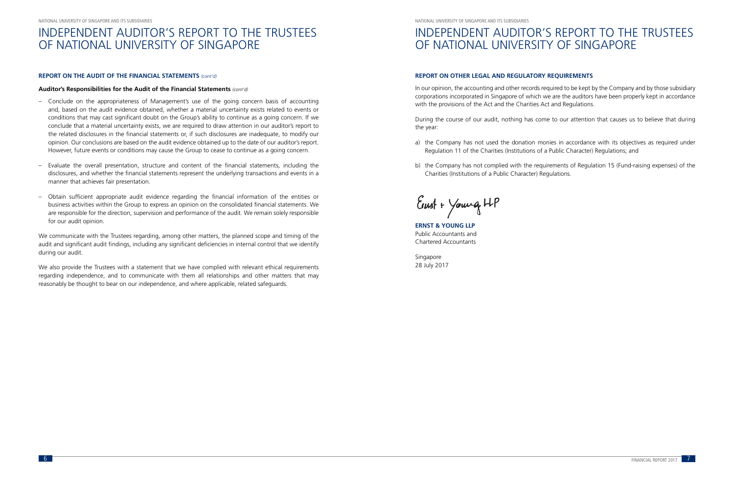### INDEPENDENT AUDITOR'S REPORT TO THE TRUSTEES OF NATIONAL UNIVERSITY OF SINGAPORE

#### **REPORT ON THE AUDIT OF THE FINANCIAL STATEMENTS** *(cont'd)*

#### **Auditor's Responsibilities for the Audit of the Financial Statements** *(cont'd)*

- Conclude on the appropriateness of Management's use of the going concern basis of accounting and, based on the audit evidence obtained, whether a material uncertainty exists related to events or conditions that may cast significant doubt on the Group's ability to continue as a going concern. If we conclude that a material uncertainty exists, we are required to draw attention in our auditor's report to the related disclosures in the financial statements or, if such disclosures are inadequate, to modify our opinion. Our conclusions are based on the audit evidence obtained up to the date of our auditor's report. However, future events or conditions may cause the Group to cease to continue as a going concern.
- Evaluate the overall presentation, structure and content of the financial statements, including the disclosures, and whether the financial statements represent the underlying transactions and events in a manner that achieves fair presentation.
- Obtain sufficient appropriate audit evidence regarding the financial information of the entities or business activities within the Group to express an opinion on the consolidated financial statements. We are responsible for the direction, supervision and performance of the audit. We remain solely responsible for our audit opinion.

We communicate with the Trustees regarding, among other matters, the planned scope and timing of the audit and significant audit findings, including any significant deficiencies in internal control that we identify during our audit.

We also provide the Trustees with a statement that we have complied with relevant ethical requirements regarding independence, and to communicate with them all relationships and other matters that may reasonably be thought to bear on our independence, and where applicable, related safeguards.

### INDEPENDENT AUDITOR'S REPORT TO THE TRUSTEES OF NATIONAL UNIVERSITY OF SINGAPORE

#### **REPORT ON OTHER LEGAL AND REGULATORY REQUIREMENTS**

In our opinion, the accounting and other records required to be kept by the Company and by those subsidiary corporations incorporated in Singapore of which we are the auditors have been properly kept in accordance with the provisions of the Act and the Charities Act and Regulations.

During the course of our audit, nothing has come to our attention that causes us to believe that during the year:

- a) the Company has not used the donation monies in accordance with its objectives as required under Regulation 11 of the Charities (Institutions of a Public Character) Regulations; and
- b) the Company has not complied with the requirements of Regulation 15 (Fund-raising expenses) of the Charities (Institutions of a Public Character) Regulations.

East + Young HP

**ERNST & YOUNG LLP** Public Accountants and Chartered Accountants

Singapore 28 July 2017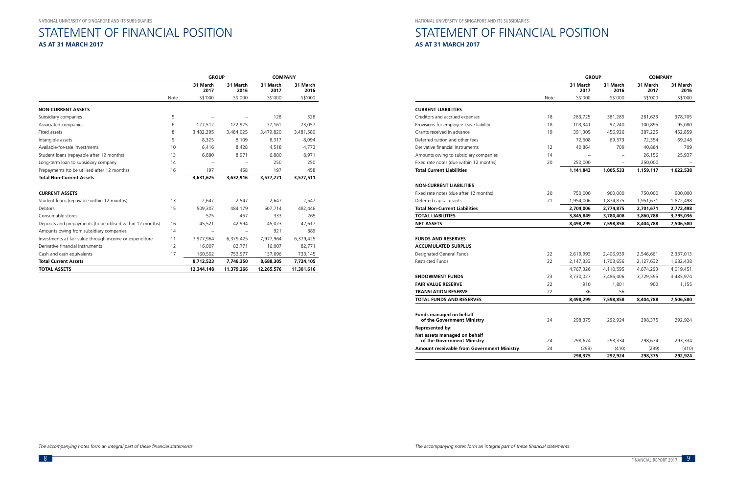### STATEMENT OF FINANCIAL POSITION **AS AT 31 MARCH 2017**

|                                                            |      | <b>GROUP</b>     |                  |                  | <b>COMPANY</b>   |  |
|------------------------------------------------------------|------|------------------|------------------|------------------|------------------|--|
|                                                            |      | 31 March<br>2017 | 31 March<br>2016 | 31 March<br>2017 | 31 March<br>2016 |  |
|                                                            | Note | S\$'000          | S\$'000          | S\$'000          | S\$'000          |  |
| <b>NON-CURRENT ASSETS</b>                                  |      |                  |                  |                  |                  |  |
| Subsidiary companies                                       | 5    |                  |                  | 128              | 328              |  |
| Associated companies                                       | 6    | 127,512          | 122.925          | 77,161           | 73,057           |  |
| Fixed assets                                               | 8    | 3,482,295        | 3,484,025        | 3,479,820        | 3,481,580        |  |
| Intangible assets                                          | 9    | 8,325            | 8,109            | 8,317            | 8,094            |  |
| Available-for-sale investments                             | 10   | 6,416            | 8,428            | 4,518            | 4,773            |  |
| Student loans (repayable after 12 months)                  | 13   | 6,880            | 8,971            | 6,880            | 8,971            |  |
| Long-term loan to subsidiary company                       | 14   |                  |                  | 250              | 250              |  |
| Prepayments (to be utilised after 12 months)               | 16   | 197              | 458              | 197              | 458              |  |
| <b>Total Non-Current Assets</b>                            |      | 3,631,625        | 3,632,916        | 3,577,271        | 3,577,511        |  |
| <b>CURRENT ASSETS</b>                                      |      |                  |                  |                  |                  |  |
| Student loans (repayable within 12 months)                 | 13   | 2,647            | 2,547            | 2,647            | 2,547            |  |
| Debtors                                                    | 15   | 509,307          | 484,179          | 507,714          | 482,446          |  |
| Consumable stores                                          |      | 575              | 457              | 333              | 265              |  |
| Deposits and prepayments (to be utilised within 12 months) | 16   | 45,521           | 42,994           | 45,023           | 42,617           |  |
| Amounts owing from subsidiary companies                    | 14   |                  |                  | 921              | 889              |  |
| Investments at fair value through income or expenditure    | 11   | 7,977,964        | 6,379,425        | 7,977,964        | 6,379,425        |  |
| Derivative financial instruments                           | 12   | 16,007           | 82,771           | 16,007           | 82,771           |  |
| Cash and cash equivalents                                  | 17   | 160,502          | 753,977          | 137,696          | 733,145          |  |
| <b>Total Current Assets</b>                                |      | 8,712,523        | 7,746,350        | 8,688,305        | 7,724,105        |  |
| <b>TOTAL ASSETS</b>                                        |      | 12,344,148       | 11,379,266       | 12,265,576       | 11,301,616       |  |

### STATEMENT OF FINANCIAL POSITION **AS AT 31 MARCH 2017**

|                                                              |      | <b>GROUP</b>     |                  | <b>COMPANY</b>   |                  |
|--------------------------------------------------------------|------|------------------|------------------|------------------|------------------|
|                                                              |      | 31 March<br>2017 | 31 March<br>2016 | 31 March<br>2017 | 31 March<br>2016 |
|                                                              | Note | S\$'000          | S\$'000          | S\$'000          | S\$'000          |
| <b>CURRENT LIABILITIES</b>                                   |      |                  |                  |                  |                  |
| Creditors and accrued expenses                               | 18   | 283,725          | 381,285          | 281,623          | 378,705          |
| Provisions for employee leave liability                      | 18   | 103,341          | 97,240           | 100,895          | 95,080           |
| Grants received in advance                                   | 19   | 391,305          | 456,926          | 387,225          | 452,859          |
| Deferred tuition and other fees                              |      | 72,608           | 69,373           | 72,354           | 69,248           |
| Derivative financial instruments                             | 12   | 40,864           | 709              | 40,864           | 709              |
| Amounts owing to subsidiary companies                        | 14   |                  |                  | 26,156           | 25,937           |
| Fixed rate notes (due within 12 months)                      | 20   | 250,000          |                  | 250,000          |                  |
| <b>Total Current Liabilities</b>                             |      | 1,141,843        | 1,005,533        | 1,159,117        | 1,022,538        |
| <b>NON-CURRENT LIABILITIES</b>                               |      |                  |                  |                  |                  |
| Fixed rate notes (due after 12 months)                       | 20   | 750,000          | 900,000          | 750,000          | 900,000          |
| Deferred capital grants                                      | 21   | 1,954,006        | 1,874,875        | 1,951,671        | 1,872,498        |
| <b>Total Non-Current Liabilities</b>                         |      | 2,704,006        | 2,774,875        | 2,701,671        | 2,772,498        |
| <b>TOTAL LIABILITIES</b>                                     |      | 3,845,849        | 3,780,408        | 3,860,788        | 3,795,036        |
| <b>NET ASSETS</b>                                            |      | 8,498,299        | 7,598,858        | 8,404,788        | 7,506,580        |
|                                                              |      |                  |                  |                  |                  |
| <b>FUNDS AND RESERVES</b>                                    |      |                  |                  |                  |                  |
| <b>ACCUMULATED SURPLUS</b>                                   |      |                  |                  |                  |                  |
| Designated General Funds                                     | 22   | 2,619,993        | 2,406,939        | 2,546,661        | 2,337,013        |
| <b>Restricted Funds</b>                                      | 22   | 2,147,333        | 1,703,656        | 2,127,632        | 1,682,438        |
|                                                              |      | 4,767,326        | 4,110,595        | 4,674,293        | 4,019,451        |
| <b>ENDOWMENT FUNDS</b>                                       | 23   | 3,730,027        | 3,486,406        | 3,729,595        | 3,485,974        |
| <b>FAIR VALUE RESERVE</b>                                    | 22   | 910              | 1,801            | 900              | 1,155            |
| <b>TRANSLATION RESERVE</b>                                   | 22   | 36               | 56               |                  |                  |
| <b>TOTAL FUNDS AND RESERVES</b>                              |      | 8,498,299        | 7,598,858        | 8,404,788        | 7,506,580        |
|                                                              |      |                  |                  |                  |                  |
| <b>Funds managed on behalf</b><br>of the Government Ministry | 24   | 298,375          | 292,924          | 298,375          | 292,924          |
| Represented by:                                              |      |                  |                  |                  |                  |
| Net assets managed on behalf                                 |      |                  |                  |                  |                  |
| of the Government Ministry                                   | 24   | 298,674          | 293,334          | 298,674          | 293,334          |
| Amount receivable from Government Ministry                   | 24   | (299)            | (410)            | (299)            | (410)            |
|                                                              |      | 298,375          | 292,924          | 298,375          | 292,924          |

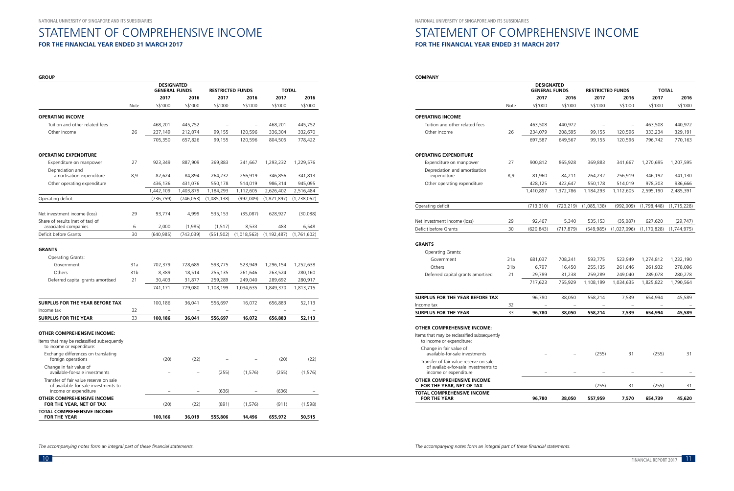### STATEMENT OF COMPREHENSIVE INCOME **FOR THE FINANCIAL YEAR ENDED 31 MARCH 2017**

| <b>GROUP</b>                                                                                            |                 |                                           |            |             |                         |               |             |
|---------------------------------------------------------------------------------------------------------|-----------------|-------------------------------------------|------------|-------------|-------------------------|---------------|-------------|
|                                                                                                         |                 | <b>DESIGNATED</b><br><b>GENERAL FUNDS</b> |            |             | <b>RESTRICTED FUNDS</b> | <b>TOTAL</b>  |             |
|                                                                                                         |                 | 2017                                      | 2016       | 2017        | 2016                    | 2017          | 2016        |
|                                                                                                         | Note            | S\$'000                                   | S\$'000    | S\$'000     | S\$'000                 | S\$'000       | S\$'000     |
| <b>OPERATING INCOME</b>                                                                                 |                 |                                           |            |             |                         |               |             |
| Tuition and other related fees                                                                          |                 | 468,201                                   | 445,752    |             |                         | 468,201       | 445,752     |
| Other income                                                                                            | 26              | 237,149                                   | 212,074    | 99,155      | 120,596                 | 336,304       | 332,670     |
|                                                                                                         |                 | 705,350                                   | 657,826    | 99,155      | 120,596                 | 804,505       | 778,422     |
| <b>OPERATING EXPENDITURE</b>                                                                            |                 |                                           |            |             |                         |               |             |
| Expenditure on manpower                                                                                 | 27              | 923,349                                   | 887,909    | 369,883     | 341,667                 | 1,293,232     | 1,229,576   |
| Depreciation and                                                                                        |                 |                                           |            |             |                         |               |             |
| amortisation expenditure                                                                                | 8,9             | 82,624                                    | 84,894     | 264,232     | 256,919                 | 346,856       | 341,813     |
| Other operating expenditure                                                                             |                 | 436,136                                   | 431,076    | 550,178     | 514,019                 | 986,314       | 945,095     |
|                                                                                                         |                 | 1,442,109                                 | 1,403,879  | 1,184,293   | 1,112,605               | 2,626,402     | 2,516,484   |
| Operating deficit                                                                                       |                 | (736,759)                                 | (746, 053) | (1,085,138) | (992,009)               | (1,821,897)   | (1,738,062) |
| Net investment income (loss)                                                                            | 29              | 93,774                                    | 4,999      | 535,153     | (35,087)                | 628,927       | (30,088)    |
| Share of results (net of tax) of<br>associated companies                                                | 6               | 2,000                                     | (1,985)    | (1, 517)    | 8,533                   | 483           | 6,548       |
| Deficit before Grants                                                                                   | 30              | (640, 985)                                | (743, 039) | (551, 502)  | (1,018,563)             | (1, 192, 487) | (1,761,602) |
|                                                                                                         |                 |                                           |            |             |                         |               |             |
| <b>GRANTS</b>                                                                                           |                 |                                           |            |             |                         |               |             |
| Operating Grants:                                                                                       |                 |                                           |            |             |                         |               |             |
| Government                                                                                              | 31a             | 702,379                                   | 728,689    | 593,775     | 523,949                 | 1,296,154     | 1,252,638   |
| Others                                                                                                  | 31 <sub>b</sub> | 8,389                                     | 18,514     | 255,135     | 261,646                 | 263,524       | 280,160     |
| Deferred capital grants amortised                                                                       | 21              | 30,403                                    | 31,877     | 259,289     | 249,040                 | 289,692       | 280,917     |
|                                                                                                         |                 | 741,171                                   | 779,080    | 1,108,199   | 1,034,635               | 1,849,370     | 1,813,715   |
| SURPLUS FOR THE YEAR BEFORE TAX                                                                         |                 | 100,186                                   | 36,041     | 556,697     | 16,072                  | 656,883       | 52,113      |
| Income tax                                                                                              | 32              |                                           |            |             |                         |               |             |
| <b>SURPLUS FOR THE YEAR</b>                                                                             | 33              | 100.186                                   | 36,041     | 556,697     | 16,072                  | 656,883       | 52,113      |
| <b>OTHER COMPREHENSIVE INCOME:</b>                                                                      |                 |                                           |            |             |                         |               |             |
| Items that may be reclassified subsequently<br>to income or expenditure:                                |                 |                                           |            |             |                         |               |             |
| Exchange differences on translating<br>foreign operations                                               |                 | (20)                                      | (22)       |             |                         | (20)          | (22)        |
| Change in fair value of<br>available-for-sale investments                                               |                 |                                           |            | (255)       | (1, 576)                | (255)         | (1, 576)    |
| Transfer of fair value reserve on sale<br>of available-for-sale investments to<br>income or expenditure |                 |                                           |            | (636)       |                         | (636)         |             |
| OTHER COMPREHENSIVE INCOME<br>FOR THE YEAR, NET OF TAX                                                  |                 | (20)                                      | (22)       | (891)       | (1, 576)                | (911)         | (1,598)     |
| TOTAL COMPREHENSIVE INCOME<br><b>FOR THE YEAR</b>                                                       |                 | 100,166                                   | 36,019     | 555,806     | 14,496                  | 655,972       | 50,515      |

NATIONAL UNIVERSITY OF SINGAPORE AND ITS SUBSIDIARIES

### STATEMENT OF COMPREHENSIVE INCOME **FOR THE FINANCIAL YEAR ENDED 31 MARCH 2017**

|                                                                                                         |                 | <b>DESIGNATED</b>    |            |             |                         |               |             |
|---------------------------------------------------------------------------------------------------------|-----------------|----------------------|------------|-------------|-------------------------|---------------|-------------|
|                                                                                                         |                 | <b>GENERAL FUNDS</b> |            |             | <b>RESTRICTED FUNDS</b> | <b>TOTAL</b>  |             |
|                                                                                                         |                 | 2017                 | 2016       | 2017        | 2016                    | 2017          | 2016        |
|                                                                                                         | Note            | S\$'000              | S\$'000    | S\$'000     | S\$'000                 | S\$'000       | S\$'000     |
| <b>OPERATING INCOME</b>                                                                                 |                 |                      |            |             |                         |               |             |
| Tuition and other related fees                                                                          |                 | 463,508              | 440,972    | L.          |                         | 463,508       | 440,972     |
| Other income                                                                                            | 26              | 234,079              | 208,595    | 99,155      | 120,596                 | 333,234       | 329,191     |
|                                                                                                         |                 | 697,587              | 649,567    | 99,155      | 120,596                 | 796,742       | 770,163     |
| <b>OPERATING EXPENDITURE</b>                                                                            |                 |                      |            |             |                         |               |             |
| Expenditure on manpower                                                                                 | 27              | 900,812              | 865,928    | 369,883     | 341,667                 | 1,270,695     | 1,207,595   |
| Depreciation and amortisation<br>expenditure                                                            | 8,9             | 81,960               | 84,211     | 264,232     | 256,919                 | 346,192       | 341,130     |
| Other operating expenditure                                                                             |                 | 428,125              | 422,647    | 550,178     | 514,019                 | 978,303       | 936,666     |
|                                                                                                         |                 | 1,410,897            | 1,372,786  | 1,184,293   | 1,112,605               | 2,595,190     | 2,485,391   |
| Operating deficit                                                                                       |                 | (713, 310)           | (723, 219) | (1,085,138) | (992,009)               | (1,798,448)   | (1,715,228) |
| Net investment income (loss)                                                                            | 29              | 92,467               | 5,340      | 535,153     | (35,087)                | 627,620       | (29, 747)   |
| Deficit before Grants                                                                                   | 30              | (620, 843)           | (717, 879) | (549, 985)  | (1,027,096)             | (1, 170, 828) | (1,744,975) |
| <b>GRANTS</b><br>Operating Grants:                                                                      |                 |                      |            |             |                         |               |             |
| Government                                                                                              | 31a             | 681,037              | 708,241    | 593,775     | 523,949                 | 1,274,812     | 1,232,190   |
| Others                                                                                                  | 31 <sub>b</sub> | 6,797                | 16,450     | 255,135     | 261,646                 | 261,932       | 278,096     |
| Deferred capital grants amortised                                                                       | 21              | 29,789               | 31,238     | 259,289     | 249,040                 | 289,078       | 280,278     |
|                                                                                                         |                 | 717,623              | 755,929    | 1,108,199   | 1,034,635               | 1,825,822     | 1,790,564   |
| <b>SURPLUS FOR THE YEAR BEFORE TAX</b>                                                                  |                 | 96,780               | 38,050     | 558,214     | 7,539                   | 654,994       | 45,589      |
| Income tax                                                                                              | 32              |                      |            |             |                         |               |             |
| <b>SURPLUS FOR THE YEAR</b>                                                                             | 33              | 96,780               | 38,050     | 558,214     | 7,539                   | 654,994       | 45,589      |
| <b>OTHER COMPREHENSIVE INCOME:</b>                                                                      |                 |                      |            |             |                         |               |             |
| Items that may be reclassified subsequently<br>to income or expenditure:                                |                 |                      |            |             |                         |               |             |
| Change in fair value of<br>available-for-sale investments                                               |                 |                      |            | (255)       | 31                      | (255)         | 31          |
| Transfer of fair value reserve on sale<br>of available-for-sale investments to<br>income or expenditure |                 |                      |            |             |                         |               |             |
| OTHER COMPREHENSIVE INCOME<br>FOR THE YEAR, NET OF TAX                                                  |                 |                      |            | (255)       | 31                      | (255)         | 31          |
| TOTAL COMPREHENSIVE INCOME<br><b>FOR THE YEAR</b>                                                       |                 | 96.780               | 38,050     | 557,959     | 7.570                   | 654,739       | 45,620      |

*The accompanying notes form an integral part of these financial statements. The accompanying notes form an integral part of these financial statements.*

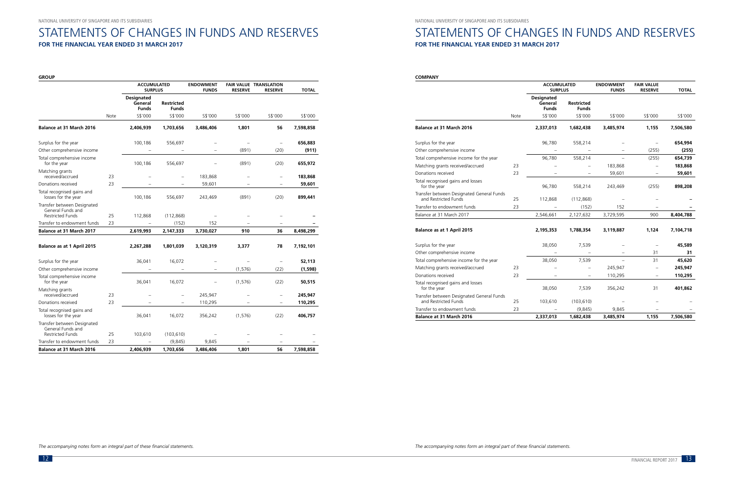### STATEMENTS OF CHANGES IN FUNDS AND RESERVES **FOR THE FINANCIAL YEAR ENDED 31 MARCH 2017**

**GROUP**

|                                                                             | <b>ACCUMULATED</b><br><b>SURPLUS</b> |                                              |                                   | <b>ENDOWMENT</b><br><b>FUNDS</b> | <b>RESERVE</b> | <b>FAIR VALUE TRANSLATION</b><br><b>RESERVE</b> | <b>TOTAL</b> |
|-----------------------------------------------------------------------------|--------------------------------------|----------------------------------------------|-----------------------------------|----------------------------------|----------------|-------------------------------------------------|--------------|
|                                                                             |                                      | <b>Designated</b><br>General<br><b>Funds</b> | <b>Restricted</b><br><b>Funds</b> |                                  |                |                                                 |              |
|                                                                             | Note                                 | S\$'000                                      | S\$'000                           | S\$'000                          | S\$'000        | S\$'000                                         | S\$'000      |
| <b>Balance at 31 March 2016</b>                                             |                                      | 2,406,939                                    | 1,703,656                         | 3,486,406                        | 1,801          | 56                                              | 7,598,858    |
| Surplus for the year                                                        |                                      | 100,186                                      | 556,697                           |                                  |                |                                                 | 656,883      |
| Other comprehensive income                                                  |                                      |                                              |                                   |                                  | (891)          | (20)                                            | (911)        |
| Total comprehensive income<br>for the year                                  |                                      | 100,186                                      | 556,697                           |                                  | (891)          | (20)                                            | 655,972      |
| Matching grants<br>received/accrued                                         | 23                                   |                                              |                                   | 183,868                          |                |                                                 | 183,868      |
| Donations received                                                          | 23                                   |                                              |                                   | 59,601                           |                |                                                 | 59,601       |
| Total recognised gains and<br>losses for the year                           |                                      | 100,186                                      | 556,697                           | 243,469                          | (891)          | (20)                                            | 899,441      |
| Transfer between Designated<br>General Funds and<br><b>Restricted Funds</b> | 25                                   | 112,868                                      | (112, 868)                        |                                  |                |                                                 |              |
| Transfer to endowment funds                                                 | 23                                   |                                              | (152)                             | 152                              |                |                                                 |              |
| Balance at 31 March 2017                                                    |                                      | 2,619,993                                    | 2,147,333                         | 3,730,027                        | 910            | 36                                              | 8,498,299    |
|                                                                             |                                      |                                              |                                   |                                  |                |                                                 |              |
| Balance as at 1 April 2015                                                  |                                      | 2,267,288                                    | 1,801,039                         | 3,120,319                        | 3,377          | 78                                              | 7,192,101    |
| Surplus for the year                                                        |                                      | 36,041                                       | 16,072                            |                                  |                |                                                 | 52,113       |
| Other comprehensive income                                                  |                                      |                                              |                                   |                                  | (1, 576)       | (22)                                            | (1,598)      |
| Total comprehensive income<br>for the year                                  |                                      | 36,041                                       | 16,072                            |                                  | (1, 576)       | (22)                                            | 50,515       |
| Matching grants<br>received/accrued                                         | 23                                   |                                              |                                   | 245,947                          |                |                                                 | 245,947      |
| Donations received                                                          | 23                                   |                                              |                                   | 110,295                          |                | -                                               | 110,295      |
| Total recognised gains and<br>losses for the year                           |                                      | 36,041                                       | 16,072                            | 356,242                          | (1, 576)       | (22)                                            | 406,757      |
| Transfer between Designated<br>General Funds and<br><b>Restricted Funds</b> | 25                                   | 103,610                                      | (103, 610)                        |                                  |                |                                                 |              |
| Transfer to endowment funds                                                 | 23                                   |                                              | (9,845)                           | 9,845                            |                |                                                 |              |
| <b>Balance at 31 March 2016</b>                                             |                                      | 2,406,939                                    | 1,703,656                         | 3,486,406                        | 1,801          | 56                                              | 7,598,858    |

### STATEMENTS OF CHANGES IN FUNDS AND RESERVES **FOR THE FINANCIAL YEAR ENDED 31 MARCH 2017**

|                                                                   |      | <b>ACCUMULATED</b><br><b>SURPLUS</b>         |                                   | <b>ENDOWMENT</b><br><b>FUNDS</b> | <b>FAIR VALUE</b><br><b>RESERVE</b> | <b>TOTAL</b> |
|-------------------------------------------------------------------|------|----------------------------------------------|-----------------------------------|----------------------------------|-------------------------------------|--------------|
|                                                                   |      | <b>Designated</b><br>General<br><b>Funds</b> | <b>Restricted</b><br><b>Funds</b> |                                  |                                     |              |
|                                                                   | Note | S\$'000                                      | S\$'000                           | S\$'000                          | S\$'000                             | S\$'000      |
| Balance at 31 March 2016                                          |      | 2,337,013                                    | 1,682,438                         | 3,485,974                        | 1,155                               | 7,506,580    |
| Surplus for the year                                              |      | 96,780                                       | 558,214                           |                                  | $\overline{\phantom{0}}$            | 654,994      |
| Other comprehensive income                                        |      |                                              |                                   |                                  | (255)                               | (255)        |
| Total comprehensive income for the year                           |      | 96,780                                       | 558,214                           | $\overline{a}$                   | (255)                               | 654,739      |
| Matching grants received/accrued                                  | 23   |                                              |                                   | 183,868                          |                                     | 183,868      |
| Donations received                                                | 23   |                                              |                                   | 59,601                           |                                     | 59,601       |
| Total recognised gains and losses<br>for the year                 |      | 96,780                                       | 558,214                           | 243,469                          | (255)                               | 898,208      |
| Transfer between Designated General Funds<br>and Restricted Funds | 25   | 112,868                                      | (112, 868)                        |                                  |                                     |              |
| Transfer to endowment funds                                       | 23   |                                              | (152)                             | 152                              |                                     |              |
| Balance at 31 March 2017                                          |      | 2,546,661                                    | 2,127,632                         | 3,729,595                        | 900                                 | 8,404,788    |
| Balance as at 1 April 2015                                        |      | 2,195,353                                    | 1,788,354                         | 3,119,887                        | 1,124                               | 7,104,718    |
| Surplus for the year                                              |      | 38,050                                       | 7,539                             |                                  | -                                   | 45,589       |
| Other comprehensive income                                        |      |                                              |                                   | -                                | 31                                  | 31           |
| Total comprehensive income for the year                           |      | 38,050                                       | 7,539                             |                                  | 31                                  | 45,620       |
| Matching grants received/accrued                                  | 23   |                                              |                                   | 245,947                          | -                                   | 245,947      |
| Donations received                                                | 23   |                                              |                                   | 110,295                          |                                     | 110,295      |
| Total recognised gains and losses<br>for the year                 |      | 38,050                                       | 7,539                             | 356,242                          | 31                                  | 401,862      |
| Transfer between Designated General Funds<br>and Restricted Funds | 25   | 103,610                                      | (103, 610)                        |                                  |                                     |              |
| Transfer to endowment funds                                       | 23   |                                              | (9,845)                           | 9,845                            |                                     |              |
| Balance at 31 March 2016                                          |      | 2,337,013                                    | 1,682,438                         | 3,485,974                        | 1,155                               | 7,506,580    |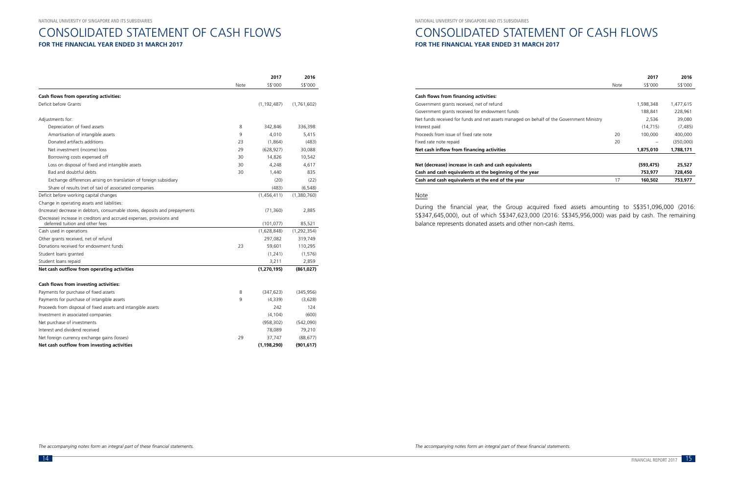### CONSOLIDATED STATEMENT OF CASH FLOWS **FOR THE FINANCIAL YEAR ENDED 31 MARCH 2017**

|                                                                                                          |      | 2017          | 2016          |
|----------------------------------------------------------------------------------------------------------|------|---------------|---------------|
|                                                                                                          | Note | S\$'000       | S\$'000       |
| Cash flows from operating activities:                                                                    |      |               |               |
| Deficit before Grants                                                                                    |      | (1, 192, 487) | (1,761,602)   |
| Adjustments for:                                                                                         |      |               |               |
| Depreciation of fixed assets                                                                             | 8    | 342,846       | 336,398       |
| Amortisation of intangible assets                                                                        | 9    | 4,010         | 5,415         |
| Donated artifacts additions                                                                              | 23   | (1,864)       | (483)         |
| Net investment (income) loss                                                                             | 29   | (628, 927)    | 30,088        |
| Borrowing costs expensed off                                                                             | 30   | 14,826        | 10,542        |
| Loss on disposal of fixed and intangible assets                                                          | 30   | 4,248         | 4,617         |
| Bad and doubtful debts                                                                                   | 30   | 1,440         | 835           |
| Exchange differences arising on translation of foreign subsidiary                                        |      | (20)          | (22)          |
| Share of results (net of tax) of associated companies                                                    |      | (483)         | (6, 548)      |
| Deficit before working capital changes                                                                   |      | (1,456,411)   | (1,380,760)   |
| Change in operating assets and liabilities:                                                              |      |               |               |
| (Increase) decrease in debtors, consumable stores, deposits and prepayments                              |      | (71, 360)     | 2,885         |
| (Decrease) increase in creditors and accrued expenses, provisions and<br>deferred tuition and other fees |      | (101, 077)    | 85,521        |
| Cash used in operations                                                                                  |      | (1,628,848)   | (1, 292, 354) |
| Other grants received, net of refund                                                                     |      | 297,082       | 319,749       |
| Donations received for endowment funds                                                                   | 23   | 59,601        | 110,295       |
| Student loans granted                                                                                    |      | (1,241)       | (1, 576)      |
| Student loans repaid                                                                                     |      | 3,211         | 2,859         |
| Net cash outflow from operating activities                                                               |      | (1, 270, 195) | (861, 027)    |
| Cash flows from investing activities:                                                                    |      |               |               |
| Payments for purchase of fixed assets                                                                    | 8    | (347, 623)    | (345, 956)    |
| Payments for purchase of intangible assets                                                               | 9    | (4,339)       | (3,628)       |
| Proceeds from disposal of fixed assets and intangible assets                                             |      | 242           | 124           |
| Investment in associated companies                                                                       |      | (4, 104)      | (600)         |
| Net purchase of investments                                                                              |      | (958, 302)    | (542,090)     |
| Interest and dividend received                                                                           |      | 78,089        | 79,210        |
| Net foreign currency exchange gains (losses)                                                             | 29   | 37,747        | (88, 677)     |
| Net cash outflow from investing activities                                                               |      | (1, 198, 290) | (901, 617)    |

### CONSOLIDATED STATEMENT OF CASH FLOWS **FOR THE FINANCIAL YEAR ENDED 31 MARCH 2017**

| Note | S\$'000   | S\$'000   |
|------|-----------|-----------|
|      |           |           |
|      |           |           |
|      | 1,598,348 | 1,477,615 |
|      | 188.841   | 228.961   |
|      | 2,536     | 39,080    |
|      | (14, 715) | (7, 485)  |
| 20   | 100,000   | 400,000   |
| 20   |           | (350,000) |
|      | 1,875,010 | 1,788,171 |
|      | (593,475) | 25,527    |
|      | 753,977   | 728,450   |
| 17   | 160,502   | 753,977   |
|      |           |           |

#### Note

During the financial year, the Group acquired fixed assets amounting to S\$351,096,000 (2016: S\$347,645,000), out of which S\$347,623,000 (2016: S\$345,956,000) was paid by cash. The remaining balance represents donated assets and other non-cash items.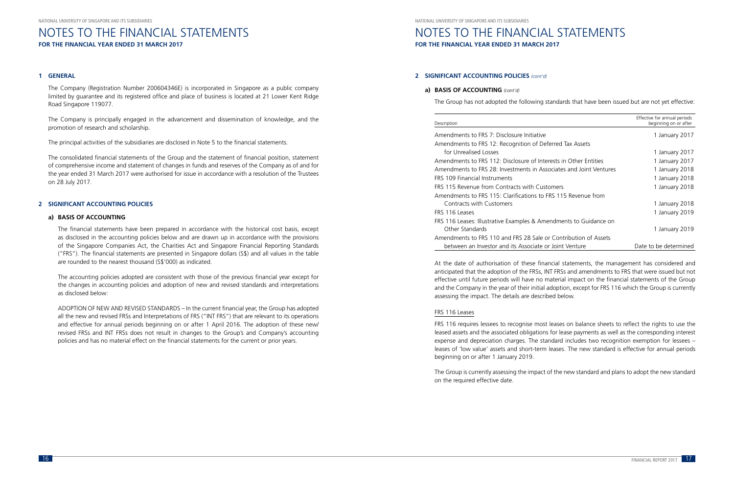#### **1 GENERAL**

The Company (Registration Number 200604346E) is incorporated in Singapore as a public company limited by guarantee and its registered office and place of business is located at 21 Lower Kent Ridge Road Singapore 119077.

The Company is principally engaged in the advancement and dissemination of knowledge, and the promotion of research and scholarship.

The principal activities of the subsidiaries are disclosed in Note 5 to the financial statements.

The consolidated financial statements of the Group and the statement of financial position, statement of comprehensive income and statement of changes in funds and reserves of the Company as of and for the year ended 31 March 2017 were authorised for issue in accordance with a resolution of the Trustees on 28 July 2017.

#### **2 SIGNIFICANT ACCOUNTING POLICIES**

#### **a) BASIS OF ACCOUNTING**

The financial statements have been prepared in accordance with the historical cost basis, except as disclosed in the accounting policies below and are drawn up in accordance with the provisions of the Singapore Companies Act, the Charities Act and Singapore Financial Reporting Standards ("FRS"). The financial statements are presented in Singapore dollars (S\$) and all values in the table are rounded to the nearest thousand (S\$'000) as indicated.

The accounting policies adopted are consistent with those of the previous financial year except for the changes in accounting policies and adoption of new and revised standards and interpretations as disclosed below:

ADOPTION OF NEW AND REVISED STANDARDS – In the current financial year, the Group has adopted all the new and revised FRSs and Interpretations of FRS ("INT FRS") that are relevant to its operations and effective for annual periods beginning on or after 1 April 2016. The adoption of these new/ revised FRSs and INT FRSs does not result in changes to the Group's and Company's accounting policies and has no material effect on the financial statements for the current or prior years.

NATIONAL UNIVERSITY OF SINGAPORE AND ITS SUBSIDIARIES

### NOTES TO THE FINANCIAL STATEMENTS **FOR THE FINANCIAL YEAR ENDED 31 MARCH 2017**

#### **2 SIGNIFICANT ACCOUNTING POLICIES** *(cont'd)*

#### **a) BASIS OF ACCOUNTING** *(cont'd)*

The Group has not adopted the following standards that have been issued but are not yet effective:

| Description                                                        | Effective for annual periods<br>beginning on or after |
|--------------------------------------------------------------------|-------------------------------------------------------|
| Amendments to FRS 7: Disclosure Initiative                         | 1 January 2017                                        |
| Amendments to FRS 12: Recognition of Deferred Tax Assets           |                                                       |
| for Unrealised Losses                                              | 1 January 2017                                        |
| Amendments to FRS 112: Disclosure of Interests in Other Entities   | 1 January 2017                                        |
| Amendments to FRS 28: Investments in Associates and Joint Ventures | 1 January 2018                                        |
| FRS 109 Financial Instruments                                      | 1 January 2018                                        |
| FRS 115 Revenue from Contracts with Customers                      | 1 January 2018                                        |
| Amendments to FRS 115: Clarifications to FRS 115 Revenue from      |                                                       |
| Contracts with Customers                                           | 1 January 2018                                        |
| FRS 116 Leases                                                     | 1 January 2019                                        |
| FRS 116 Leases: Illustrative Examples & Amendments to Guidance on  |                                                       |
| Other Standards                                                    | 1 January 2019                                        |
| Amendments to FRS 110 and FRS 28 Sale or Contribution of Assets    |                                                       |
| between an Investor and its Associate or Joint Venture             | Date to be determined                                 |

At the date of authorisation of these financial statements, the management has considered and anticipated that the adoption of the FRSs, INT FRSs and amendments to FRS that were issued but not effective until future periods will have no material impact on the financial statements of the Group and the Company in the year of their initial adoption, except for FRS 116 which the Group is currently assessing the impact. The details are described below.

#### FRS 116 Leases

FRS 116 requires lessees to recognise most leases on balance sheets to reflect the rights to use the leased assets and the associated obligations for lease payments as well as the corresponding interest expense and depreciation charges. The standard includes two recognition exemption for lessees – leases of 'low value' assets and short-term leases. The new standard is effective for annual periods beginning on or after 1 January 2019.

The Group is currently assessing the impact of the new standard and plans to adopt the new standard on the required effective date.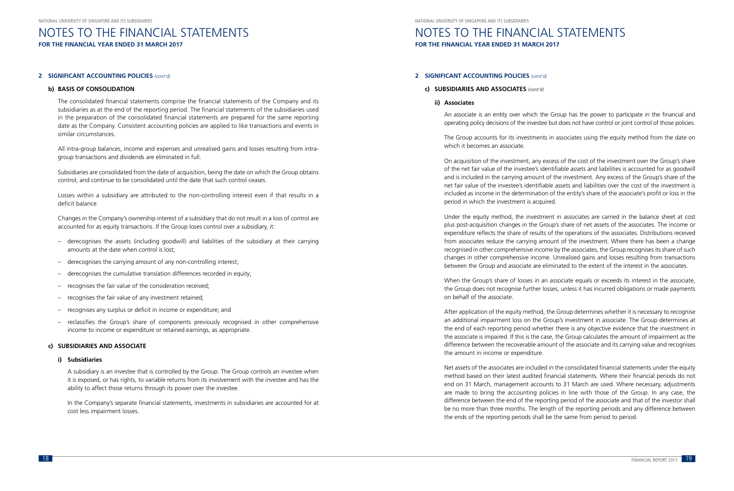#### **2 SIGNIFICANT ACCOUNTING POLICIES** *(cont'd)*

#### **b) BASIS OF CONSOLIDATION**

The consolidated financial statements comprise the financial statements of the Company and its subsidiaries as at the end of the reporting period. The financial statements of the subsidiaries used in the preparation of the consolidated financial statements are prepared for the same reporting date as the Company. Consistent accounting policies are applied to like transactions and events in similar circumstances.

All intra-group balances, income and expenses and unrealised gains and losses resulting from intragroup transactions and dividends are eliminated in full.

Subsidiaries are consolidated from the date of acquisition, being the date on which the Group obtains control, and continue to be consolidated until the date that such control ceases.

Losses within a subsidiary are attributed to the non-controlling interest even if that results in a deficit balance.

Changes in the Company's ownership interest of a subsidiary that do not result in a loss of control are accounted for as equity transactions. If the Group loses control over a subsidiary, it:

- derecognises the assets (including goodwill) and liabilities of the subsidiary at their carrying amounts at the date when control is lost;
- derecognises the carrying amount of any non-controlling interest;
- derecognises the cumulative translation differences recorded in equity;
- recognises the fair value of the consideration received;
- recognises the fair value of any investment retained;
- recognises any surplus or deficit in income or expenditure; and
- reclassifies the Group's share of components previously recognised in other comprehensive income to income or expenditure or retained earnings, as appropriate.

#### **c) SUBSIDIARIES AND ASSOCIATE**

#### **i) Subsidiaries**

A subsidiary is an investee that is controlled by the Group. The Group controls an investee when it is exposed, or has rights, to variable returns from its involvement with the investee and has the ability to affect those returns through its power over the investee.

In the Company's separate financial statements, investments in subsidiaries are accounted for at cost less impairment losses.

NATIONAL UNIVERSITY OF SINGAPORE AND ITS SUBSIDIARIES

### NOTES TO THE FINANCIAL STATEMENTS **FOR THE FINANCIAL YEAR ENDED 31 MARCH 2017**

#### **2 SIGNIFICANT ACCOUNTING POLICIES** *(cont'd)*

#### **c) SUBSIDIARIES AND ASSOCIATES** *(cont'd)*

**ii) Associates**

An associate is an entity over which the Group has the power to participate in the financial and operating policy decisions of the investee but does not have control or joint control of those policies.

The Group accounts for its investments in associates using the equity method from the date on which it becomes an associate.

On acquisition of the investment, any excess of the cost of the investment over the Group's share of the net fair value of the investee's identifiable assets and liabilities is accounted for as goodwill and is included in the carrying amount of the investment. Any excess of the Group's share of the net fair value of the investee's identifiable assets and liabilities over the cost of the investment is included as income in the determination of the entity's share of the associate's profit or loss in the period in which the investment is acquired.

Under the equity method, the investment in associates are carried in the balance sheet at cost plus post-acquisition changes in the Group's share of net assets of the associates. The income or expenditure reflects the share of results of the operations of the associates. Distributions received from associates reduce the carrying amount of the investment. Where there has been a change recognised in other comprehensive income by the associates, the Group recognises its share of such changes in other comprehensive income. Unrealised gains and losses resulting from transactions between the Group and associate are eliminated to the extent of the interest in the associates.

When the Group's share of losses in an associate equals or exceeds its interest in the associate, the Group does not recognise further losses, unless it has incurred obligations or made payments on behalf of the associate.

After application of the equity method, the Group determines whether it is necessary to recognise an additional impairment loss on the Group's investment in associate. The Group determines at the end of each reporting period whether there is any objective evidence that the investment in the associate is impaired. If this is the case, the Group calculates the amount of impairment as the difference between the recoverable amount of the associate and its carrying value and recognises the amount in income or expenditure.

Net assets of the associates are included in the consolidated financial statements under the equity method based on their latest audited financial statements. Where their financial periods do not end on 31 March, management accounts to 31 March are used. Where necessary, adjustments are made to bring the accounting policies in line with those of the Group. In any case, the difference between the end of the reporting period of the associate and that of the investor shall be no more than three months. The length of the reporting periods and any difference between the ends of the reporting periods shall be the same from period to period.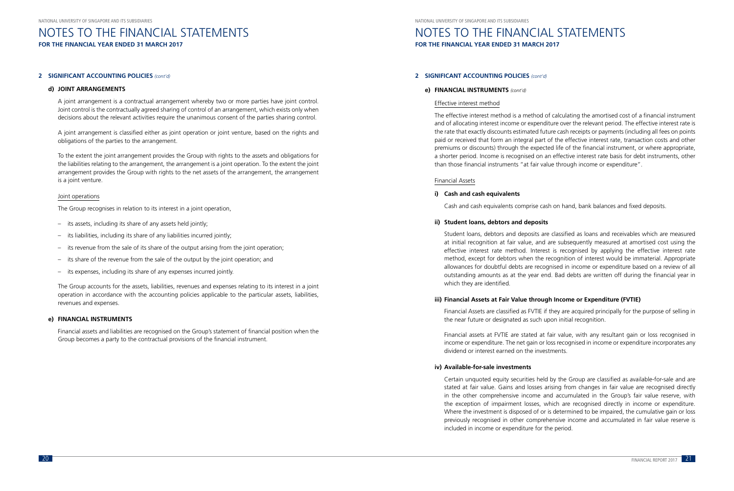#### **2 SIGNIFICANT ACCOUNTING POLICIES** *(cont'd)*

#### **d) JOINT ARRANGEMENTS**

A joint arrangement is a contractual arrangement whereby two or more parties have joint control. Joint control is the contractually agreed sharing of control of an arrangement, which exists only when decisions about the relevant activities require the unanimous consent of the parties sharing control.

A joint arrangement is classified either as joint operation or joint venture, based on the rights and obligations of the parties to the arrangement.

To the extent the joint arrangement provides the Group with rights to the assets and obligations for the liabilities relating to the arrangement, the arrangement is a joint operation. To the extent the joint arrangement provides the Group with rights to the net assets of the arrangement, the arrangement is a joint venture.

#### Joint operations

The Group recognises in relation to its interest in a joint operation,

- its assets, including its share of any assets held jointly;
- its liabilities, including its share of any liabilities incurred jointly;
- its revenue from the sale of its share of the output arising from the joint operation;
- its share of the revenue from the sale of the output by the joint operation; and
- its expenses, including its share of any expenses incurred jointly.

The Group accounts for the assets, liabilities, revenues and expenses relating to its interest in a joint operation in accordance with the accounting policies applicable to the particular assets, liabilities, revenues and expenses.

#### **e) FINANCIAL INSTRUMENTS**

Financial assets and liabilities are recognised on the Group's statement of financial position when the Group becomes a party to the contractual provisions of the financial instrument.

### NOTES TO THE FINANCIAL STATEMENTS **FOR THE FINANCIAL YEAR ENDED 31 MARCH 2017**

#### **2 SIGNIFICANT ACCOUNTING POLICIES** *(cont'd)*

#### **e) FINANCIAL INSTRUMENTS** *(cont'd)*

#### Effective interest method

The effective interest method is a method of calculating the amortised cost of a financial instrument and of allocating interest income or expenditure over the relevant period. The effective interest rate is the rate that exactly discounts estimated future cash receipts or payments (including all fees on points paid or received that form an integral part of the effective interest rate, transaction costs and other premiums or discounts) through the expected life of the financial instrument, or where appropriate, a shorter period. Income is recognised on an effective interest rate basis for debt instruments, other than those financial instruments "at fair value through income or expenditure".

#### Financial Assets

#### **i) Cash and cash equivalents**

Cash and cash equivalents comprise cash on hand, bank balances and fixed deposits.

#### **ii) Student loans, debtors and deposits**

Student loans, debtors and deposits are classified as loans and receivables which are measured at initial recognition at fair value, and are subsequently measured at amortised cost using the effective interest rate method. Interest is recognised by applying the effective interest rate method, except for debtors when the recognition of interest would be immaterial. Appropriate allowances for doubtful debts are recognised in income or expenditure based on a review of all outstanding amounts as at the year end. Bad debts are written off during the financial year in which they are identified.

#### **iii) Financial Assets at Fair Value through Income or Expenditure (FVTIE)**

Financial Assets are classified as FVTIE if they are acquired principally for the purpose of selling in the near future or designated as such upon initial recognition.

Financial assets at FVTIE are stated at fair value, with any resultant gain or loss recognised in income or expenditure. The net gain or loss recognised in income or expenditure incorporates any dividend or interest earned on the investments.

#### **iv) Available-for-sale investments**

Certain unquoted equity securities held by the Group are classified as available-for-sale and are stated at fair value. Gains and losses arising from changes in fair value are recognised directly in the other comprehensive income and accumulated in the Group's fair value reserve, with the exception of impairment losses, which are recognised directly in income or expenditure. Where the investment is disposed of or is determined to be impaired, the cumulative gain or loss previously recognised in other comprehensive income and accumulated in fair value reserve is included in income or expenditure for the period.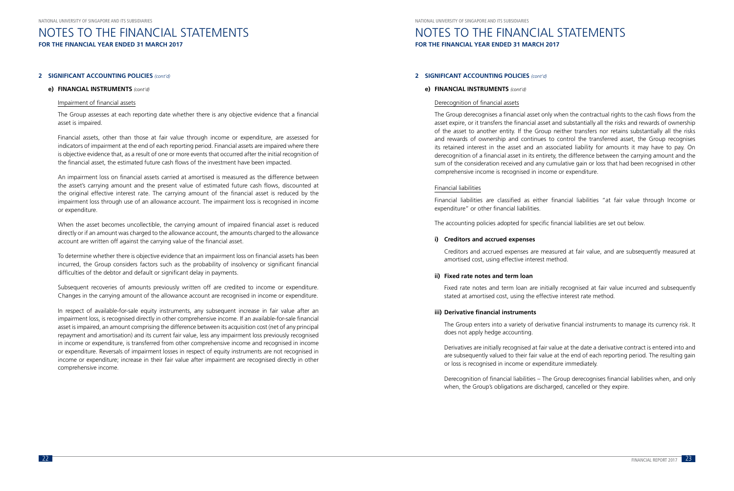#### **2 SIGNIFICANT ACCOUNTING POLICIES** *(cont'd)*

#### **e) FINANCIAL INSTRUMENTS** *(cont'd)*

#### Impairment of financial assets

The Group assesses at each reporting date whether there is any objective evidence that a financial asset is impaired.

Financial assets, other than those at fair value through income or expenditure, are assessed for indicators of impairment at the end of each reporting period. Financial assets are impaired where there is objective evidence that, as a result of one or more events that occurred after the initial recognition of the financial asset, the estimated future cash flows of the investment have been impacted.

An impairment loss on financial assets carried at amortised is measured as the difference between the asset's carrying amount and the present value of estimated future cash flows, discounted at the original effective interest rate. The carrying amount of the financial asset is reduced by the impairment loss through use of an allowance account. The impairment loss is recognised in income or expenditure.

When the asset becomes uncollectible, the carrying amount of impaired financial asset is reduced directly or if an amount was charged to the allowance account, the amounts charged to the allowance account are written off against the carrying value of the financial asset.

To determine whether there is objective evidence that an impairment loss on financial assets has been incurred, the Group considers factors such as the probability of insolvency or significant financial difficulties of the debtor and default or significant delay in payments.

Subsequent recoveries of amounts previously written off are credited to income or expenditure. Changes in the carrying amount of the allowance account are recognised in income or expenditure.

In respect of available-for-sale equity instruments, any subsequent increase in fair value after an impairment loss, is recognised directly in other comprehensive income. If an available-for-sale financial asset is impaired, an amount comprising the difference between its acquisition cost (net of any principal repayment and amortisation) and its current fair value, less any impairment loss previously recognised in income or expenditure, is transferred from other comprehensive income and recognised in income or expenditure. Reversals of impairment losses in respect of equity instruments are not recognised in income or expenditure; increase in their fair value after impairment are recognised directly in other comprehensive income.

NATIONAL UNIVERSITY OF SINGAPORE AND ITS SUBSIDIARIES

### NOTES TO THE FINANCIAL STATEMENTS **FOR THE FINANCIAL YEAR ENDED 31 MARCH 2017**

#### **2 SIGNIFICANT ACCOUNTING POLICIES** *(cont'd)*

#### **e) FINANCIAL INSTRUMENTS** *(cont'd)*

#### Derecognition of financial assets

The Group derecognises a financial asset only when the contractual rights to the cash flows from the asset expire, or it transfers the financial asset and substantially all the risks and rewards of ownership of the asset to another entity. If the Group neither transfers nor retains substantially all the risks and rewards of ownership and continues to control the transferred asset, the Group recognises its retained interest in the asset and an associated liability for amounts it may have to pay. On derecognition of a financial asset in its entirety, the difference between the carrying amount and the sum of the consideration received and any cumulative gain or loss that had been recognised in other comprehensive income is recognised in income or expenditure.

#### Financial liabilities

Financial liabilities are classified as either financial liabilities "at fair value through Income or expenditure" or other financial liabilities.

The accounting policies adopted for specific financial liabilities are set out below.

#### **i) Creditors and accrued expenses**

Creditors and accrued expenses are measured at fair value, and are subsequently measured at amortised cost, using effective interest method.

#### **ii) Fixed rate notes and term loan**

Fixed rate notes and term loan are initially recognised at fair value incurred and subsequently stated at amortised cost, using the effective interest rate method.

#### **iii) Derivative financial instruments**

The Group enters into a variety of derivative financial instruments to manage its currency risk. It does not apply hedge accounting.

Derivatives are initially recognised at fair value at the date a derivative contract is entered into and are subsequently valued to their fair value at the end of each reporting period. The resulting gain or loss is recognised in income or expenditure immediately.

Derecognition of financial liabilities – The Group derecognises financial liabilities when, and only when, the Group's obligations are discharged, cancelled or they expire.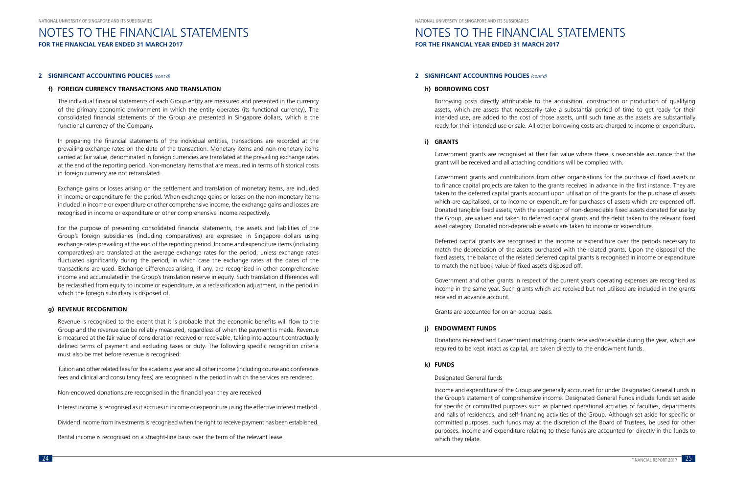#### **2 SIGNIFICANT ACCOUNTING POLICIES** *(cont'd)*

#### **f) FOREIGN CURRENCY TRANSACTIONS AND TRANSLATION**

The individual financial statements of each Group entity are measured and presented in the currency of the primary economic environment in which the entity operates (its functional currency). The consolidated financial statements of the Group are presented in Singapore dollars, which is the functional currency of the Company.

In preparing the financial statements of the individual entities, transactions are recorded at the prevailing exchange rates on the date of the transaction. Monetary items and non-monetary items carried at fair value, denominated in foreign currencies are translated at the prevailing exchange rates at the end of the reporting period. Non-monetary items that are measured in terms of historical costs in foreign currency are not retranslated.

Exchange gains or losses arising on the settlement and translation of monetary items, are included in income or expenditure for the period. When exchange gains or losses on the non-monetary items included in income or expenditure or other comprehensive income, the exchange gains and losses are recognised in income or expenditure or other comprehensive income respectively.

For the purpose of presenting consolidated financial statements, the assets and liabilities of the Group's foreign subsidiaries (including comparatives) are expressed in Singapore dollars using exchange rates prevailing at the end of the reporting period. Income and expenditure items (including comparatives) are translated at the average exchange rates for the period, unless exchange rates fluctuated significantly during the period, in which case the exchange rates at the dates of the transactions are used. Exchange differences arising, if any, are recognised in other comprehensive income and accumulated in the Group's translation reserve in equity. Such translation differences will be reclassified from equity to income or expenditure, as a reclassification adjustment, in the period in which the foreign subsidiary is disposed of.

#### **g) REVENUE RECOGNITION**

Revenue is recognised to the extent that it is probable that the economic benefits will flow to the Group and the revenue can be reliably measured, regardless of when the payment is made. Revenue is measured at the fair value of consideration received or receivable, taking into account contractually defined terms of payment and excluding taxes or duty. The following specific recognition criteria must also be met before revenue is recognised:

Tuition and other related fees for the academic year and all other income (including course and conference fees and clinical and consultancy fees) are recognised in the period in which the services are rendered.

Non-endowed donations are recognised in the financial year they are received.

Interest income is recognised as it accrues in income or expenditure using the effective interest method.

Dividend income from investments is recognised when the right to receive payment has been established.

Rental income is recognised on a straight-line basis over the term of the relevant lease.

NATIONAL UNIVERSITY OF SINGAPORE AND ITS SUBSIDIARIES

### NOTES TO THE FINANCIAL STATEMENTS **FOR THE FINANCIAL YEAR ENDED 31 MARCH 2017**

#### **2 SIGNIFICANT ACCOUNTING POLICIES** *(cont'd)*

#### **h) BORROWING COST**

Borrowing costs directly attributable to the acquisition, construction or production of qualifying assets, which are assets that necessarily take a substantial period of time to get ready for their intended use, are added to the cost of those assets, until such time as the assets are substantially ready for their intended use or sale. All other borrowing costs are charged to income or expenditure.

#### **i) GRANTS**

Government grants are recognised at their fair value where there is reasonable assurance that the grant will be received and all attaching conditions will be complied with.

Government grants and contributions from other organisations for the purchase of fixed assets or to finance capital projects are taken to the grants received in advance in the first instance. They are taken to the deferred capital grants account upon utilisation of the grants for the purchase of assets which are capitalised, or to income or expenditure for purchases of assets which are expensed off. Donated tangible fixed assets, with the exception of non-depreciable fixed assets donated for use by the Group, are valued and taken to deferred capital grants and the debit taken to the relevant fixed asset category. Donated non-depreciable assets are taken to income or expenditure.

Deferred capital grants are recognised in the income or expenditure over the periods necessary to match the depreciation of the assets purchased with the related grants. Upon the disposal of the fixed assets, the balance of the related deferred capital grants is recognised in income or expenditure to match the net book value of fixed assets disposed off.

Government and other grants in respect of the current year's operating expenses are recognised as income in the same year. Such grants which are received but not utilised are included in the grants received in advance account.

Grants are accounted for on an accrual basis.

### **j) ENDOWMENT FUNDS**

Donations received and Government matching grants received/receivable during the year, which are required to be kept intact as capital, are taken directly to the endowment funds.

#### **k) FUNDS**

#### Designated General funds

Income and expenditure of the Group are generally accounted for under Designated General Funds in the Group's statement of comprehensive income. Designated General Funds include funds set aside for specific or committed purposes such as planned operational activities of faculties, departments and halls of residences, and self-financing activities of the Group. Although set aside for specific or committed purposes, such funds may at the discretion of the Board of Trustees, be used for other purposes. Income and expenditure relating to these funds are accounted for directly in the funds to which they relate.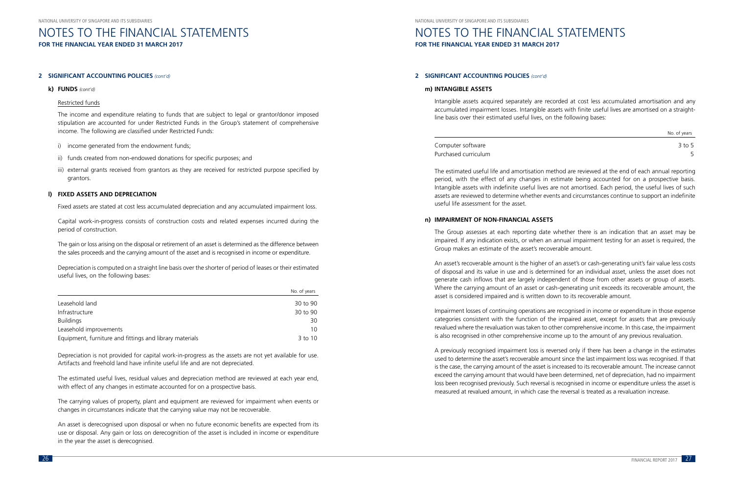#### **2 SIGNIFICANT ACCOUNTING POLICIES** *(cont'd)*

#### **k) FUNDS** *(cont'd)*

#### Restricted funds

The income and expenditure relating to funds that are subject to legal or grantor/donor imposed stipulation are accounted for under Restricted Funds in the Group's statement of comprehensive income. The following are classified under Restricted Funds:

- i) income generated from the endowment funds;
- ii) funds created from non-endowed donations for specific purposes; and
- iii) external grants received from grantors as they are received for restricted purpose specified by grantors.

#### **l) FIXED ASSETS AND DEPRECIATION**

Fixed assets are stated at cost less accumulated depreciation and any accumulated impairment loss.

Capital work-in-progress consists of construction costs and related expenses incurred during the period of construction.

The gain or loss arising on the disposal or retirement of an asset is determined as the difference between the sales proceeds and the carrying amount of the asset and is recognised in income or expenditure.

Depreciation is computed on a straight line basis over the shorter of period of leases or their estimated useful lives, on the following bases:

|                                                         | No. of years |
|---------------------------------------------------------|--------------|
| Leasehold land                                          | 30 to 90     |
| Infrastructure                                          | 30 to 90     |
| <b>Buildings</b>                                        | 30           |
| Leasehold improvements                                  | 10           |
| Equipment, furniture and fittings and library materials | 3 to 10      |

Depreciation is not provided for capital work-in-progress as the assets are not yet available for use. Artifacts and freehold land have infinite useful life and are not depreciated.

The estimated useful lives, residual values and depreciation method are reviewed at each year end, with effect of any changes in estimate accounted for on a prospective basis.

The carrying values of property, plant and equipment are reviewed for impairment when events or changes in circumstances indicate that the carrying value may not be recoverable.

An asset is derecognised upon disposal or when no future economic benefits are expected from its use or disposal. Any gain or loss on derecognition of the asset is included in income or expenditure in the year the asset is derecognised.

NATIONAL UNIVERSITY OF SINGAPORE AND ITS SUBSIDIARIES

### NOTES TO THE FINANCIAL STATEMENTS **FOR THE FINANCIAL YEAR ENDED 31 MARCH 2017**

#### **2 SIGNIFICANT ACCOUNTING POLICIES** *(cont'd)*

#### **m) INTANGIBLE ASSETS**

 $\sim$ 

Intangible assets acquired separately are recorded at cost less accumulated amortisation and any accumulated impairment losses. Intangible assets with finite useful lives are amortised on a straightline basis over their estimated useful lives, on the following bases:

|                      | No. of years |
|----------------------|--------------|
| Computer software    | $3$ to 5     |
| Purchased curriculum |              |

The estimated useful life and amortisation method are reviewed at the end of each annual reporting period, with the effect of any changes in estimate being accounted for on a prospective basis. Intangible assets with indefinite useful lives are not amortised. Each period, the useful lives of such assets are reviewed to determine whether events and circumstances continue to support an indefinite useful life assessment for the asset.

#### **n) IMPAIRMENT OF NON-FINANCIAL ASSETS**

The Group assesses at each reporting date whether there is an indication that an asset may be impaired. If any indication exists, or when an annual impairment testing for an asset is required, the Group makes an estimate of the asset's recoverable amount.

An asset's recoverable amount is the higher of an asset's or cash-generating unit's fair value less costs of disposal and its value in use and is determined for an individual asset, unless the asset does not generate cash inflows that are largely independent of those from other assets or group of assets. Where the carrying amount of an asset or cash-generating unit exceeds its recoverable amount, the asset is considered impaired and is written down to its recoverable amount.

Impairment losses of continuing operations are recognised in income or expenditure in those expense categories consistent with the function of the impaired asset, except for assets that are previously revalued where the revaluation was taken to other comprehensive income. In this case, the impairment is also recognised in other comprehensive income up to the amount of any previous revaluation.

A previously recognised impairment loss is reversed only if there has been a change in the estimates used to determine the asset's recoverable amount since the last impairment loss was recognised. If that is the case, the carrying amount of the asset is increased to its recoverable amount. The increase cannot exceed the carrying amount that would have been determined, net of depreciation, had no impairment loss been recognised previously. Such reversal is recognised in income or expenditure unless the asset is measured at revalued amount, in which case the reversal is treated as a revaluation increase.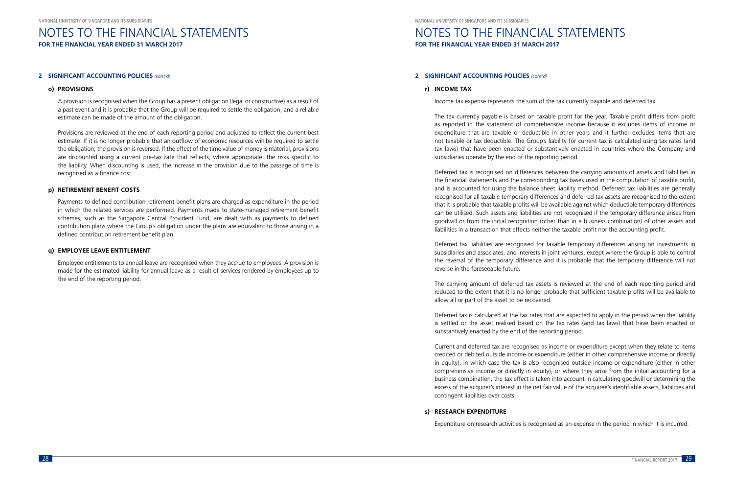#### **2 SIGNIFICANT ACCOUNTING POLICIES** *(cont'd)*

#### **o) PROVISIONS**

A provision is recognised when the Group has a present obligation (legal or constructive) as a result of a past event and it is probable that the Group will be required to settle the obligation, and a reliable estimate can be made of the amount of the obligation.

Provisions are reviewed at the end of each reporting period and adjusted to reflect the current best estimate. If it is no longer probable that an outflow of economic resources will be required to settle the obligation, the provision is reversed. If the effect of the time value of money is material, provisions are discounted using a current pre-tax rate that reflects, where appropriate, the risks specific to the liability. When discounting is used, the increase in the provision due to the passage of time is recognised as a finance cost.

#### **p) RETIREMENT BENEFIT COSTS**

Payments to defined contribution retirement benefit plans are charged as expenditure in the period in which the related services are performed. Payments made to state-managed retirement benefit schemes, such as the Singapore Central Provident Fund, are dealt with as payments to defined contribution plans where the Group's obligation under the plans are equivalent to those arising in a defined contribution retirement benefit plan.

#### **q) EMPLOYEE LEAVE ENTITLEMENT**

Employee entitlements to annual leave are recognised when they accrue to employees. A provision is made for the estimated liability for annual leave as a result of services rendered by employees up to the end of the reporting period.

NATIONAL UNIVERSITY OF SINGAPORE AND ITS SUBSIDIARIES

### NOTES TO THE FINANCIAL STATEMENTS **FOR THE FINANCIAL YEAR ENDED 31 MARCH 2017**

#### **2 SIGNIFICANT ACCOUNTING POLICIES** *(cont'd)*

#### **r) INCOME TAX**

Income tax expense represents the sum of the tax currently payable and deferred tax.

The tax currently payable is based on taxable profit for the year. Taxable profit differs from profit as reported in the statement of comprehensive income because it excludes items of income or expenditure that are taxable or deductible in other years and it further excludes items that are not taxable or tax deductible. The Group's liability for current tax is calculated using tax rates (and tax laws) that have been enacted or substantively enacted in countries where the Company and subsidiaries operate by the end of the reporting period.

Deferred tax is recognised on differences between the carrying amounts of assets and liabilities in the financial statements and the corresponding tax bases used in the computation of taxable profit, and is accounted for using the balance sheet liability method. Deferred tax liabilities are generally recognised for all taxable temporary differences and deferred tax assets are recognised to the extent that it is probable that taxable profits will be available against which deductible temporary differences can be utilised. Such assets and liabilities are not recognised if the temporary difference arises from goodwill or from the initial recognition (other than in a business combination) of other assets and liabilities in a transaction that affects neither the taxable profit nor the accounting profit.

Deferred tax liabilities are recognised for taxable temporary differences arising on investments in subsidiaries and associates, and interests in joint ventures, except where the Group is able to control the reversal of the temporary difference and it is probable that the temporary difference will not reverse in the foreseeable future.

The carrying amount of deferred tax assets is reviewed at the end of each reporting period and reduced to the extent that it is no longer probable that sufficient taxable profits will be available to allow all or part of the asset to be recovered.

Deferred tax is calculated at the tax rates that are expected to apply in the period when the liability is settled or the asset realised based on the tax rates (and tax laws) that have been enacted or substantively enacted by the end of the reporting period.

Current and deferred tax are recognised as income or expenditure except when they relate to items credited or debited outside income or expenditure (either in other comprehensive income or directly in equity), in which case the tax is also recognised outside income or expenditure (either in other comprehensive income or directly in equity), or where they arise from the initial accounting for a business combination, the tax effect is taken into account in calculating goodwill or determining the excess of the acquirer's interest in the net fair value of the acquiree's identifiable assets, liabilities and contingent liabilities over costs.

#### **s) RESEARCH EXPENDITURE**

Expenditure on research activities is recognised as an expense in the period in which it is incurred.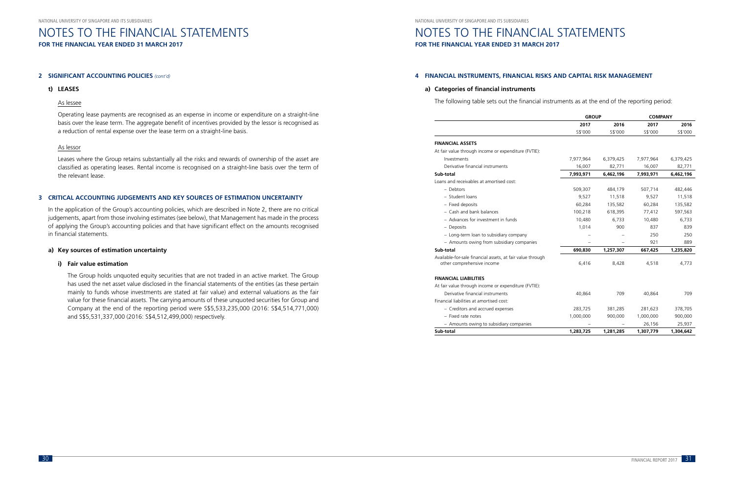#### **2 SIGNIFICANT ACCOUNTING POLICIES** *(cont'd)*

#### **t) LEASES**

#### As lessee

Operating lease payments are recognised as an expense in income or expenditure on a straight-line basis over the lease term. The aggregate benefit of incentives provided by the lessor is recognised as a reduction of rental expense over the lease term on a straight-line basis.

#### As lessor

Leases where the Group retains substantially all the risks and rewards of ownership of the asset are classified as operating leases. Rental income is recognised on a straight-line basis over the term of the relevant lease.

#### **3 CRITICAL ACCOUNTING JUDGEMENTS AND KEY SOURCES OF ESTIMATION UNCERTAINTY**

In the application of the Group's accounting policies, which are described in Note 2, there are no critical judgements, apart from those involving estimates (see below), that Management has made in the process of applying the Group's accounting policies and that have significant effect on the amounts recognised in financial statements.

#### **a) Key sources of estimation uncertainty**

#### **i) Fair value estimation**

The Group holds unquoted equity securities that are not traded in an active market. The Group has used the net asset value disclosed in the financial statements of the entities (as these pertain mainly to funds whose investments are stated at fair value) and external valuations as the fair value for these financial assets. The carrying amounts of these unquoted securities for Group and Company at the end of the reporting period were S\$5,533,235,000 (2016: S\$4,514,771,000) and S\$5,531,337,000 (2016: S\$4,512,499,000) respectively.

NATIONAL UNIVERSITY OF SINGAPORE AND ITS SUBSIDIARIES

### NOTES TO THE FINANCIAL STATEMENTS **FOR THE FINANCIAL YEAR ENDED 31 MARCH 2017**

#### **4 FINANCIAL INSTRUMENTS, FINANCIAL RISKS AND CAPITAL RISK MANAGEMENT**

#### **a) Categories of financial instruments**

The following table sets out the financial instruments as at the end of the reporting period:

|                                                                                          | <b>GROUP</b> |           | <b>COMPANY</b> |           |
|------------------------------------------------------------------------------------------|--------------|-----------|----------------|-----------|
|                                                                                          | 2017         | 2016      | 2017           | 2016      |
|                                                                                          | S\$'000      | S\$'000   | S\$'000        | S\$'000   |
| <b>FINANCIAL ASSETS</b>                                                                  |              |           |                |           |
| At fair value through income or expenditure (FVTIE):                                     |              |           |                |           |
| Investments                                                                              | 7,977,964    | 6,379,425 | 7,977,964      | 6,379,425 |
| Derivative financial instruments                                                         | 16,007       | 82,771    | 16,007         | 82,771    |
| Sub-total                                                                                | 7,993,971    | 6,462,196 | 7,993,971      | 6,462,196 |
| Loans and receivables at amortised cost:                                                 |              |           |                |           |
| - Debtors                                                                                | 509,307      | 484,179   | 507,714        | 482,446   |
| - Student loans                                                                          | 9,527        | 11,518    | 9,527          | 11,518    |
| - Fixed deposits                                                                         | 60,284       | 135,582   | 60,284         | 135,582   |
| - Cash and bank balances                                                                 | 100,218      | 618,395   | 77,412         | 597,563   |
| - Advances for investment in funds                                                       | 10,480       | 6,733     | 10,480         | 6,733     |
| - Deposits                                                                               | 1,014        | 900       | 837            | 839       |
| - Long-term loan to subsidiary company                                                   |              |           | 250            | 250       |
| - Amounts owing from subsidiary companies                                                |              |           | 921            | 889       |
| Sub-total                                                                                | 690,830      | 1,257,307 | 667,425        | 1,235,820 |
| Available-for-sale financial assets, at fair value through<br>other comprehensive income | 6,416        | 8,428     | 4,518          | 4,773     |
| <b>FINANCIAL LIABILITIES</b>                                                             |              |           |                |           |
| At fair value through income or expenditure (FVTIE):                                     |              |           |                |           |
| Derivative financial instruments                                                         | 40,864       | 709       | 40,864         | 709       |
| Financial liabilities at amortised cost:                                                 |              |           |                |           |
| - Creditors and accrued expenses                                                         | 283,725      | 381,285   | 281,623        | 378,705   |
| - Fixed rate notes                                                                       | 1,000,000    | 900,000   | 1,000,000      | 900,000   |
| - Amounts owing to subsidiary companies                                                  |              |           | 26,156         | 25,937    |
| Sub-total                                                                                | 1,283,725    | 1,281,285 | 1,307,779      | 1,304,642 |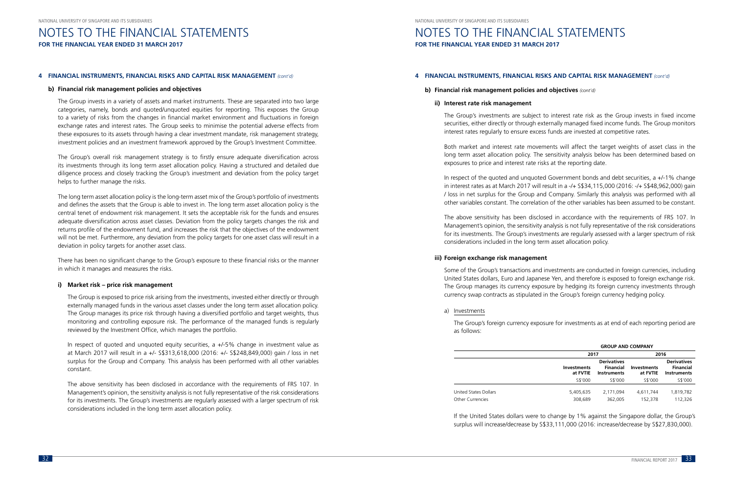#### **4 FINANCIAL INSTRUMENTS, FINANCIAL RISKS AND CAPITAL RISK MANAGEMENT** *(cont'd)*

#### **b) Financial risk management policies and objectives**

The Group invests in a variety of assets and market instruments. These are separated into two large categories, namely, bonds and quoted/unquoted equities for reporting. This exposes the Group to a variety of risks from the changes in financial market environment and fluctuations in foreign exchange rates and interest rates. The Group seeks to minimise the potential adverse effects from these exposures to its assets through having a clear investment mandate, risk management strategy, investment policies and an investment framework approved by the Group's Investment Committee.

The Group's overall risk management strategy is to firstly ensure adequate diversification across its investments through its long term asset allocation policy. Having a structured and detailed due diligence process and closely tracking the Group's investment and deviation from the policy target helps to further manage the risks.

The long term asset allocation policy is the long-term asset mix of the Group's portfolio of investments and defines the assets that the Group is able to invest in. The long term asset allocation policy is the central tenet of endowment risk management. It sets the acceptable risk for the funds and ensures adequate diversification across asset classes. Deviation from the policy targets changes the risk and returns profile of the endowment fund, and increases the risk that the objectives of the endowment will not be met. Furthermore, any deviation from the policy targets for one asset class will result in a deviation in policy targets for another asset class.

There has been no significant change to the Group's exposure to these financial risks or the manner in which it manages and measures the risks.

#### **i) Market risk – price risk management**

The Group is exposed to price risk arising from the investments, invested either directly or through externally managed funds in the various asset classes under the long term asset allocation policy. The Group manages its price risk through having a diversified portfolio and target weights, thus monitoring and controlling exposure risk. The performance of the managed funds is regularly reviewed by the Investment Office, which manages the portfolio.

In respect of quoted and unquoted equity securities,  $a +1/5$ % change in investment value as at March 2017 will result in a +/- S\$313,618,000 (2016: +/- S\$248,849,000) gain / loss in net surplus for the Group and Company. This analysis has been performed with all other variables constant.

The above sensitivity has been disclosed in accordance with the requirements of FRS 107. In Management's opinion, the sensitivity analysis is not fully representative of the risk considerations for its investments. The Group's investments are regularly assessed with a larger spectrum of risk considerations included in the long term asset allocation policy.

NATIONAL UNIVERSITY OF SINGAPORE AND ITS SUBSIDIARIES

### NOTES TO THE FINANCIAL STATEMENTS **FOR THE FINANCIAL YEAR ENDED 31 MARCH 2017**

#### **4 FINANCIAL INSTRUMENTS, FINANCIAL RISKS AND CAPITAL RISK MANAGEMENT** *(cont'd)*

#### **b) Financial risk management policies and objectives** *(cont'd)*

#### **ii) Interest rate risk management**

The Group's investments are subject to interest rate risk as the Group invests in fixed income securities, either directly or through externally managed fixed income funds. The Group monitors interest rates regularly to ensure excess funds are invested at competitive rates.

Both market and interest rate movements will affect the target weights of asset class in the long term asset allocation policy. The sensitivity analysis below has been determined based on exposures to price and interest rate risks at the reporting date.

In respect of the quoted and unquoted Government bonds and debt securities, a +/-1% change in interest rates as at March 2017 will result in a -/+ S\$34,115,000 (2016: -/+ S\$48,962,000) gain / loss in net surplus for the Group and Company. Similarly this analysis was performed with all other variables constant. The correlation of the other variables has been assumed to be constant.

The above sensitivity has been disclosed in accordance with the requirements of FRS 107. In Management's opinion, the sensitivity analysis is not fully representative of the risk considerations for its investments. The Group's investments are regularly assessed with a larger spectrum of risk considerations included in the long term asset allocation policy.

#### **iii) Foreign exchange risk management**

Some of the Group's transactions and investments are conducted in foreign currencies, including United States dollars, Euro and Japanese Yen, and therefore is exposed to foreign exchange risk. The Group manages its currency exposure by hedging its foreign currency investments through currency swap contracts as stipulated in the Group's foreign currency hedging policy.

#### a) Investments

The Group's foreign currency exposure for investments as at end of each reporting period are as follows:

|                                           |                                | <b>GROUP AND COMPANY</b>                              |                                |                                                       |
|-------------------------------------------|--------------------------------|-------------------------------------------------------|--------------------------------|-------------------------------------------------------|
|                                           | 2017                           |                                                       | 2016                           |                                                       |
|                                           | <b>Investments</b><br>at FVTIE | <b>Derivatives</b><br>Financial<br><b>Instruments</b> | <b>Investments</b><br>at FVTIE | <b>Derivatives</b><br>Financial<br><b>Instruments</b> |
|                                           | S\$'000                        | S\$'000                                               | S\$'000                        | S\$'000                                               |
| United States Dollars<br>Other Currencies | 5,405,635<br>308,689           | 2,171,094<br>362,005                                  | 4.611.744<br>152,378           | 1,819,782<br>112,326                                  |

If the United States dollars were to change by 1% against the Singapore dollar, the Group's surplus will increase/decrease by S\$33,111,000 (2016: increase/decrease by S\$27,830,000).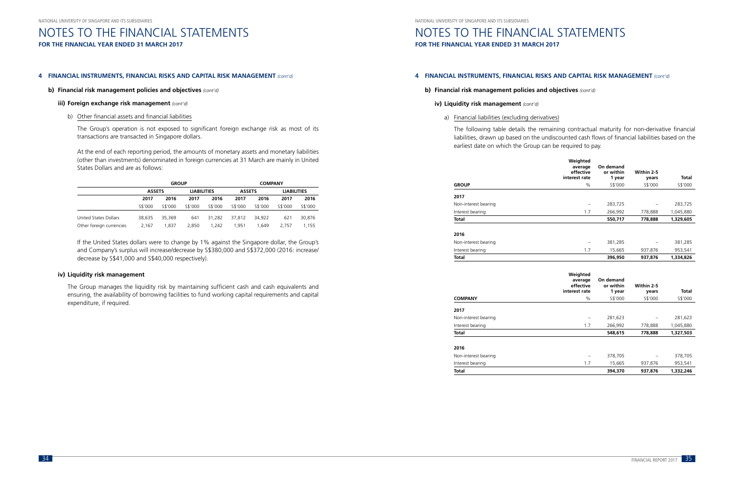#### **4 FINANCIAL INSTRUMENTS, FINANCIAL RISKS AND CAPITAL RISK MANAGEMENT** *(cont'd)*

**b) Financial risk management policies and objectives** *(cont'd)*

#### **iii) Foreign exchange risk management** *(cont'd)*

b) Other financial assets and financial liabilities

The Group's operation is not exposed to significant foreign exchange risk as most of its transactions are transacted in Singapore dollars.

At the end of each reporting period, the amounts of monetary assets and monetary liabilities (other than investments) denominated in foreign currencies at 31 March are mainly in United States Dollars and are as follows:

|                          | <b>GROUP</b> |                                     |         |         | <b>COMPANY</b> |         |                    |         |
|--------------------------|--------------|-------------------------------------|---------|---------|----------------|---------|--------------------|---------|
|                          |              | <b>ASSETS</b><br><b>LIABILITIES</b> |         |         | <b>ASSETS</b>  |         | <b>LIABILITIES</b> |         |
|                          | 2017         | 2016                                | 2017    | 2016    | 2017           | 2016    | 2017               | 2016    |
|                          | S\$'000      | S\$'000                             | S\$'000 | S\$'000 | S\$'000        | S\$'000 | S\$'000            | S\$'000 |
| United States Dollars    | 38.635       | 35,369                              | 641     | 31,282  | 37,812         | 34.922  | 621                | 30,876  |
| Other foreign currencies | 2.167        | 1.837                               | 2.850   | 1.242   | 1.951          | 1.649   | 2.757              | 1,155   |

If the United States dollars were to change by 1% against the Singapore dollar, the Group's and Company's surplus will increase/decrease by S\$380,000 and S\$372,000 (2016: increase/ decrease by S\$41,000 and S\$40,000 respectively).

#### **iv) Liquidity risk management**

The Group manages the liquidity risk by maintaining sufficient cash and cash equivalents and ensuring, the availability of borrowing facilities to fund working capital requirements and capital expenditure, if required.

NATIONAL UNIVERSITY OF SINGAPORE AND ITS SUBSIDIARIES

### NOTES TO THE FINANCIAL STATEMENTS **FOR THE FINANCIAL YEAR ENDED 31 MARCH 2017**

### **4 FINANCIAL INSTRUMENTS, FINANCIAL RISKS AND CAPITAL RISK MANAGEMENT** *(cont'd)*

#### **b) Financial risk management policies and objectives** *(cont'd)*

#### **iv) Liquidity risk management** *(cont'd)*

#### a) Financial liabilities (excluding derivatives)

The following table details the remaining contractual maturity for non-derivative financial liabilities, drawn up based on the undiscounted cash flows of financial liabilities based on the earliest date on which the Group can be required to pay.

|                      | Weighted<br>average<br>effective<br>interest rate | On demand<br>or within<br>1 year | Within 2-5<br>years | Total     |
|----------------------|---------------------------------------------------|----------------------------------|---------------------|-----------|
| <b>GROUP</b>         | $\%$                                              | S\$'000                          | S\$'000             | S\$'000   |
| 2017                 |                                                   |                                  |                     |           |
| Non-interest bearing | -                                                 | 283,725                          |                     | 283,725   |
| Interest bearing     | 1.7                                               | 266,992                          | 778,888             | 1,045,880 |
| <b>Total</b>         |                                                   | 550,717                          | 778,888             | 1,329,605 |
| 2016                 |                                                   |                                  |                     |           |
| Non-interest bearing | -                                                 | 381,285                          |                     | 381,285   |
| Interest bearing     | 1.7                                               | 15,665                           | 937,876             | 953,541   |
| Total                |                                                   | 396,950                          | 937,876             | 1,334,826 |

|                      | Weighted<br>average<br>effective<br>interest rate | On demand<br>or within<br>1 year | Within 2-5<br>years | Total     |
|----------------------|---------------------------------------------------|----------------------------------|---------------------|-----------|
| <b>COMPANY</b>       | %                                                 | S\$'000                          | S\$'000             | S\$'000   |
| 2017                 |                                                   |                                  |                     |           |
| Non-interest bearing |                                                   | 281,623                          |                     | 281,623   |
| Interest bearing     | 1.7                                               | 266,992                          | 778,888             | 1,045,880 |
| Total                |                                                   | 548,615                          | 778,888             | 1,327,503 |
| 2016                 |                                                   |                                  |                     |           |
| Non-interest bearing |                                                   | 378,705                          |                     | 378,705   |
| Interest bearing     | 1.7                                               | 15,665                           | 937,876             | 953,541   |
| <b>Total</b>         |                                                   | 394,370                          | 937,876             | 1,332,246 |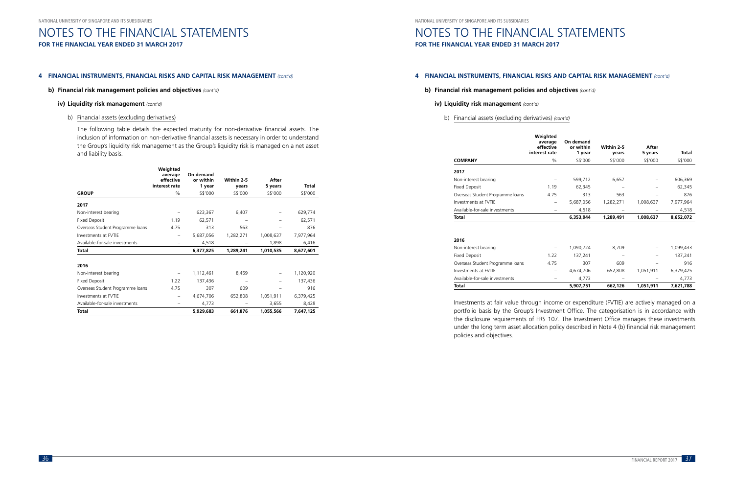#### **4 FINANCIAL INSTRUMENTS, FINANCIAL RISKS AND CAPITAL RISK MANAGEMENT** *(cont'd)*

**b) Financial risk management policies and objectives** *(cont'd)*

#### **iv) Liquidity risk management** *(cont'd)*

#### b) Financial assets (excluding derivatives)

The following table details the expected maturity for non-derivative financial assets. The inclusion of information on non-derivative financial assets is necessary in order to understand the Group's liquidity risk management as the Group's liquidity risk is managed on a net asset and liability basis.

|                                  | Weighted<br>average<br>effective<br>interest rate | On demand<br>or within<br>1 year | Within 2-5<br>vears | After<br>5 years | Total     |
|----------------------------------|---------------------------------------------------|----------------------------------|---------------------|------------------|-----------|
| <b>GROUP</b>                     | $\%$                                              | S\$'000                          | S\$'000             | S\$'000          | S\$'000   |
| 2017                             |                                                   |                                  |                     |                  |           |
| Non-interest bearing             |                                                   | 623,367                          | 6,407               |                  | 629,774   |
| <b>Fixed Deposit</b>             | 1.19                                              | 62,571                           |                     |                  | 62,571    |
| Overseas Student Programme loans | 4.75                                              | 313                              | 563                 |                  | 876       |
| Investments at FVTIE             |                                                   | 5,687,056                        | 1,282,271           | 1,008,637        | 7,977,964 |
| Available-for-sale investments   |                                                   | 4,518                            |                     | 1,898            | 6,416     |
| Total                            |                                                   | 6,377,825                        | 1,289,241           | 1,010,535        | 8,677,601 |
| 2016                             |                                                   |                                  |                     |                  |           |
| Non-interest bearing             |                                                   | 1,112,461                        | 8,459               |                  | 1,120,920 |
| <b>Fixed Deposit</b>             | 1.22                                              | 137,436                          |                     |                  | 137,436   |
| Overseas Student Programme loans | 4.75                                              | 307                              | 609                 |                  | 916       |
| Investments at FVTIE             | -                                                 | 4,674,706                        | 652,808             | 1,051,911        | 6,379,425 |
| Available-for-sale investments   |                                                   | 4,773                            |                     | 3,655            | 8,428     |
| Total                            |                                                   | 5,929,683                        | 661,876             | 1,055,566        | 7,647,125 |

NATIONAL UNIVERSITY OF SINGAPORE AND ITS SUBSIDIARIES

### NOTES TO THE FINANCIAL STATEMENTS **FOR THE FINANCIAL YEAR ENDED 31 MARCH 2017**

#### **4 FINANCIAL INSTRUMENTS, FINANCIAL RISKS AND CAPITAL RISK MANAGEMENT** *(cont'd)*

**b) Financial risk management policies and objectives** *(cont'd)*

#### **iv) Liquidity risk management** *(cont'd)*

#### b) Financial assets (excluding derivatives) *(cont'd)*

|                                  | Weighted<br>average<br>effective<br>interest rate | On demand<br>or within<br>1 year | Within 2-5<br>years | After<br>5 years | Total     |
|----------------------------------|---------------------------------------------------|----------------------------------|---------------------|------------------|-----------|
| <b>COMPANY</b>                   | $\%$                                              | S\$'000                          | S\$'000             | S\$'000          | S\$'000   |
| 2017                             |                                                   |                                  |                     |                  |           |
| Non-interest bearing             |                                                   | 599,712                          | 6,657               |                  | 606,369   |
| <b>Fixed Deposit</b>             | 1.19                                              | 62,345                           |                     |                  | 62,345    |
| Overseas Student Programme loans | 4.75                                              | 313                              | 563                 |                  | 876       |
| Investments at FVTIE             |                                                   | 5,687,056                        | 1,282,271           | 1,008,637        | 7,977,964 |
| Available-for-sale investments   |                                                   | 4,518                            |                     |                  | 4,518     |
| <b>Total</b>                     |                                                   | 6,353,944                        | 1,289,491           | 1,008,637        | 8,652,072 |
|                                  |                                                   |                                  |                     |                  |           |
| 2016                             |                                                   |                                  |                     |                  |           |
| Non-interest bearing             |                                                   | 1,090,724                        | 8,709               |                  | 1,099,433 |
| <b>Fixed Deposit</b>             | 1.22                                              | 137,241                          |                     |                  | 137,241   |
| Overseas Student Programme loans | 4.75                                              | 307                              | 609                 |                  | 916       |
| Investments at FVTIE             |                                                   | 4,674,706                        | 652,808             | 1,051,911        | 6,379,425 |
| Available-for-sale investments   |                                                   | 4,773                            |                     |                  | 4,773     |
| Total                            |                                                   | 5,907,751                        | 662,126             | 1,051,911        | 7,621,788 |

Investments at fair value through income or expenditure (FVTIE) are actively managed on a portfolio basis by the Group's Investment Office. The categorisation is in accordance with the disclosure requirements of FRS 107. The Investment Office manages these investments under the long term asset allocation policy described in Note 4 (b) financial risk management policies and objectives.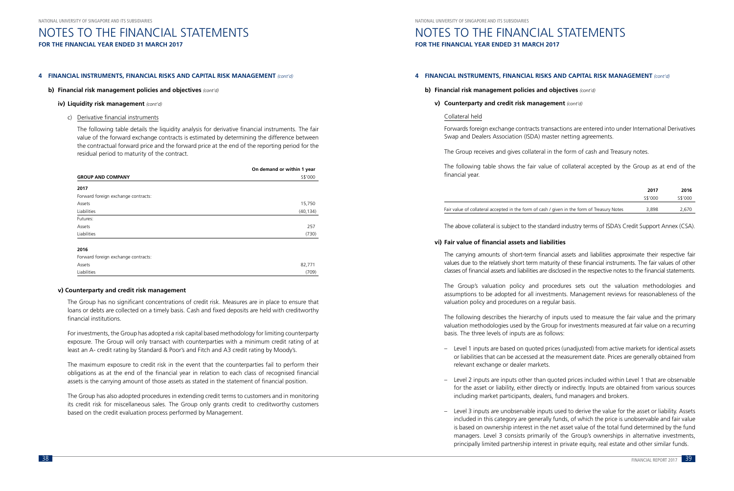#### **4 FINANCIAL INSTRUMENTS, FINANCIAL RISKS AND CAPITAL RISK MANAGEMENT** *(cont'd)*

**b) Financial risk management policies and objectives** *(cont'd)*

#### **iv) Liquidity risk management** *(cont'd)*

c) Derivative financial instruments

The following table details the liquidity analysis for derivative financial instruments. The fair value of the forward exchange contracts is estimated by determining the difference between the contractual forward price and the forward price at the end of the reporting period for the residual period to maturity of the contract.

|                                     | On demand or within 1 year |
|-------------------------------------|----------------------------|
| <b>GROUP AND COMPANY</b>            | S\$'000                    |
| 2017                                |                            |
| Forward foreign exchange contracts: |                            |
| Assets                              | 15,750                     |
| Liabilities                         | (40, 134)                  |
| Futures:                            |                            |
| Assets                              | 257                        |
| Liabilities                         | (730)                      |
| 2016                                |                            |
| Forward foreign exchange contracts: |                            |
| Assets                              | 82,771                     |
| Liabilities                         | (709)                      |

#### **v) Counterparty and credit risk management**

The Group has no significant concentrations of credit risk. Measures are in place to ensure that loans or debts are collected on a timely basis. Cash and fixed deposits are held with creditworthy financial institutions.

For investments, the Group has adopted a risk capital based methodology for limiting counterparty exposure. The Group will only transact with counterparties with a minimum credit rating of at least an A- credit rating by Standard & Poor's and Fitch and A3 credit rating by Moody's.

The maximum exposure to credit risk in the event that the counterparties fail to perform their obligations as at the end of the financial year in relation to each class of recognised financial assets is the carrying amount of those assets as stated in the statement of financial position.

The Group has also adopted procedures in extending credit terms to customers and in monitoring its credit risk for miscellaneous sales. The Group only grants credit to creditworthy customers based on the credit evaluation process performed by Management.

NATIONAL UNIVERSITY OF SINGAPORE AND ITS SUBSIDIARIES

### NOTES TO THE FINANCIAL STATEMENTS **FOR THE FINANCIAL YEAR ENDED 31 MARCH 2017**

#### **4 FINANCIAL INSTRUMENTS, FINANCIAL RISKS AND CAPITAL RISK MANAGEMENT** *(cont'd)*

#### **b) Financial risk management policies and objectives** *(cont'd)*

**v) Counterparty and credit risk management** *(cont'd)*

#### Collateral held

Forwards foreign exchange contracts transactions are entered into under International Derivatives Swap and Dealers Association (ISDA) master netting agreements.

The Group receives and gives collateral in the form of cash and Treasury notes.

The following table shows the fair value of collateral accepted by the Group as at end of the financial year.

|                                                                                             | 2017    | 2016    |
|---------------------------------------------------------------------------------------------|---------|---------|
|                                                                                             | S\$'000 | S\$'000 |
| Fair value of collateral accepted in the form of cash / given in the form of Treasury Notes | 3.898   | 2.670   |

The above collateral is subject to the standard industry terms of ISDA's Credit Support Annex (CSA).

#### **vi) Fair value of financial assets and liabilities**

The carrying amounts of short-term financial assets and liabilities approximate their respective fair values due to the relatively short term maturity of these financial instruments. The fair values of other classes of financial assets and liabilities are disclosed in the respective notes to the financial statements.

The Group's valuation policy and procedures sets out the valuation methodologies and assumptions to be adopted for all investments. Management reviews for reasonableness of the valuation policy and procedures on a regular basis.

The following describes the hierarchy of inputs used to measure the fair value and the primary valuation methodologies used by the Group for investments measured at fair value on a recurring basis. The three levels of inputs are as follows:

- Level 1 inputs are based on quoted prices (unadjusted) from active markets for identical assets or liabilities that can be accessed at the measurement date. Prices are generally obtained from relevant exchange or dealer markets.
- Level 2 inputs are inputs other than quoted prices included within Level 1 that are observable for the asset or liability, either directly or indirectly. Inputs are obtained from various sources including market participants, dealers, fund managers and brokers.
- Level 3 inputs are unobservable inputs used to derive the value for the asset or liability. Assets included in this category are generally funds, of which the price is unobservable and fair value is based on ownership interest in the net asset value of the total fund determined by the fund managers. Level 3 consists primarily of the Group's ownerships in alternative investments, principally limited partnership interest in private equity, real estate and other similar funds.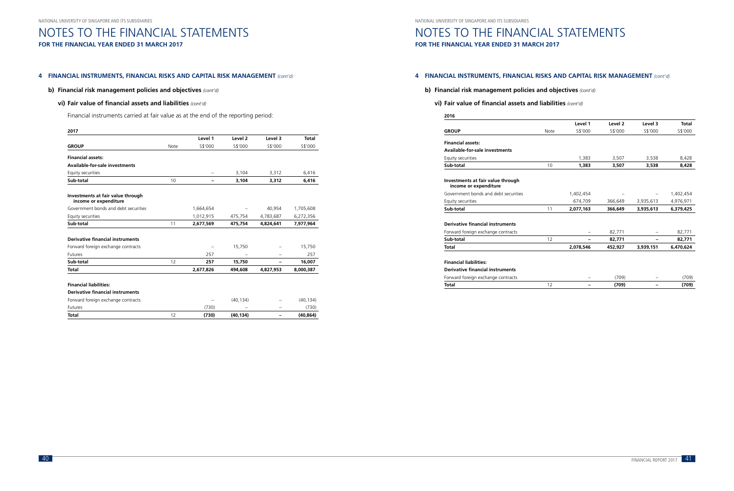#### **4 FINANCIAL INSTRUMENTS, FINANCIAL RISKS AND CAPITAL RISK MANAGEMENT** *(cont'd)*

**b) Financial risk management policies and objectives** *(cont'd)*

#### **vi) Fair value of financial assets and liabilities** *(cont'd)*

Financial instruments carried at fair value as at the end of the reporting period:

| 2017                                                       |      |                          |           |                          |           |
|------------------------------------------------------------|------|--------------------------|-----------|--------------------------|-----------|
|                                                            |      | Level 1                  | Level 2   | Level 3                  | Total     |
| <b>GROUP</b>                                               | Note | S\$'000                  | S\$'000   | S\$'000                  | S\$'000   |
| <b>Financial assets:</b>                                   |      |                          |           |                          |           |
| Available-for-sale investments                             |      |                          |           |                          |           |
| Equity securities                                          |      | $\overline{\phantom{0}}$ | 3,104     | 3,312                    | 6,416     |
| Sub-total                                                  | 10   |                          | 3,104     | 3,312                    | 6,416     |
| Investments at fair value through<br>income or expenditure |      |                          |           |                          |           |
| Government bonds and debt securities                       |      | 1,664,654                |           | 40,954                   | 1,705,608 |
| Equity securities                                          |      | 1,012,915                | 475,754   | 4,783,687                | 6,272,356 |
| Sub-total                                                  | 11   | 2,677,569                | 475,754   | 4,824,641                | 7,977,964 |
| <b>Derivative financial instruments</b>                    |      |                          |           |                          |           |
| Forward foreign exchange contracts                         |      |                          | 15,750    |                          | 15,750    |
| Futures                                                    |      | 257                      |           |                          | 257       |
| Sub-total                                                  | 12   | 257                      | 15,750    | $\overline{\phantom{0}}$ | 16,007    |
| <b>Total</b>                                               |      | 2,677,826                | 494,608   | 4,827,953                | 8,000,387 |
| <b>Financial liabilities:</b>                              |      |                          |           |                          |           |
| <b>Derivative financial instruments</b>                    |      |                          |           |                          |           |
| Forward foreign exchange contracts                         |      |                          | (40, 134) |                          | (40, 134) |
| Futures                                                    |      | (730)                    |           |                          | (730)     |
| <b>Total</b>                                               | 12   | (730)                    | (40,134)  |                          | (40, 864) |

NATIONAL UNIVERSITY OF SINGAPORE AND ITS SUBSIDIARIES

### NOTES TO THE FINANCIAL STATEMENTS **FOR THE FINANCIAL YEAR ENDED 31 MARCH 2017**

#### **4 FINANCIAL INSTRUMENTS, FINANCIAL RISKS AND CAPITAL RISK MANAGEMENT** *(cont'd)*

**b) Financial risk management policies and objectives** *(cont'd)*

#### **vi) Fair value of financial assets and liabilities** *(cont'd)*

|                                                            |      | Level 1   | Level 2 | Level 3   | Total     |
|------------------------------------------------------------|------|-----------|---------|-----------|-----------|
| <b>GROUP</b>                                               | Note | S\$'000   | S\$'000 | S\$'000   | S\$'000   |
| <b>Financial assets:</b>                                   |      |           |         |           |           |
| Available-for-sale investments                             |      |           |         |           |           |
| Equity securities                                          |      | 1.383     | 3,507   | 3,538     | 8,428     |
| Sub-total                                                  | 10   | 1,383     | 3,507   | 3,538     | 8,428     |
| Investments at fair value through<br>income or expenditure |      |           |         |           |           |
| Government bonds and debt securities                       |      | 1,402,454 |         |           | 1,402,454 |
| Equity securities                                          |      | 674,709   | 366.649 | 3,935,613 | 4,976,971 |
| Sub-total                                                  | 11   | 2,077,163 | 366,649 | 3.935.613 | 6,379,425 |
| <b>Derivative financial instruments</b>                    |      |           |         |           |           |
| Forward foreign exchange contracts                         |      |           | 82,771  |           | 82,771    |
| Sub-total                                                  | 12   | -         | 82,771  |           | 82,771    |
| Total                                                      |      | 2,078,546 | 452,927 | 3,939,151 | 6,470,624 |
| <b>Financial liabilities:</b>                              |      |           |         |           |           |
| <b>Derivative financial instruments</b>                    |      |           |         |           |           |
| Forward foreign exchange contracts                         |      |           | (709)   |           | (709)     |
| Total                                                      | 12   |           | (709)   |           | (709)     |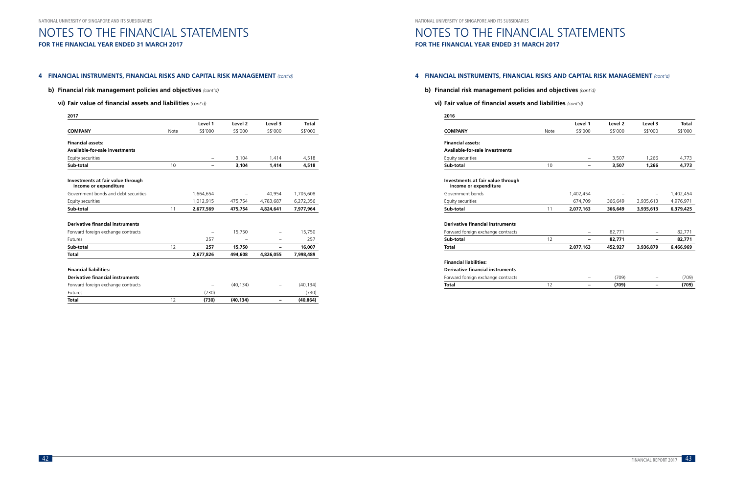#### **4 FINANCIAL INSTRUMENTS, FINANCIAL RISKS AND CAPITAL RISK MANAGEMENT** *(cont'd)*

### **b) Financial risk management policies and objectives** *(cont'd)*

#### **vi) Fair value of financial assets and liabilities** *(cont'd)*

| 2017                                                       |      |           |           |           |              |
|------------------------------------------------------------|------|-----------|-----------|-----------|--------------|
|                                                            |      | Level 1   | Level 2   | Level 3   | <b>Total</b> |
| <b>COMPANY</b>                                             | Note | S\$'000   | S\$'000   | S\$'000   | S\$'000      |
| <b>Financial assets:</b>                                   |      |           |           |           |              |
| Available-for-sale investments                             |      |           |           |           |              |
| Equity securities                                          |      |           | 3,104     | 1,414     | 4,518        |
| Sub-total                                                  | 10   | -         | 3,104     | 1,414     | 4,518        |
| Investments at fair value through<br>income or expenditure |      |           |           |           |              |
| Government bonds and debt securities                       |      | 1,664,654 |           | 40,954    | 1,705,608    |
| Equity securities                                          |      | 1,012,915 | 475,754   | 4,783,687 | 6,272,356    |
| Sub-total                                                  | 11   | 2,677,569 | 475,754   | 4,824,641 | 7,977,964    |
| <b>Derivative financial instruments</b>                    |      |           |           |           |              |
| Forward foreign exchange contracts                         |      |           | 15,750    |           | 15,750       |
| Futures                                                    |      | 257       |           |           | 257          |
| Sub-total                                                  | 12   | 257       | 15,750    |           | 16,007       |
| Total                                                      |      | 2,677,826 | 494,608   | 4,826,055 | 7,998,489    |
| <b>Financial liabilities:</b>                              |      |           |           |           |              |
| <b>Derivative financial instruments</b>                    |      |           |           |           |              |
| Forward foreign exchange contracts                         |      |           | (40, 134) |           | (40, 134)    |
| <b>Futures</b>                                             |      | (730)     |           |           | (730)        |
| <b>Total</b>                                               | 12   | (730)     | (40.134)  |           | (40.864)     |

NATIONAL UNIVERSITY OF SINGAPORE AND ITS SUBSIDIARIES

### NOTES TO THE FINANCIAL STATEMENTS **FOR THE FINANCIAL YEAR ENDED 31 MARCH 2017**

#### **4 FINANCIAL INSTRUMENTS, FINANCIAL RISKS AND CAPITAL RISK MANAGEMENT** *(cont'd)*

#### **b) Financial risk management policies and objectives** *(cont'd)*

#### **vi) Fair value of financial assets and liabilities** *(cont'd)*

|                                                            |      | Level 1                  | Level 2 | Level 3                  | Total     |
|------------------------------------------------------------|------|--------------------------|---------|--------------------------|-----------|
| <b>COMPANY</b>                                             | Note | S\$'000                  | S\$'000 | S\$'000                  | S\$'000   |
| <b>Financial assets:</b>                                   |      |                          |         |                          |           |
| Available-for-sale investments                             |      |                          |         |                          |           |
| Equity securities                                          |      | $\overline{\phantom{a}}$ | 3.507   | 1.266                    | 4,773     |
| Sub-total                                                  | 10   |                          | 3,507   | 1,266                    | 4,773     |
| Investments at fair value through<br>income or expenditure |      |                          |         |                          |           |
| Government bonds                                           |      | 1,402,454                |         |                          | 1,402,454 |
| Equity securities                                          |      | 674,709                  | 366,649 | 3,935,613                | 4,976,971 |
| Sub-total                                                  | 11   | 2,077,163                | 366,649 | 3,935,613                | 6,379,425 |
| <b>Derivative financial instruments</b>                    |      |                          |         |                          |           |
| Forward foreign exchange contracts                         |      |                          | 82,771  |                          | 82,771    |
| Sub-total                                                  | 12   |                          | 82,771  |                          | 82,771    |
| Total                                                      |      | 2,077,163                | 452,927 | 3,936,879                | 6,466,969 |
| <b>Financial liabilities:</b>                              |      |                          |         |                          |           |
| <b>Derivative financial instruments</b>                    |      |                          |         |                          |           |
| Forward foreign exchange contracts                         |      | $\overline{\phantom{0}}$ | (709)   | $\overline{\phantom{0}}$ | (709)     |
|                                                            |      |                          |         |                          |           |

42 FINANCIAL REPORT 2017 43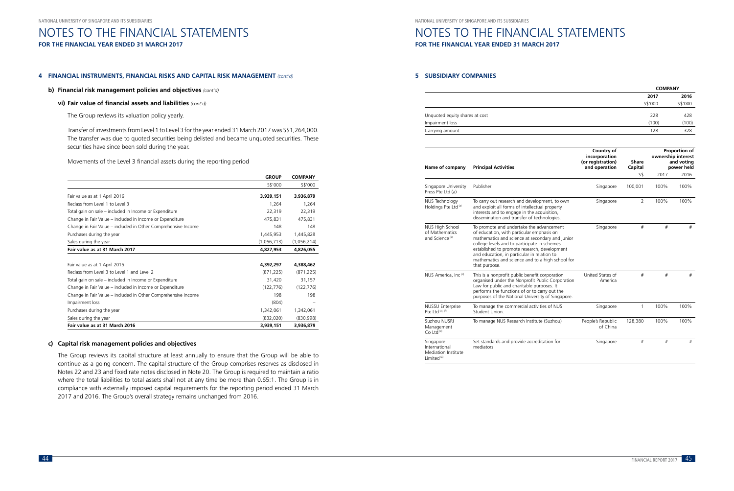### **4 FINANCIAL INSTRUMENTS, FINANCIAL RISKS AND CAPITAL RISK MANAGEMENT** *(cont'd)*

- **b) Financial risk management policies and objectives** *(cont'd)*
	- **vi) Fair value of financial assets and liabilities** *(cont'd)*

The Group reviews its valuation policy yearly.

Transfer of investments from Level 1 to Level 3 for the year ended 31 March 2017 was S\$1,264,000. The transfer was due to quoted securities being delisted and became unquoted securities. These securities have since been sold during the year.

Movements of the Level 3 financial assets during the reporting period

|                                                               | <b>GROUP</b> | <b>COMPANY</b> |
|---------------------------------------------------------------|--------------|----------------|
|                                                               | S\$'000      | S\$'000        |
| Fair value as at 1 April 2016                                 | 3,939,151    | 3,936,879      |
| Reclass from Level 1 to Level 3                               | 1.264        | 1,264          |
| Total gain on sale - included in Income or Expenditure        | 22,319       | 22,319         |
| Change in Fair Value – included in Income or Expenditure      | 475,831      | 475,831        |
| Change in Fair Value – included in Other Comprehensive Income | 148          | 148            |
| Purchases during the year                                     | 1,445,953    | 1,445,828      |
| Sales during the year                                         | (1,056,713)  | (1,056,214)    |
| Fair value as at 31 March 2017                                | 4,827,953    | 4,826,055      |
|                                                               |              |                |
| Fair value as at 1 April 2015                                 | 4,392,297    | 4,388,462      |
| Reclass from Level 3 to Level 1 and Level 2                   | (871, 225)   | (871, 225)     |
| Total gain on sale – included in Income or Expenditure        | 31,420       | 31,157         |
| Change in Fair Value - included in Income or Expenditure      | (122, 776)   | (122, 776)     |
| Change in Fair Value – included in Other Comprehensive Income | 198          | 198            |
| Impairment loss                                               | (804)        |                |
| Purchases during the year                                     | 1,342,061    | 1,342,061      |
| Sales during the year                                         | (832,020)    | (830,998)      |
| Fair value as at 31 March 2016                                | 3,939,151    | 3,936,879      |

#### **c) Capital risk management policies and objectives**

The Group reviews its capital structure at least annually to ensure that the Group will be able to continue as a going concern. The capital structure of the Group comprises reserves as disclosed in Notes 22 and 23 and fixed rate notes disclosed in Note 20. The Group is required to maintain a ratio where the total liabilities to total assets shall not at any time be more than 0.65:1. The Group is in compliance with externally imposed capital requirements for the reporting period ended 31 March 2017 and 2016. The Group's overall strategy remains unchanged from 2016.

### NOTES TO THE FINANCIAL STATEMENTS **FOR THE FINANCIAL YEAR ENDED 31 MARCH 2017**

#### **5 SUBSIDIARY COMPANIES**

|                                |         | <b>COMPANY</b> |
|--------------------------------|---------|----------------|
|                                | 2017    | 2016           |
|                                | S\$'000 | S\$'000        |
| Unquoted equity shares at cost | 228     | 428            |
| Impairment loss                | (100)   | (100)          |
| Carrying amount                | 128     | 328            |
|                                |         |                |

| Name of company                                                             | <b>Principal Activities</b>                                                                                                                                                                                                                                                                                                                                  | Country of<br>incorporation<br>(or registration)<br>and operation | Share<br>Capital | ownership interest | Proportion of<br>and voting<br>power held |
|-----------------------------------------------------------------------------|--------------------------------------------------------------------------------------------------------------------------------------------------------------------------------------------------------------------------------------------------------------------------------------------------------------------------------------------------------------|-------------------------------------------------------------------|------------------|--------------------|-------------------------------------------|
|                                                                             |                                                                                                                                                                                                                                                                                                                                                              |                                                                   | S\$              | 2017               | 2016                                      |
| Singapore University<br>Press Pte Ltd (a)                                   | Publisher                                                                                                                                                                                                                                                                                                                                                    | Singapore                                                         | 100,001          | 100%               | 100%                                      |
| NUS Technology<br>Holdings Pte Ltd (a)                                      | To carry out research and development, to own<br>and exploit all forms of intellectual property<br>interests and to engage in the acquisition,<br>dissemination and transfer of technologies.                                                                                                                                                                | Singapore                                                         | 2                | 100%               | 100%                                      |
| NUS High School<br>of Mathematics<br>and Science <sup>(a)</sup>             | To promote and undertake the advancement<br>of education, with particular emphasis on<br>mathematics and science at secondary and junior<br>college levels and to participate in schemes<br>established to promote research, development<br>and education, in particular in relation to<br>mathematics and science and to a high school for<br>that purpose. | Singapore                                                         | #                | #                  | #                                         |
| NUS America, Inc (d)                                                        | This is a nonprofit public benefit corporation<br>organised under the Nonprofit Public Corporation<br>Law for public and charitable purposes. It<br>performs the functions of or to carry out the<br>purposes of the National University of Singapore.                                                                                                       | United States of<br>America                                       | #                | #                  | #                                         |
| <b>NUSSU Enterprise</b><br>Pte Ltd <sup>(c), (f)</sup>                      | To manage the commercial activities of NUS<br>Student Union.                                                                                                                                                                                                                                                                                                 | Singapore                                                         | 1                | 100%               | 100%                                      |
| Suzhou NUSRI<br>Management<br>$Co$ Ltd $(e)$                                | To manage NUS Research Institute (Suzhou)                                                                                                                                                                                                                                                                                                                    | People's Republic<br>of China                                     | 128,380          | 100%               | 100%                                      |
| Singapore<br>International<br>Mediation Institute<br>Limited <sup>(a)</sup> | Set standards and provide accreditation for<br>mediators                                                                                                                                                                                                                                                                                                     | Singapore                                                         | #                | #                  | #                                         |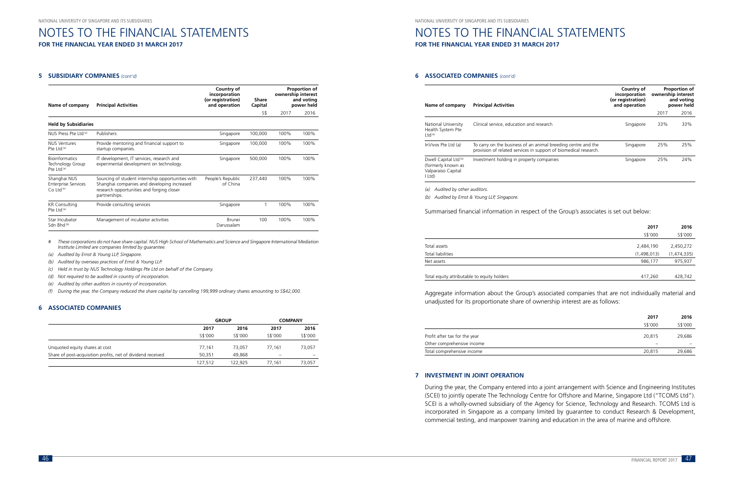#### **5 SUBSIDIARY COMPANIES** *(cont'd)*

| Name of company                                                            | <b>Principal Activities</b>                                                                                                                                    | Country of<br>incorporation<br>(or registration)<br>and operation | Share<br>Capital |      | Proportion of<br>ownership interest<br>and voting<br>power held |
|----------------------------------------------------------------------------|----------------------------------------------------------------------------------------------------------------------------------------------------------------|-------------------------------------------------------------------|------------------|------|-----------------------------------------------------------------|
|                                                                            |                                                                                                                                                                |                                                                   | S\$              | 2017 | 2016                                                            |
| <b>Held by Subsidiaries</b>                                                |                                                                                                                                                                |                                                                   |                  |      |                                                                 |
| NUS Press Pte Ltd (a)                                                      | Publishers                                                                                                                                                     | Singapore                                                         | 100,000          | 100% | 100%                                                            |
| <b>NUS Ventures</b><br>Pte Ltd <sup>(a)</sup>                              | Provide mentoring and financial support to<br>startup companies.                                                                                               | Singapore                                                         | 100,000          | 100% | 100%                                                            |
| <b>Bioinformatics</b><br><b>Technology Group</b><br>Pte Ltd <sup>(a)</sup> | IT development, IT services, research and<br>experimental development on technology.                                                                           | Singapore                                                         | 500,000          | 100% | 100%                                                            |
| Shanghai NUS<br><b>Enterprise Services</b><br>$Co$ Ltd $(e)$               | Sourcing of student internship opportunities with<br>Shanghai companies and developing increased<br>research opportunities and forging closer<br>partnerships. | People's Republic<br>of China                                     | 237,440          | 100% | 100%                                                            |
| <b>KR Consulting</b><br>Pte Ltd $(a)$                                      | Provide consulting services                                                                                                                                    | Singapore                                                         |                  | 100% | 100%                                                            |
| Star Incubator<br>Sdn Bhd <sup>(b)</sup>                                   | Management of incubator activities                                                                                                                             | <b>Brunei</b><br>Darussalam                                       | 100              | 100% | 100%                                                            |

- *# These corporations do not have share capital. NUS High School of Mathematics and Science and Singapore International Mediation Institute Limited are companies limited by guarantee.*
- *(a) Audited by Ernst & Young LLP, Singapore.*
- *(b) Audited by overseas practices of Ernst & Young LLP.*
- *(c) Held in trust by NUS Technology Holdings Pte Ltd on behalf of the Company.*
- *(d) Not required to be audited in country of incorporation.*
- *(e) Audited by other auditors in country of incorporation.*
- *(f) During the year, the Company reduced the share capital by cancelling 199,999 ordinary shares amounting to S\$42,000.*

#### **6 ASSOCIATED COMPANIES**

|                                                             | <b>GROUP</b> |         |         | <b>COMPANY</b> |
|-------------------------------------------------------------|--------------|---------|---------|----------------|
|                                                             | 2017         | 2016    | 2017    | 2016           |
|                                                             | S\$'000      | S\$'000 | S\$'000 | S\$'000        |
| Unquoted equity shares at cost                              | 77,161       | 73,057  | 77.161  | 73,057         |
| Share of post-acquisition profits, net of dividend received | 50,351       | 49.868  | $\sim$  |                |
|                                                             | 127,512      | 122.925 | 77.161  | 73.057         |

### NOTES TO THE FINANCIAL STATEMENTS **FOR THE FINANCIAL YEAR ENDED 31 MARCH 2017**

#### **6 ASSOCIATED COMPANIES** *(cont'd)*

| Name of company                                                                        | <b>Principal Activities</b>                                                                                                       | Country of<br>incorporation<br>(or registration)<br>and operation | Proportion of<br>ownership interest<br>and voting<br>power held |      |  |
|----------------------------------------------------------------------------------------|-----------------------------------------------------------------------------------------------------------------------------------|-------------------------------------------------------------------|-----------------------------------------------------------------|------|--|
|                                                                                        |                                                                                                                                   |                                                                   | 2017                                                            | 2016 |  |
| National University<br>Health System Pte<br>Ltd <sub>(a)</sub>                         | Clinical service, education and research                                                                                          | Singapore                                                         | 33%                                                             | 33%  |  |
| InVivos Pte Ltd (a)                                                                    | To carry on the business of an animal breeding centre and the<br>provision of related services in support of biomedical research. | Singapore                                                         | 25%                                                             | 25%  |  |
| Dwell Capital Ltd <sup>(b)</sup><br>(formerly known as<br>Valparaiso Capital<br>I Ltd) | Investment holding in property companies                                                                                          | Singapore                                                         | 25%                                                             | 24%  |  |

*(a) Audited by other auditors.*

*(b) Audited by Ernst & Young LLP, Singapore.*

Summarised financial information in respect of the Group's associates is set out below:

|                                             | 2017        | 2016        |
|---------------------------------------------|-------------|-------------|
|                                             | S\$'000     | S\$'000     |
| Total assets                                | 2,484,190   | 2,450,272   |
| <b>Total liabilities</b>                    | (1,498,013) | (1,474,335) |
| Net assets                                  | 986,177     | 975,937     |
|                                             |             |             |
| Total equity attributable to equity holders | 417,260     | 428,742     |

Aggregate information about the Group's associated companies that are not individually material and unadjusted for its proportionate share of ownership interest are as follows:

|                               | 2017                     | 2016                     |
|-------------------------------|--------------------------|--------------------------|
|                               | S\$'000                  | S\$'000                  |
| Profit after tax for the year | 20,815                   | 29,686                   |
| Other comprehensive income    | $\overline{\phantom{a}}$ | $\overline{\phantom{a}}$ |
| Total comprehensive income    | 20.815                   | 29,686                   |

#### **7 INVESTMENT IN JOINT OPERATION**

During the year, the Company entered into a joint arrangement with Science and Engineering Institutes (SCEI) to jointly operate The Technology Centre for Offshore and Marine, Singapore Ltd ("TCOMS Ltd"). SCEI is a wholly-owned subsidiary of the Agency for Science, Technology and Research. TCOMS Ltd is incorporated in Singapore as a company limited by guarantee to conduct Research & Development, commercial testing, and manpower training and education in the area of marine and offshore.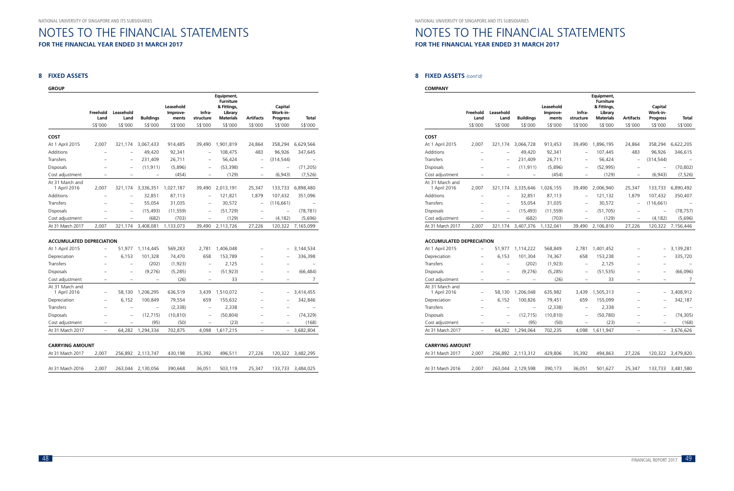#### **8 FIXED ASSETS**

**GROUP**

|                                                    | Freehold                 | Leasehold                |                   | Leasehold<br>Improve- | Infra-                   | Equipment,<br><b>Furniture</b><br>& Fittings,<br>Library |                          | Capital<br>Work-in-      |              |
|----------------------------------------------------|--------------------------|--------------------------|-------------------|-----------------------|--------------------------|----------------------------------------------------------|--------------------------|--------------------------|--------------|
|                                                    | Land                     | Land                     | <b>Buildings</b>  | ments                 | structure                | <b>Materials</b>                                         | <b>Artifacts</b>         | Progress                 | <b>Total</b> |
|                                                    | S\$'000                  | S\$'000                  | S\$'000           | S\$'000               | S\$'000                  | S\$'000                                                  | S\$'000                  | S\$'000                  | S\$'000      |
| <b>COST</b>                                        |                          |                          |                   |                       |                          |                                                          |                          |                          |              |
| At 1 April 2015                                    | 2,007                    | 321,174                  | 3,067,433         | 914,485               | 39,490                   | 1,901,819                                                | 24,864                   | 358,294                  | 6,629,566    |
| Additions                                          |                          |                          | 49,420            | 92,341                | $\overline{\phantom{a}}$ | 108,475                                                  | 483                      | 96,926                   | 347,645      |
| Transfers                                          |                          |                          | 231,409           | 26,711                |                          | 56,424                                                   | $\overline{\phantom{0}}$ | (314, 544)               |              |
| Disposals                                          |                          |                          | (11, 911)         | (5,896)               |                          | (53, 398)                                                |                          |                          | (71, 205)    |
| Cost adjustment                                    |                          |                          |                   | (454)                 |                          | (129)                                                    |                          | (6,943)                  | (7, 526)     |
| At 31 March and<br>1 April 2016                    | 2,007                    | 321,174                  | 3,336,351         | 1,027,187             | 39,490                   | 2,013,191                                                | 25,347                   | 133,733                  | 6,898,480    |
| Additions                                          |                          |                          | 32,851            | 87,113                | $\qquad \qquad -$        | 121,821                                                  | 1,879                    | 107,432                  | 351,096      |
| Transfers                                          |                          | ۳                        | 55,054            | 31,035                | $\overline{\phantom{a}}$ | 30,572                                                   | $\qquad \qquad -$        | (116, 661)               |              |
| <b>Disposals</b>                                   |                          |                          | (15, 493)         | (11, 559)             |                          | (51, 729)                                                |                          | $\overline{\phantom{a}}$ | (78, 781)    |
| Cost adjustment                                    |                          |                          | (682)             | (703)                 |                          | (129)                                                    |                          | (4, 182)                 | (5,696)      |
| At 31 March 2017                                   | 2,007                    | 321,174                  | 3,408,081         | 1,133,073             | 39,490                   | 2,113,726                                                | 27,226                   | 120,322                  | 7,165,099    |
| <b>ACCUMULATED DEPRECIATION</b><br>At 1 April 2015 |                          | 51,977                   | 1,114,445         | 569,283               | 2,781                    | 1,406,048                                                |                          |                          | 3,144,534    |
| Depreciation                                       | $\overline{\phantom{0}}$ | 6,153                    | 101,328           | 74,470                | 658                      | 153,789                                                  |                          |                          | 336,398      |
| Transfers                                          |                          | $\overline{\phantom{0}}$ | (202)             | (1,923)               | $\qquad \qquad -$        | 2,125                                                    |                          | ۰                        |              |
| Disposals                                          |                          | $\overline{\phantom{a}}$ | (9,276)           | (5,285)               | $\overline{\phantom{0}}$ | (51, 923)                                                |                          | $\overline{\phantom{0}}$ | (66, 484)    |
| Cost adjustment                                    | $\overline{\phantom{a}}$ | $\qquad \qquad -$        | $\qquad \qquad -$ | (26)                  | $\qquad \qquad -$        | 33                                                       | $\overline{\phantom{0}}$ | $\qquad \qquad -$        | 7            |
| At 31 March and<br>1 April 2016                    | $\overline{\phantom{0}}$ | 58,130                   | 1,206,295         | 636,519               | 3,439                    | 1,510,072                                                |                          |                          | 3,414,455    |
| Depreciation                                       | $\overline{\phantom{0}}$ | 6,152                    | 100,849           | 79,554                | 659                      | 155,632                                                  |                          |                          | 342,846      |
| Transfers                                          | $\overline{\phantom{0}}$ | L.                       | $\qquad \qquad -$ | (2,338)               | L.                       | 2,338                                                    |                          |                          |              |
| <b>Disposals</b>                                   |                          | $\overline{\phantom{a}}$ | (12, 715)         | (10, 810)             | $\overline{\phantom{a}}$ | (50, 804)                                                |                          |                          | (74, 329)    |
| Cost adjustment                                    | $\overline{\phantom{0}}$ | $\overline{\phantom{0}}$ | (95)              | (50)                  | $\overline{\phantom{a}}$ | (23)                                                     | ۰                        |                          | (168)        |
| At 31 March 2017                                   | $\equiv$                 | 64,282                   | 1,294,334         | 702,875               | 4,098                    | 1,617,215                                                | L.                       |                          | 3,682,804    |
| <b>CARRYING AMOUNT</b>                             |                          |                          |                   |                       |                          |                                                          |                          |                          |              |
| At 31 March 2017                                   | 2,007                    | 256,892                  | 2,113,747         | 430,198               | 35,392                   | 496,511                                                  | 27,226                   | 120,322                  | 3,482,295    |
| At 31 March 2016                                   | 2,007                    | 263,044                  | 2,130,056         | 390,668               | 36,051                   | 503,119                                                  | 25,347                   | 133,733                  | 3,484,025    |

NATIONAL UNIVERSITY OF SINGAPORE AND ITS SUBSIDIARIES

### NOTES TO THE FINANCIAL STATEMENTS **FOR THE FINANCIAL YEAR ENDED 31 MARCH 2017**

#### **8 FIXED ASSETS** *(cont'd)*

|                                                    | Freehold<br>Land         | Leasehold<br>Land        | <b>Buildings</b>         | Leasehold<br>Improve-<br>ments | Infra-<br>structure      | Equipment,<br><b>Furniture</b><br>& Fittings,<br>Library<br><b>Materials</b> | <b>Artifacts</b>         | Capital<br>Work-in-<br><b>Progress</b> | Total     |
|----------------------------------------------------|--------------------------|--------------------------|--------------------------|--------------------------------|--------------------------|------------------------------------------------------------------------------|--------------------------|----------------------------------------|-----------|
|                                                    | S\$'000                  | S\$'000                  | S\$'000                  | S\$'000                        | S\$'000                  | S\$'000                                                                      | S\$'000                  | S\$'000                                | S\$'000   |
| <b>COST</b>                                        |                          |                          |                          |                                |                          |                                                                              |                          |                                        |           |
| At 1 April 2015                                    | 2,007                    | 321,174                  | 3,066,728                | 913,453                        | 39,490                   | 1,896,195                                                                    | 24,864                   | 358,294                                | 6,622,205 |
| <b>Additions</b>                                   | $\overline{\phantom{0}}$ | L.                       | 49,420                   | 92,341                         | $\overline{\phantom{0}}$ | 107,445                                                                      | 483                      | 96,926                                 | 346,615   |
| Transfers                                          | $\overline{\phantom{0}}$ | $\overline{\phantom{0}}$ | 231,409                  | 26,711                         | $\overline{\phantom{0}}$ | 56,424                                                                       | $\qquad \qquad -$        | (314, 544)                             |           |
| <b>Disposals</b>                                   | $\overline{\phantom{a}}$ | $\overline{\phantom{0}}$ | (11, 911)                | (5,896)                        | $\overline{\phantom{0}}$ | (52, 995)                                                                    | $\overline{\phantom{a}}$ | $\qquad \qquad -$                      | (70, 802) |
| Cost adjustment                                    | $\overline{\phantom{0}}$ | -                        | $\overline{\phantom{a}}$ | (454)                          | $\overline{\phantom{m}}$ | (129)                                                                        | $\overline{\phantom{m}}$ | (6, 943)                               | (7, 526)  |
| At 31 March and<br>1 April 2016                    | 2,007                    | 321,174                  | 3,335,646                | 1,026,155                      | 39,490                   | 2,006,940                                                                    | 25,347                   | 133,733                                | 6,890,492 |
| Additions                                          | $\overline{\phantom{0}}$ | ÷,                       | 32,851                   | 87,113                         | L.                       | 121,132                                                                      | 1,879                    | 107,432                                | 350,407   |
| Transfers                                          |                          |                          | 55,054                   | 31,035                         |                          | 30,572                                                                       | $\overline{\phantom{0}}$ | (116, 661)                             |           |
| <b>Disposals</b>                                   |                          |                          | (15, 493)                | (11, 559)                      |                          | (51, 705)                                                                    |                          | $\overline{\phantom{0}}$               | (78, 757) |
| Cost adjustment                                    |                          |                          | (682)                    | (703)                          |                          | (129)                                                                        |                          | (4, 182)                               | (5,696)   |
| At 31 March 2017                                   | 2.007                    | 321,174                  | 3,407,376                | 1,132,041                      | 39.490                   | 2,106,810                                                                    | 27,226                   | 120,322                                | 7,156,446 |
| <b>ACCUMULATED DEPRECIATION</b><br>At 1 April 2015 |                          | 51,977                   | 1,114,222                | 568,849                        | 2,781                    | 1,401,452                                                                    |                          |                                        | 3,139,281 |
| Depreciation                                       |                          | 6,153                    | 101,304                  | 74,367                         | 658                      | 153,238                                                                      |                          |                                        | 335,720   |
| Transfers                                          |                          | $\overline{\phantom{0}}$ | (202)                    | (1, 923)                       | $\qquad \qquad -$        | 2,125                                                                        |                          |                                        |           |
| <b>Disposals</b>                                   |                          | L.                       | (9,276)                  | (5,285)                        | ÷                        | (51, 535)                                                                    |                          |                                        | (66,096)  |
| Cost adjustment                                    |                          | L.                       |                          | (26)                           | ÷                        | 33                                                                           | $=$                      | $\equiv$                               | 7         |
| At 31 March and<br>1 April 2016                    | ÷                        | 58,130                   | 1,206,048                | 635,982                        | 3,439                    | 1,505,313                                                                    | ÷,                       | $\overline{\phantom{0}}$               | 3,408,912 |
| Depreciation                                       |                          | 6,152                    | 100,826                  | 79,451                         | 659                      | 155,099                                                                      |                          | ۳                                      | 342,187   |
| Transfers                                          |                          | $\overline{\phantom{0}}$ | $\overline{\phantom{0}}$ | (2,338)                        | $\overline{\phantom{a}}$ | 2,338                                                                        | ۳                        | ۳                                      |           |
| <b>Disposals</b>                                   | L.                       | $\overline{\phantom{0}}$ | (12, 715)                | (10, 810)                      | L.                       | (50, 780)                                                                    | ۳                        | $\equiv$                               | (74, 305) |
| Cost adjustment                                    | $\overline{\phantom{0}}$ | $\equiv$                 | (95)                     | (50)                           |                          | (23)                                                                         | ÷                        |                                        | (168)     |
| At 31 March 2017                                   | $\overline{\phantom{0}}$ | 64,282                   | 1,294,064                | 702,235                        | 4.098                    | 1,611,947                                                                    | ÷,                       | $\overline{\phantom{0}}$               | 3,676,626 |
| <b>CARRYING AMOUNT</b>                             |                          |                          |                          |                                |                          |                                                                              |                          |                                        |           |
| At 31 March 2017                                   | 2,007                    | 256,892                  | 2,113,312                | 429,806                        | 35,392                   | 494,863                                                                      | 27,226                   | 120,322                                | 3,479,820 |
| At 31 March 2016                                   | 2,007                    | 263,044                  | 2,129,598                | 390,173                        | 36,051                   | 501,627                                                                      | 25,347                   | 133,733                                | 3,481,580 |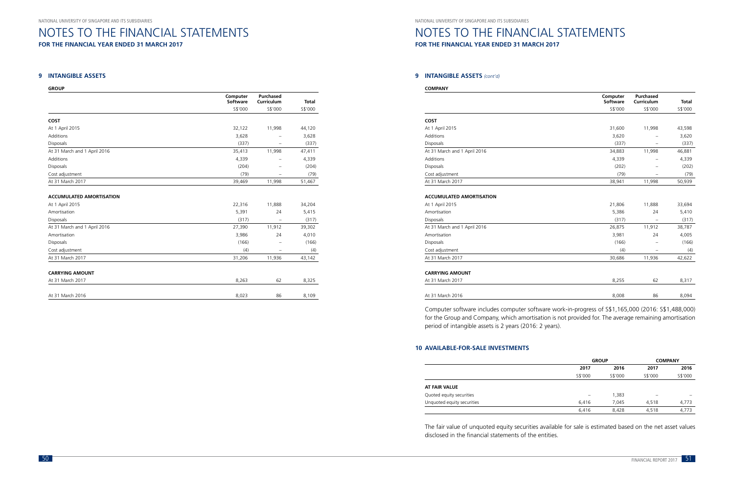#### **9 INTANGIBLE ASSETS**

#### **GROUP**

|                                 | Computer<br>Software | Purchased<br>Curriculum  | <b>Total</b> |
|---------------------------------|----------------------|--------------------------|--------------|
|                                 | S\$'000              | S\$'000                  | S\$'000      |
| <b>COST</b>                     |                      |                          |              |
| At 1 April 2015                 | 32,122               | 11,998                   | 44,120       |
| Additions                       | 3,628                |                          | 3,628        |
| Disposals                       | (337)                |                          | (337)        |
| At 31 March and 1 April 2016    | 35,413               | 11,998                   | 47,411       |
| Additions                       | 4,339                | -                        | 4,339        |
| Disposals                       | (204)                |                          | (204)        |
| Cost adjustment                 | (79)                 |                          | (79)         |
| At 31 March 2017                | 39,469               | 11,998                   | 51,467       |
|                                 |                      |                          |              |
| <b>ACCUMULATED AMORTISATION</b> |                      |                          |              |
| At 1 April 2015                 | 22,316               | 11,888                   | 34,204       |
| Amortisation                    | 5,391                | 24                       | 5,415        |
| <b>Disposals</b>                | (317)                | $\overline{\phantom{0}}$ | (317)        |
| At 31 March and 1 April 2016    | 27,390               | 11,912                   | 39,302       |
| Amortisation                    | 3,986                | 24                       | 4,010        |
| Disposals                       | (166)                | $\overline{\phantom{0}}$ | (166)        |
| Cost adjustment                 | (4)                  | $\overline{\phantom{0}}$ | (4)          |
| At 31 March 2017                | 31,206               | 11,936                   | 43,142       |
| <b>CARRYING AMOUNT</b>          |                      |                          |              |
| At 31 March 2017                | 8,263                | 62                       | 8,325        |
| At 31 March 2016                | 8,023                | 86                       | 8,109        |

### NOTES TO THE FINANCIAL STATEMENTS **FOR THE FINANCIAL YEAR ENDED 31 MARCH 2017**

#### **9 INTANGIBLE ASSETS** *(cont'd)*

| <b>COMPANY</b>                  |                      |                         |              |
|---------------------------------|----------------------|-------------------------|--------------|
|                                 | Computer<br>Software | Purchased<br>Curriculum | <b>Total</b> |
|                                 | S\$'000              | S\$'000                 | S\$'000      |
| <b>COST</b>                     |                      |                         |              |
| At 1 April 2015                 | 31,600               | 11,998                  | 43,598       |
| Additions                       | 3,620                |                         | 3,620        |
| Disposals                       | (337)                |                         | (337)        |
| At 31 March and 1 April 2016    | 34,883               | 11,998                  | 46,881       |
| Additions                       | 4,339                |                         | 4,339        |
| Disposals                       | (202)                |                         | (202)        |
| Cost adjustment                 | (79)                 |                         | (79)         |
| At 31 March 2017                | 38,941               | 11,998                  | 50,939       |
| <b>ACCUMULATED AMORTISATION</b> |                      |                         |              |
| At 1 April 2015                 | 21,806               | 11,888                  | 33,694       |
| Amortisation                    | 5,386                | 24                      | 5,410        |
| Disposals                       | (317)                |                         | (317)        |
| At 31 March and 1 April 2016    | 26,875               | 11,912                  | 38,787       |
| Amortisation                    | 3,981                | 24                      | 4,005        |
| Disposals                       | (166)                |                         | (166)        |
| Cost adjustment                 | (4)                  |                         | (4)          |
| At 31 March 2017                | 30,686               | 11,936                  | 42,622       |
| <b>CARRYING AMOUNT</b>          |                      |                         |              |
| At 31 March 2017                | 8,255                | 62                      | 8,317        |
| At 31 March 2016                | 8,008                | 86                      | 8,094        |

Computer software includes computer software work-in-progress of S\$1,165,000 (2016: S\$1,488,000) for the Group and Company, which amortisation is not provided for. The average remaining amortisation period of intangible assets is 2 years (2016: 2 years).

#### **10 AVAILABLE-FOR-SALE INVESTMENTS**

|                            |         | <b>GROUP</b> |                          | <b>COMPANY</b>           |  |
|----------------------------|---------|--------------|--------------------------|--------------------------|--|
|                            | 2017    | 2016         | 2017                     | 2016                     |  |
|                            | S\$'000 | S\$'000      | S\$'000                  | S\$'000                  |  |
| AT FAIR VALUE              |         |              |                          |                          |  |
| Quoted equity securities   | -       | 1,383        | $\overline{\phantom{a}}$ | $\overline{\phantom{a}}$ |  |
| Unquoted equity securities | 6.416   | 7,045        | 4.518                    | 4,773                    |  |
|                            | 6,416   | 8.428        | 4,518                    | 4,773                    |  |

The fair value of unquoted equity securities available for sale is estimated based on the net asset values disclosed in the financial statements of the entities.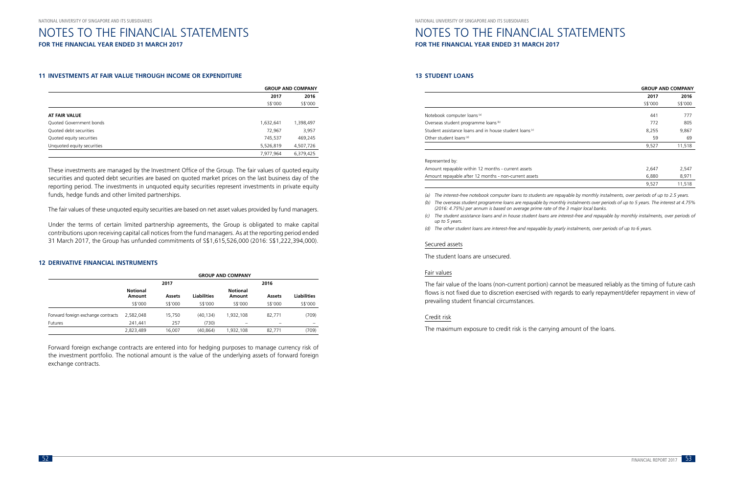#### **11 INVESTMENTS AT FAIR VALUE THROUGH INCOME OR EXPENDITURE**

|                            |           | <b>GROUP AND COMPANY</b> |  |  |
|----------------------------|-----------|--------------------------|--|--|
|                            | 2017      | 2016                     |  |  |
|                            | S\$'000   | S\$'000                  |  |  |
| AT FAIR VALUE              |           |                          |  |  |
| Quoted Government bonds    | 1,632,641 | 1,398,497                |  |  |
| Quoted debt securities     | 72,967    | 3,957                    |  |  |
| Quoted equity securities   | 745,537   | 469,245                  |  |  |
| Unquoted equity securities | 5,526,819 | 4,507,726                |  |  |
|                            | 7,977,964 | 6,379,425                |  |  |

These investments are managed by the Investment Office of the Group. The fair values of quoted equity securities and quoted debt securities are based on quoted market prices on the last business day of the reporting period. The investments in unquoted equity securities represent investments in private equity funds, hedge funds and other limited partnerships.

The fair values of these unquoted equity securities are based on net asset values provided by fund managers.

Under the terms of certain limited partnership agreements, the Group is obligated to make capital contributions upon receiving capital call notices from the fund managers. As at the reporting period ended 31 March 2017, the Group has unfunded commitments of S\$1,615,526,000 (2016: S\$1,222,394,000).

#### **12 DERIVATIVE FINANCIAL INSTRUMENTS**

|                                    | <b>GROUP AND COMPANY</b>  |               |                    |                           |               |                    |
|------------------------------------|---------------------------|---------------|--------------------|---------------------------|---------------|--------------------|
|                                    |                           | 2017          |                    |                           | 2016          |                    |
|                                    | <b>Notional</b><br>Amount | <b>Assets</b> | <b>Liabilities</b> | <b>Notional</b><br>Amount | <b>Assets</b> | <b>Liabilities</b> |
|                                    | S\$'000                   | S\$'000       | S\$'000            | S\$'000                   | S\$'000       | S\$'000            |
| Forward foreign exchange contracts | 2,582,048                 | 15.750        | (40, 134)          | 1.932.108                 | 82.771        | (709)              |
| Futures                            | 241.441                   | 257           | (730)              |                           |               |                    |
|                                    | 2.823.489                 | 16.007        | (40.864)           | 1,932,108                 | 82.771        | (709)              |

Forward foreign exchange contracts are entered into for hedging purposes to manage currency risk of the investment portfolio. The notional amount is the value of the underlying assets of forward foreign exchange contracts.

### NOTES TO THE FINANCIAL STATEMENTS **FOR THE FINANCIAL YEAR ENDED 31 MARCH 2017**

#### **13 STUDENT LOANS**

|                                                                    | <b>GROUP AND COMPANY</b> |         |
|--------------------------------------------------------------------|--------------------------|---------|
|                                                                    | 2017                     | 2016    |
|                                                                    | S\$'000                  | S\$'000 |
| Notebook computer loans (a)                                        | 441                      | 777     |
| Overseas student programme loans (b)                               | 772                      | 805     |
| Student assistance loans and in house student loans <sup>(c)</sup> | 8,255                    | 9,867   |
| Other student loans (d)                                            | 59                       | 69      |
|                                                                    | 9,527                    | 11,518  |
| Represented by:                                                    |                          |         |
| Amount repayable within 12 months - current assets                 | 2,647                    | 2,547   |
| Amount repayable after 12 months - non-current assets              | 6,880                    | 8,971   |
|                                                                    | 9,527                    | 11,518  |

*(a) The interest-free notebook computer loans to students are repayable by monthly instalments, over periods of up to 2.5 years.*

*(b) The overseas student programme loans are repayable by monthly instalments over periods of up to 5 years. The interest at 4.75% (2016: 4.75%) per annum is based on average prime rate of the 3 major local banks.*

*(c) The student assistance loans and in house student loans are interest-free and repayable by monthly instalments, over periods of up to 5 years.*

*(d) The other student loans are interest-free and repayable by yearly instalments, over periods of up to 6 years.*

#### Secured assets

The student loans are unsecured.

#### Fair values

The fair value of the loans (non-current portion) cannot be measured reliably as the timing of future cash flows is not fixed due to discretion exercised with regards to early repayment/defer repayment in view of prevailing student financial circumstances.

#### Credit risk

The maximum exposure to credit risk is the carrying amount of the loans.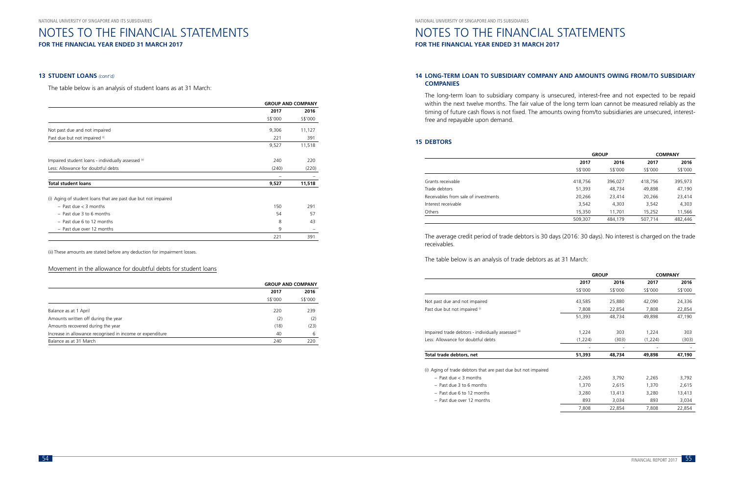#### **13 STUDENT LOANS** *(cont'd)*

The table below is an analysis of student loans as at 31 March:

|                                                               |         | <b>GROUP AND COMPANY</b> |
|---------------------------------------------------------------|---------|--------------------------|
|                                                               | 2017    | 2016                     |
|                                                               | S\$'000 | S\$'000                  |
| Not past due and not impaired                                 | 9,306   | 11,127                   |
| Past due but not impaired (i)                                 | 221     | 391                      |
|                                                               | 9,527   | 11,518                   |
| Impaired student loans - individually assessed (ii)           | 240     | 220                      |
| Less: Allowance for doubtful debts                            | (240)   | (220)                    |
|                                                               |         |                          |
| <b>Total student loans</b>                                    | 9,527   | 11,518                   |
| (i) Aging of student loans that are past due but not impaired |         |                          |
| $-$ Past due $<$ 3 months                                     | 150     | 291                      |
| $-$ Past due 3 to 6 months                                    | 54      | 57                       |
| - Past due 6 to 12 months                                     | 8       | 43                       |
| - Past due over 12 months                                     | 9       |                          |
|                                                               | 221     | 391                      |

(ii) These amounts are stated before any deduction for impairment losses.

#### Movement in the allowance for doubtful debts for student loans

|                                                           |         | <b>GROUP AND COMPANY</b> |
|-----------------------------------------------------------|---------|--------------------------|
|                                                           | 2017    | 2016                     |
|                                                           | S\$'000 | S\$'000                  |
| Balance as at 1 April                                     | 220     | 239                      |
| Amounts written off during the year                       | (2)     | (2)                      |
| Amounts recovered during the year                         | (18)    | (23)                     |
| Increase in allowance recognised in income or expenditure | 40      | 6                        |
| Balance as at 31 March                                    | 240     | 220                      |

### NOTES TO THE FINANCIAL STATEMENTS **FOR THE FINANCIAL YEAR ENDED 31 MARCH 2017**

#### **14 LONG-TERM LOAN TO SUBSIDIARY COMPANY AND AMOUNTS OWING FROM/TO SUBSIDIARY COMPANIES**

The long-term loan to subsidiary company is unsecured, interest-free and not expected to be repaid within the next twelve months. The fair value of the long term loan cannot be measured reliably as the timing of future cash flows is not fixed. The amounts owing from/to subsidiaries are unsecured, interestfree and repayable upon demand.

#### **15 DEBTORS**

|                                      | <b>GROUP</b> |         | <b>COMPANY</b> |         |
|--------------------------------------|--------------|---------|----------------|---------|
|                                      | 2017         | 2016    | 2017           | 2016    |
|                                      | S\$'000      | S\$'000 | S\$'000        | S\$'000 |
| Grants receivable                    | 418,756      | 396,027 | 418,756        | 395,973 |
| Trade debtors                        | 51,393       | 48,734  | 49,898         | 47,190  |
| Receivables from sale of investments | 20,266       | 23,414  | 20,266         | 23,414  |
| Interest receivable                  | 3,542        | 4,303   | 3,542          | 4,303   |
| Others                               | 15,350       | 11,701  | 15,252         | 11,566  |
|                                      | 509,307      | 484,179 | 507,714        | 482,446 |

The average credit period of trade debtors is 30 days (2016: 30 days). No interest is charged on the trade receivables.

#### The table below is an analysis of trade debtors as at 31 March:

|                                                               |         | <b>GROUP</b> |         | <b>COMPANY</b> |
|---------------------------------------------------------------|---------|--------------|---------|----------------|
|                                                               | 2017    | 2016         | 2017    | 2016           |
|                                                               | S\$'000 | S\$'000      | S\$'000 | S\$'000        |
| Not past due and not impaired                                 | 43,585  | 25,880       | 42,090  | 24,336         |
| Past due but not impaired (i)                                 | 7,808   | 22,854       | 7,808   | 22,854         |
|                                                               | 51,393  | 48,734       | 49,898  | 47,190         |
| Impaired trade debtors - individually assessed (ii)           | 1,224   | 303          | 1,224   | 303            |
| Less: Allowance for doubtful debts                            | (1,224) | (303)        | (1,224) | (303)          |
|                                                               |         |              |         |                |
| Total trade debtors, net                                      | 51,393  | 48,734       | 49,898  | 47,190         |
| (i) Aging of trade debtors that are past due but not impaired |         |              |         |                |
| $-$ Past due $<$ 3 months                                     | 2,265   | 3,792        | 2,265   | 3,792          |
| $-$ Past due 3 to 6 months                                    | 1,370   | 2,615        | 1,370   | 2,615          |
| - Past due 6 to 12 months                                     | 3,280   | 13,413       | 3,280   | 13,413         |
| - Past due over 12 months                                     | 893     | 3,034        | 893     | 3,034          |
|                                                               | 7,808   | 22,854       | 7,808   | 22,854         |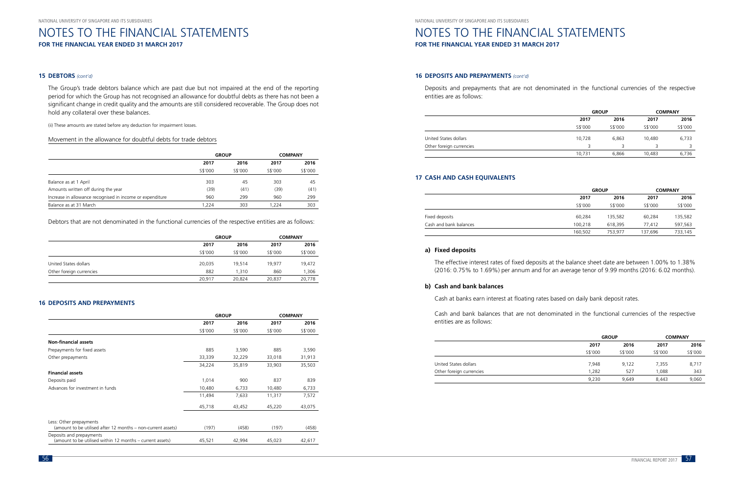#### **15 DEBTORS** *(cont'd)*

The Group's trade debtors balance which are past due but not impaired at the end of the reporting period for which the Group has not recognised an allowance for doubtful debts as there has not been a significant change in credit quality and the amounts are still considered recoverable. The Group does not hold any collateral over these balances.

(ii) These amounts are stated before any deduction for impairment losses.

#### Movement in the allowance for doubtful debts for trade debtors

|                                                           | <b>GROUP</b> |         | <b>COMPANY</b> |         |
|-----------------------------------------------------------|--------------|---------|----------------|---------|
|                                                           | 2017         | 2016    | 2017           | 2016    |
|                                                           | S\$'000      | S\$'000 | S\$'000        | S\$'000 |
| Balance as at 1 April                                     | 303          | 45      | 303            | 45      |
| Amounts written off during the year                       | (39)         | (41)    | (39)           | (41)    |
| Increase in allowance recognised in income or expenditure | 960          | 299     | 960            | 299     |
| Balance as at 31 March                                    | 1.224        | 303     | 1.224          | 303     |

Debtors that are not denominated in the functional currencies of the respective entities are as follows:

|                          | <b>GROUP</b> |         |         | <b>COMPANY</b> |  |
|--------------------------|--------------|---------|---------|----------------|--|
|                          | 2017         | 2016    | 2017    | 2016           |  |
|                          | S\$'000      | S\$'000 | S\$'000 | S\$'000        |  |
| United States dollars    | 20,035       | 19,514  | 19.977  | 19,472         |  |
| Other foreign currencies | 882          | 1.310   | 860     | 1,306          |  |
|                          | 20.917       | 20.824  | 20.837  | 20,778         |  |

#### **16 DEPOSITS AND PREPAYMENTS**

|                                                                                       |         | <b>GROUP</b> | <b>COMPANY</b> |         |
|---------------------------------------------------------------------------------------|---------|--------------|----------------|---------|
|                                                                                       | 2017    | 2016         | 2017           | 2016    |
|                                                                                       | S\$'000 | S\$'000      | S\$'000        | S\$'000 |
| <b>Non-financial assets</b>                                                           |         |              |                |         |
| Prepayments for fixed assets                                                          | 885     | 3,590        | 885            | 3,590   |
| Other prepayments                                                                     | 33,339  | 32,229       | 33,018         | 31,913  |
|                                                                                       | 34,224  | 35,819       | 33,903         | 35,503  |
| <b>Financial assets</b>                                                               |         |              |                |         |
| Deposits paid                                                                         | 1,014   | 900          | 837            | 839     |
| Advances for investment in funds                                                      | 10,480  | 6,733        | 10,480         | 6,733   |
|                                                                                       | 11,494  | 7,633        | 11,317         | 7,572   |
|                                                                                       | 45,718  | 43,452       | 45,220         | 43,075  |
| Less: Other prepayments                                                               |         |              |                |         |
| (amount to be utilised after 12 months - non-current assets)                          | (197)   | (458)        | (197)          | (458)   |
| Deposits and prepayments<br>(amount to be utilised within 12 months – current assets) | 45,521  | 42,994       | 45,023         | 42,617  |

NATIONAL UNIVERSITY OF SINGAPORE AND ITS SUBSIDIARIES

### NOTES TO THE FINANCIAL STATEMENTS **FOR THE FINANCIAL YEAR ENDED 31 MARCH 2017**

#### **16 DEPOSITS AND PREPAYMENTS** *(cont'd)*

Deposits and prepayments that are not denominated in the functional currencies of the respective entities are as follows:

|                          |         | <b>GROUP</b> |         | <b>COMPANY</b> |
|--------------------------|---------|--------------|---------|----------------|
|                          | 2017    | 2016         | 2017    | 2016           |
|                          | S\$'000 | S\$'000      | S\$'000 | S\$'000        |
| United States dollars    | 10,728  | 6,863        | 10,480  | 6,733          |
| Other foreign currencies | ∍       | 3            | ₹       |                |
|                          | 10.731  | 6.866        | 10.483  | 6,736          |

#### **17 CASH AND CASH EQUIVALENTS**

|                        |         | <b>GROUP</b> | <b>COMPANY</b> |         |
|------------------------|---------|--------------|----------------|---------|
|                        | 2017    | 2016         | 2017           | 2016    |
|                        | S\$'000 | S\$'000      | S\$'000        | S\$'000 |
| Fixed deposits         | 60.284  | 135,582      | 60.284         | 135,582 |
| Cash and bank balances | 100.218 | 618.395      | 77.412         | 597,563 |
|                        | 160,502 | 753.977      | 137,696        | 733.145 |

#### **a) Fixed deposits**

The effective interest rates of fixed deposits at the balance sheet date are between 1.00% to 1.38% (2016: 0.75% to 1.69%) per annum and for an average tenor of 9.99 months (2016: 6.02 months).

#### **b) Cash and bank balances**

Cash at banks earn interest at floating rates based on daily bank deposit rates.

Cash and bank balances that are not denominated in the functional currencies of the respective entities are as follows:

|                          |         | <b>GROUP</b> |         | <b>COMPANY</b> |
|--------------------------|---------|--------------|---------|----------------|
|                          | 2017    | 2016         | 2017    | 2016           |
|                          | S\$'000 | S\$'000      | S\$'000 | S\$'000        |
| United States dollars    | 7.948   | 9.122        | 7.355   | 8,717          |
| Other foreign currencies | 1,282   | 527          | 1.088   | 343            |
|                          | 9,230   | 9.649        | 8.443   | 9,060          |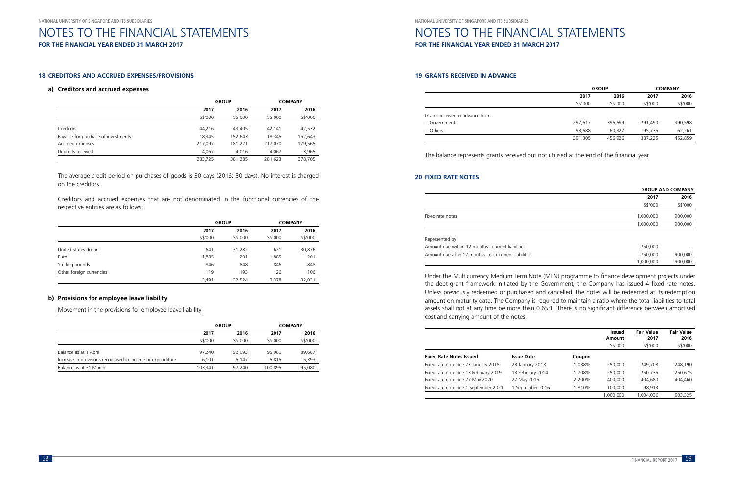#### **18 CREDITORS AND ACCRUED EXPENSES/PROVISIONS**

#### **a) Creditors and accrued expenses**

|                                     | <b>GROUP</b> |         | <b>COMPANY</b> |         |
|-------------------------------------|--------------|---------|----------------|---------|
|                                     | 2017         | 2016    | 2017           | 2016    |
|                                     | S\$'000      | S\$'000 | S\$'000        | S\$'000 |
| Creditors                           | 44,216       | 43,405  | 42.141         | 42,532  |
| Payable for purchase of investments | 18,345       | 152,643 | 18,345         | 152,643 |
| Accrued expenses                    | 217,097      | 181,221 | 217,070        | 179,565 |
| Deposits received                   | 4,067        | 4,016   | 4,067          | 3,965   |
|                                     | 283,725      | 381,285 | 281,623        | 378,705 |

The average credit period on purchases of goods is 30 days (2016: 30 days). No interest is charged on the creditors.

Creditors and accrued expenses that are not denominated in the functional currencies of the respective entities are as follows:

| <b>GROUP</b> |         | <b>COMPANY</b> |         |
|--------------|---------|----------------|---------|
| 2017         | 2016    | 2017           | 2016    |
| S\$'000      | S\$'000 | S\$'000        | S\$'000 |
| 641          | 31,282  | 621            | 30,876  |
| 1,885        | 201     | 1,885          | 201     |
| 846          | 848     | 846            | 848     |
| 119          | 193     | 26             | 106     |
| 3,491        | 32,524  | 3,378          | 32,031  |
|              |         |                |         |

#### **b) Provisions for employee leave liability**

Movement in the provisions for employee leave liability

|         |         |              | <b>COMPANY</b> |
|---------|---------|--------------|----------------|
| 2017    | 2016    | 2017         | 2016           |
| S\$'000 | S\$'000 | S\$'000      | S\$'000        |
| 97.240  | 92.093  | 95,080       | 89,687         |
| 6.101   | 5.147   | 5.815        | 5,393          |
| 103,341 | 97.240  | 100.895      | 95,080         |
|         |         | <b>GROUP</b> |                |

### NOTES TO THE FINANCIAL STATEMENTS **FOR THE FINANCIAL YEAR ENDED 31 MARCH 2017**

#### **19 GRANTS RECEIVED IN ADVANCE**

|                                 |         | <b>GROUP</b> |         | <b>COMPANY</b> |
|---------------------------------|---------|--------------|---------|----------------|
|                                 | 2017    | 2016         | 2017    | 2016           |
|                                 | S\$'000 | S\$'000      | S\$'000 | S\$'000        |
| Grants received in advance from |         |              |         |                |
| - Government                    | 297,617 | 396.599      | 291,490 | 390,598        |
| - Others                        | 93.688  | 60.327       | 95,735  | 62,261         |
|                                 | 391,305 | 456.926      | 387.225 | 452,859        |

The balance represents grants received but not utilised at the end of the financial year.

#### **20 FIXED RATE NOTES**

|                                                      |           | <b>GROUP AND COMPANY</b> |
|------------------------------------------------------|-----------|--------------------------|
|                                                      | 2017      | 2016                     |
|                                                      | S\$'000   | S\$'000                  |
| Fixed rate notes                                     | 1,000,000 | 900,000                  |
|                                                      | 1,000,000 | 900,000                  |
|                                                      |           |                          |
| Represented by:                                      |           |                          |
| Amount due within 12 months - current liabilities    | 250,000   |                          |
| Amount due after 12 months - non-current liabilities | 750,000   | 900,000                  |
|                                                      | 1,000,000 | 900,000                  |

Under the Multicurrency Medium Term Note (MTN) programme to finance development projects under the debt-grant framework initiated by the Government, the Company has issued 4 fixed rate notes. Unless previously redeemed or purchased and cancelled, the notes will be redeemed at its redemption amount on maturity date. The Company is required to maintain a ratio where the total liabilities to total assets shall not at any time be more than 0.65:1. There is no significant difference between amortised cost and carrying amount of the notes.

|                                      |                   |        | Issued<br>Amount | <b>Fair Value</b><br>2017 | <b>Fair Value</b><br>2016 |
|--------------------------------------|-------------------|--------|------------------|---------------------------|---------------------------|
|                                      |                   |        | S\$'000          | S\$'000                   | S\$'000                   |
| <b>Fixed Rate Notes Issued</b>       | <b>Issue Date</b> | Coupon |                  |                           |                           |
| Fixed rate note due 23 January 2018  | 23 January 2013   | 1.038% | 250,000          | 249.708                   | 248,190                   |
| Fixed rate note due 13 February 2019 | 13 February 2014  | 1.708% | 250,000          | 250,735                   | 250,675                   |
| Fixed rate note due 27 May 2020      | 27 May 2015       | 2.200% | 400,000          | 404,680                   | 404,460                   |
| Fixed rate note due 1 September 2021 | September 2016    | 1.810% | 100,000          | 98.913                    |                           |
|                                      |                   |        | 1.000.000        | 1.004.036                 | 903.325                   |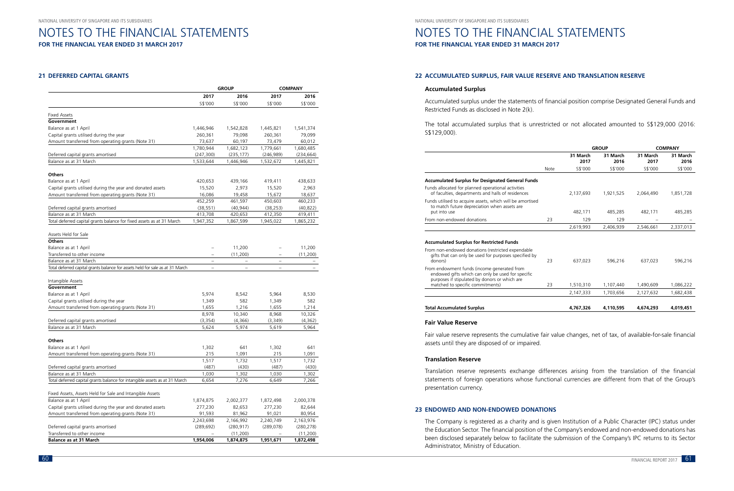#### **21 DEFERRED CAPITAL GRANTS**

|                                                                               |            | <b>GROUP</b>      |                          | <b>COMPANY</b> |
|-------------------------------------------------------------------------------|------------|-------------------|--------------------------|----------------|
|                                                                               | 2017       | 2016              | 2017                     | 2016           |
|                                                                               | S\$'000    | S\$'000           | S\$'000                  | S\$'000        |
|                                                                               |            |                   |                          |                |
| <b>Fixed Assets</b>                                                           |            |                   |                          |                |
| Government                                                                    |            |                   |                          |                |
| Balance as at 1 April                                                         | 1,446,946  | 1,542,828         | 1,445,821                | 1,541,374      |
| Capital grants utilised during the year                                       | 260,361    | 79,098            | 260,361                  | 79,099         |
| Amount transferred from operating grants (Note 31)                            | 73,637     | 60,197            | 73,479                   | 60,012         |
|                                                                               | 1,780,944  | 1,682,123         | 1,779,661                | 1,680,485      |
| Deferred capital grants amortised                                             | (247, 300) | (235, 177)        | (246,989)                | (234, 664)     |
| Balance as at 31 March                                                        | 1,533,644  | 1,446,946         | 1,532,672                | 1,445,821      |
|                                                                               |            |                   |                          |                |
| <b>Others</b>                                                                 |            |                   |                          |                |
| Balance as at 1 April                                                         | 420,653    | 439,166           | 419,411                  | 438,633        |
| Capital grants utilised during the year and donated assets                    | 15,520     | 2,973             | 15,520                   | 2,963          |
| Amount transferred from operating grants (Note 31)                            | 16,086     | 19,458            | 15,672                   | 18,637         |
|                                                                               | 452,259    | 461,597           | 450,603                  | 460,233        |
| Deferred capital grants amortised                                             | (38, 551)  | (40, 944)         | (38, 253)                | (40, 822)      |
| Balance as at 31 March                                                        | 413,708    | 420,653           | 412,350                  | 419,411        |
| Total deferred capital grants balance for fixed assets as at 31 March         | 1,947,352  | 1,867,599         | 1,945,022                | 1,865,232      |
|                                                                               |            |                   |                          |                |
| Assets Held for Sale                                                          |            |                   |                          |                |
| <b>Others</b>                                                                 |            |                   |                          |                |
| Balance as at 1 April                                                         |            | 11,200            |                          | 11,200         |
| Transferred to other income                                                   |            | (11,200)          |                          | (11,200)       |
| Balance as at 31 March                                                        |            |                   |                          |                |
| Total deferred capital grants balance for assets held for sale as at 31 March | ÷,         | $\qquad \qquad -$ | $\overline{\phantom{a}}$ |                |
|                                                                               |            |                   |                          |                |
| Intangible Assets                                                             |            |                   |                          |                |
| Government                                                                    |            |                   |                          |                |
| Balance as at 1 April                                                         | 5,974      | 8,542             | 5,964                    | 8,530          |
| Capital grants utilised during the year                                       | 1,349      | 582               | 1,349                    | 582            |
| Amount transferred from operating grants (Note 31)                            | 1,655      | 1,216             | 1,655                    | 1,214          |
|                                                                               | 8,978      | 10,340            | 8,968                    | 10,326         |
| Deferred capital grants amortised                                             | (3, 354)   | (4,366)           | (3,349)                  | (4, 362)       |
| Balance as at 31 March                                                        | 5,624      | 5,974             | 5,619                    | 5,964          |
|                                                                               |            |                   |                          |                |
| Others                                                                        |            |                   |                          |                |
| Balance as at 1 April                                                         | 1,302      | 641               | 1,302                    | 641            |
| Amount transferred from operating grants (Note 31)                            | 215        | 1,091             | 215                      | 1,091          |
|                                                                               | 1,517      | 1,732             | 1,517                    | 1,732          |
| Deferred capital grants amortised                                             | (487)      | (430)             | (487)                    | (430)          |
| Balance as at 31 March                                                        | 1,030      | 1,302             | 1,030                    | 1,302          |
| Total deferred capital grants balance for intangible assets as at 31 March    | 6,654      | 7,276             | 6,649                    | 7,266          |
|                                                                               |            |                   |                          |                |
| Fixed Assets, Assets Held for Sale and Intangible Assets                      |            |                   |                          |                |
| Balance as at 1 April                                                         | 1,874,875  | 2,002,377         | 1,872,498                | 2,000,378      |
| Capital grants utilised during the year and donated assets                    | 277,230    | 82,653            | 277,230                  | 82,644         |
| Amount transferred from operating grants (Note 31)                            | 91,593     | 81,962            | 91,021                   | 80,954         |
|                                                                               | 2,243,698  | 2,166,992         | 2,240,749                | 2,163,976      |
| Deferred capital grants amortised                                             | (289, 692) | (280, 917)        | (289, 078)               | (280, 278)     |
| Transferred to other income                                                   |            | (11,200)          |                          | (11,200)       |
| <b>Balance as at 31 March</b>                                                 | 1,954,006  | 1,874,875         | 1,951,671                | 1,872,498      |
|                                                                               |            |                   |                          |                |

### NOTES TO THE FINANCIAL STATEMENTS **FOR THE FINANCIAL YEAR ENDED 31 MARCH 2017**

#### **22 ACCUMULATED SURPLUS, FAIR VALUE RESERVE AND TRANSLATION RESERVE**

#### **Accumulated Surplus**

Accumulated surplus under the statements of financial position comprise Designated General Funds and Restricted Funds as disclosed in Note 2(k).

The total accumulated surplus that is unrestricted or not allocated amounted to S\$129,000 (2016: S\$129,000).

|                                                                                                                                                                                       |      |                  | <b>GROUP</b>     |                  | <b>COMPANY</b>   |
|---------------------------------------------------------------------------------------------------------------------------------------------------------------------------------------|------|------------------|------------------|------------------|------------------|
|                                                                                                                                                                                       |      | 31 March<br>2017 | 31 March<br>2016 | 31 March<br>2017 | 31 March<br>2016 |
|                                                                                                                                                                                       | Note | S\$'000          | S\$'000          | S\$'000          | S\$'000          |
| <b>Accumulated Surplus for Designated General Funds</b>                                                                                                                               |      |                  |                  |                  |                  |
| Funds allocated for planned operational activities<br>of faculties, departments and halls of residences                                                                               |      | 2,137,693        | 1,921,525        | 2,064,490        | 1,851,728        |
| Funds utilised to acquire assets, which will be amortised<br>to match future depreciation when assets are<br>put into use                                                             |      | 482,171          | 485.285          | 482,171          | 485,285          |
| From non-endowed donations                                                                                                                                                            | 23   | 129              | 129              |                  |                  |
|                                                                                                                                                                                       |      | 2,619,993        | 2,406,939        | 2,546,661        | 2,337,013        |
| <b>Accumulated Surplus for Restricted Funds</b><br>From non-endowed donations (restricted expendable<br>gifts that can only be used for purposes specified by<br>donors)              | 23   | 637.023          | 596.216          | 637.023          | 596,216          |
| From endowment funds (income generated from<br>endowed gifts which can only be used for specific<br>purposes if stipulated by donors or which are<br>matched to specific commitments) | 23   | 1,510,310        | 1,107,440        | 1,490,609        | 1,086,222        |
|                                                                                                                                                                                       |      | 2,147,333        | 1,703,656        | 2,127,632        | 1,682,438        |
| <b>Total Accumulated Surplus</b>                                                                                                                                                      |      | 4.767.326        | 4.110.595        | 4.674.293        | 4.019.451        |

#### **Fair Value Reserve**

Fair value reserve represents the cumulative fair value changes, net of tax, of available-for-sale financial assets until they are disposed of or impaired.

#### **Translation Reserve**

Translation reserve represents exchange differences arising from the translation of the financial statements of foreign operations whose functional currencies are different from that of the Group's presentation currency.

#### **23 ENDOWED AND NON-ENDOWED DONATIONS**

The Company is registered as a charity and is given Institution of a Public Character (IPC) status under the Education Sector. The financial position of the Company's endowed and non-endowed donations has been disclosed separately below to facilitate the submission of the Company's IPC returns to its Sector Administrator, Ministry of Education.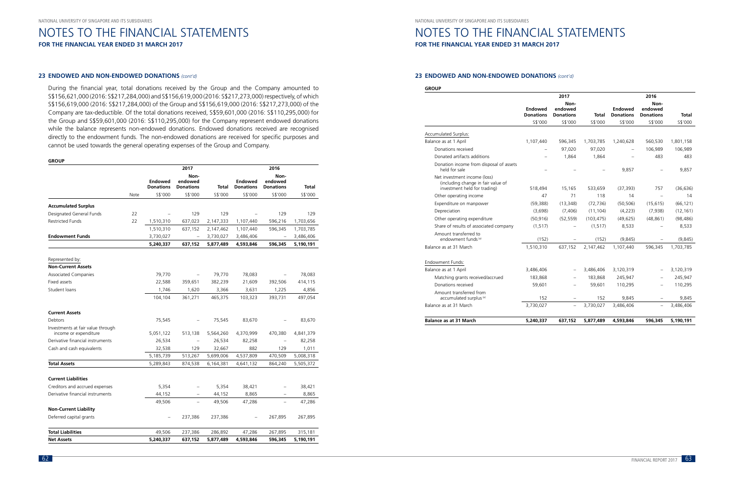#### **23 ENDOWED AND NON-ENDOWED DONATIONS** *(cont'd)*

During the financial year, total donations received by the Group and the Company amounted to S\$156,621,000 (2016: S\$217,284,000) and S\$156,619,000 (2016: S\$217,273,000) respectively, of which S\$156,619,000 (2016: S\$217,284,000) of the Group and S\$156,619,000 (2016: S\$217,273,000) of the Company are tax-deductible. Of the total donations received, S\$59,601,000 (2016: S\$110,295,000) for the Group and S\$59,601,000 (2016: S\$110,295,000) for the Company represent endowed donations while the balance represents non-endowed donations. Endowed donations received are recognised directly to the endowment funds. The non-endowed donations are received for specific purposes and cannot be used towards the general operating expenses of the Group and Company.

| <b>GROUP</b>                                               |      |                                    |                                     |           |                                    |                                     |           |
|------------------------------------------------------------|------|------------------------------------|-------------------------------------|-----------|------------------------------------|-------------------------------------|-----------|
|                                                            |      |                                    | 2017                                |           |                                    | 2016                                |           |
|                                                            |      | <b>Endowed</b><br><b>Donations</b> | Non-<br>endowed<br><b>Donations</b> | Total     | <b>Endowed</b><br><b>Donations</b> | Non-<br>endowed<br><b>Donations</b> | Total     |
|                                                            | Note | S\$'000                            | S\$'000                             | S\$'000   | S\$'000                            | S\$'000                             | \$\$'000  |
| <b>Accumulated Surplus</b>                                 |      |                                    |                                     |           |                                    |                                     |           |
| Designated General Funds                                   | 22   |                                    | 129                                 | 129       |                                    | 129                                 | 129       |
| <b>Restricted Funds</b>                                    | 22   | 1,510,310                          | 637,023                             | 2,147,333 | 1,107,440                          | 596,216                             | 1,703,656 |
|                                                            |      | 1,510,310                          | 637,152                             | 2,147,462 | 1,107,440                          | 596,345                             | 1,703,785 |
| <b>Endowment Funds</b>                                     |      | 3,730,027                          | $\qquad \qquad -$                   | 3,730,027 | 3,486,406                          | -                                   | 3,486,406 |
|                                                            |      | 5,240,337                          | 637,152                             | 5,877,489 | 4,593,846                          | 596,345                             | 5,190,191 |
|                                                            |      |                                    |                                     |           |                                    |                                     |           |
| Represented by:                                            |      |                                    |                                     |           |                                    |                                     |           |
| <b>Non-Current Assets</b>                                  |      |                                    |                                     |           |                                    |                                     |           |
| <b>Associated Companies</b>                                |      | 79,770                             |                                     | 79,770    | 78,083                             |                                     | 78,083    |
| Fixed assets                                               |      | 22,588                             | 359,651                             | 382,239   | 21,609                             | 392,506                             | 414,115   |
| Student loans                                              |      | 1,746                              | 1,620                               | 3,366     | 3,631                              | 1,225                               | 4,856     |
|                                                            |      | 104,104                            | 361,271                             | 465,375   | 103,323                            | 393,731                             | 497,054   |
| <b>Current Assets</b>                                      |      |                                    |                                     |           |                                    |                                     |           |
| Debtors                                                    |      | 75,545                             |                                     | 75,545    | 83,670                             |                                     | 83,670    |
| Investments at fair value through<br>income or expenditure |      | 5,051,122                          | 513,138                             | 5,564,260 | 4,370,999                          | 470,380                             | 4,841,379 |
| Derivative financial instruments                           |      | 26,534                             | $\overline{\phantom{0}}$            | 26,534    | 82,258                             | $\overline{\phantom{0}}$            | 82,258    |
| Cash and cash equivalents                                  |      | 32,538                             | 129                                 | 32,667    | 882                                | 129                                 | 1,011     |
|                                                            |      | 5,185,739                          | 513,267                             | 5,699,006 | 4,537,809                          | 470,509                             | 5,008,318 |
| <b>Total Assets</b>                                        |      | 5,289,843                          | 874,538                             | 6,164,381 | 4,641,132                          | 864,240                             | 5,505,372 |
|                                                            |      |                                    |                                     |           |                                    |                                     |           |
| <b>Current Liabilities</b>                                 |      |                                    |                                     |           |                                    |                                     |           |
| Creditors and accrued expenses                             |      | 5,354                              |                                     | 5,354     | 38,421                             |                                     | 38,421    |
| Derivative financial instruments                           |      | 44,152                             | $\overline{\phantom{0}}$            | 44,152    | 8,865                              | $\overline{a}$                      | 8,865     |
|                                                            |      | 49,506                             | $\overline{\phantom{0}}$            | 49,506    | 47,286                             |                                     | 47,286    |
| <b>Non-Current Liability</b>                               |      |                                    |                                     |           |                                    |                                     |           |
| Deferred capital grants                                    |      |                                    | 237,386                             | 237,386   |                                    | 267,895                             | 267,895   |
| <b>Total Liabilities</b>                                   |      | 49,506                             | 237,386                             | 286,892   | 47,286                             | 267,895                             | 315,181   |
| <b>Net Assets</b>                                          |      | 5,240,337                          | 637,152                             | 5,877,489 | 4,593,846                          | 596,345                             | 5,190,191 |
|                                                            |      |                                    |                                     |           |                                    |                                     |           |

NATIONAL UNIVERSITY OF SINGAPORE AND ITS SUBSIDIARIES

### NOTES TO THE FINANCIAL STATEMENTS **FOR THE FINANCIAL YEAR ENDED 31 MARCH 2017**

#### **23 ENDOWED AND NON-ENDOWED DONATIONS** *(cont'd)*

|                                                                                                    |                                    | 2017                                |            |                                    | 2016                                |           |
|----------------------------------------------------------------------------------------------------|------------------------------------|-------------------------------------|------------|------------------------------------|-------------------------------------|-----------|
|                                                                                                    | <b>Endowed</b><br><b>Donations</b> | Non-<br>endowed<br><b>Donations</b> | Total      | <b>Endowed</b><br><b>Donations</b> | Non-<br>endowed<br><b>Donations</b> | Total     |
|                                                                                                    | S\$'000                            | S\$'000                             | S\$'000    | S\$'000                            | S\$'000                             | S\$'000   |
| Accumulated Surplus:                                                                               |                                    |                                     |            |                                    |                                     |           |
| Balance as at 1 April                                                                              | 1,107,440                          | 596.345                             | 1,703,785  | 1,240,628                          | 560,530                             | 1,801,158 |
| Donations received                                                                                 |                                    | 97,020                              | 97,020     |                                    | 106.989                             | 106.989   |
| Donated artifacts additions                                                                        |                                    | 1,864                               | 1,864      |                                    | 483                                 | 483       |
| Donation income from disposal of assets<br>held for sale                                           |                                    |                                     |            | 9.857                              |                                     | 9.857     |
| Net investment income (loss)<br>(including change in fair value of<br>investment held for trading) | 518,494                            | 15,165                              | 533,659    | (37, 393)                          | 757                                 | (36, 636) |
| Other operating income                                                                             | 47                                 | 71                                  | 118        | 14                                 | $\overline{a}$                      | 14        |
| Expenditure on manpower                                                                            | (59, 388)                          | (13,348)                            | (72, 736)  | (50, 506)                          | (15, 615)                           | (66, 121) |
| Depreciation                                                                                       | (3,698)                            | (7, 406)                            | (11, 104)  | (4,223)                            | (7,938)                             | (12, 161) |
| Other operating expenditure                                                                        | (50, 916)                          | (52, 559)                           | (103, 475) | (49, 625)                          | (48, 861)                           | (98, 486) |
| Share of results of associated company                                                             | (1, 517)                           |                                     | (1, 517)   | 8,533                              |                                     | 8,533     |
| Amount transferred to<br>endowment funds <sup>(a)</sup>                                            | (152)                              |                                     | (152)      | (9,845)                            |                                     | (9,845)   |
| Balance as at 31 March                                                                             | 1,510,310                          | 637,152                             | 2,147,462  | 1,107,440                          | 596,345                             | 1,703,785 |
| Endowment Funds:                                                                                   |                                    |                                     |            |                                    |                                     |           |
| Balance as at 1 April                                                                              | 3,486,406                          |                                     | 3,486,406  | 3,120,319                          |                                     | 3,120,319 |
| Matching grants received/accrued                                                                   | 183,868                            |                                     | 183,868    | 245,947                            |                                     | 245,947   |
| Donations received                                                                                 | 59,601                             |                                     | 59,601     | 110,295                            |                                     | 110,295   |
| Amount transferred from<br>accumulated surplus <sup>(a)</sup>                                      | 152                                |                                     | 152        | 9,845                              |                                     | 9,845     |
| Balance as at 31 March                                                                             | 3,730,027                          | ÷                                   | 3,730,027  | 3,486,406                          | $\overline{\phantom{0}}$            | 3,486,406 |
| <b>Balance as at 31 March</b>                                                                      | 5,240,337                          | 637,152                             | 5,877,489  | 4,593,846                          | 596.345                             | 5,190,191 |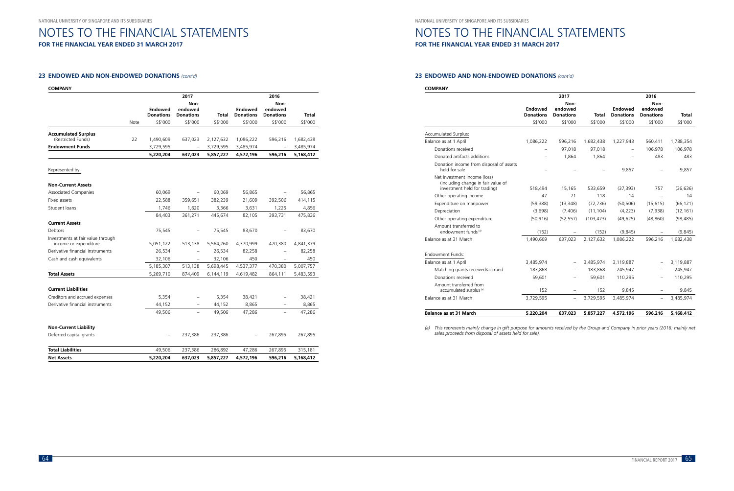#### **23 ENDOWED AND NON-ENDOWED DONATIONS** *(cont'd)*

| <b>COMPANY</b>                                             |      |                             |                             |           |                             |                             |           |
|------------------------------------------------------------|------|-----------------------------|-----------------------------|-----------|-----------------------------|-----------------------------|-----------|
|                                                            |      |                             | 2017                        |           |                             | 2016                        |           |
|                                                            |      |                             | Non-                        |           |                             | Non-                        |           |
|                                                            |      | Endowed<br><b>Donations</b> | endowed<br><b>Donations</b> | Total     | Endowed<br><b>Donations</b> | endowed<br><b>Donations</b> | Total     |
|                                                            | Note | S\$'000                     | S\$'000                     | S\$'000   | S\$'000                     | S\$'000                     | S\$'000   |
| <b>Accumulated Surplus</b>                                 |      |                             |                             |           |                             |                             |           |
| (Restricted Funds)                                         | 22   | 1,490,609                   | 637,023                     | 2,127,632 | 1,086,222                   | 596,216                     | 1,682,438 |
| <b>Endowment Funds</b>                                     |      | 3,729,595                   |                             | 3,729,595 | 3,485,974                   |                             | 3,485,974 |
|                                                            |      | 5,220,204                   | 637,023                     | 5,857,227 | 4,572,196                   | 596,216                     | 5,168,412 |
| Represented by:                                            |      |                             |                             |           |                             |                             |           |
| <b>Non-Current Assets</b>                                  |      |                             |                             |           |                             |                             |           |
| <b>Associated Companies</b>                                |      | 60,069                      |                             | 60,069    | 56,865                      | ÷                           | 56,865    |
| Fixed assets                                               |      | 22,588                      | 359,651                     | 382,239   | 21,609                      | 392,506                     | 414,115   |
| Student loans                                              |      | 1,746                       | 1,620                       | 3,366     | 3,631                       | 1,225                       | 4,856     |
|                                                            |      | 84,403                      | 361,271                     | 445,674   | 82,105                      | 393,731                     | 475,836   |
| <b>Current Assets</b>                                      |      |                             |                             |           |                             |                             |           |
| Debtors                                                    |      | 75,545                      |                             | 75,545    | 83,670                      |                             | 83,670    |
| Investments at fair value through<br>income or expenditure |      | 5,051,122                   | 513,138                     | 5,564,260 | 4,370,999                   | 470,380                     | 4,841,379 |
| Derivative financial instruments                           |      | 26,534                      |                             | 26,534    | 82,258                      | $\overline{\phantom{0}}$    | 82,258    |
| Cash and cash equivalents                                  |      | 32,106                      |                             | 32,106    | 450                         |                             | 450       |
|                                                            |      | 5,185,307                   | 513,138                     | 5,698,445 | 4,537,377                   | 470,380                     | 5,007,757 |
| <b>Total Assets</b>                                        |      | 5,269,710                   | 874,409                     | 6,144,119 | 4,619,482                   | 864,111                     | 5,483,593 |
| <b>Current Liabilities</b>                                 |      |                             |                             |           |                             |                             |           |
| Creditors and accrued expenses                             |      | 5,354                       |                             | 5,354     | 38,421                      | $\overline{\phantom{0}}$    | 38,421    |
| Derivative financial instruments                           |      | 44,152                      |                             | 44,152    | 8,865                       |                             | 8,865     |
|                                                            |      | 49,506                      |                             | 49,506    | 47,286                      |                             | 47,286    |
| <b>Non-Current Liability</b>                               |      |                             |                             |           |                             |                             |           |
| Deferred capital grants                                    |      |                             | 237,386                     | 237,386   |                             | 267,895                     | 267,895   |
| <b>Total Liabilities</b>                                   |      | 49,506                      | 237,386                     | 286,892   | 47,286                      | 267,895                     | 315,181   |
| <b>Net Assets</b>                                          |      | 5,220,204                   | 637,023                     | 5,857,227 | 4,572,196                   | 596,216                     | 5,168,412 |

### NOTES TO THE FINANCIAL STATEMENTS **FOR THE FINANCIAL YEAR ENDED 31 MARCH 2017**

#### **23 ENDOWED AND NON-ENDOWED DONATIONS** *(cont'd)*

|                                                                                                    |                             | 2017                                |            |                                    | 2016                                |           |
|----------------------------------------------------------------------------------------------------|-----------------------------|-------------------------------------|------------|------------------------------------|-------------------------------------|-----------|
|                                                                                                    | Endowed<br><b>Donations</b> | Non-<br>endowed<br><b>Donations</b> | Total      | <b>Endowed</b><br><b>Donations</b> | Non-<br>endowed<br><b>Donations</b> | Total     |
|                                                                                                    | S\$'000                     | S\$'000                             | S\$'000    | S\$'000                            | S\$'000                             | S\$'000   |
| Accumulated Surplus:                                                                               |                             |                                     |            |                                    |                                     |           |
| Balance as at 1 April                                                                              | 1,086,222                   | 596.216                             | 1,682,438  | 1,227,943                          | 560,411                             | 1,788,354 |
| Donations received                                                                                 |                             | 97.018                              | 97,018     |                                    | 106.978                             | 106,978   |
| Donated artifacts additions                                                                        |                             | 1.864                               | 1.864      |                                    | 483                                 | 483       |
| Donation income from disposal of assets<br>held for sale                                           |                             |                                     |            | 9,857                              |                                     | 9,857     |
| Net investment income (loss)<br>(including change in fair value of<br>investment held for trading) | 518,494                     | 15.165                              | 533.659    | (37.393)                           | 757                                 | (36.636)  |
| Other operating income                                                                             | 47                          | 71                                  | 118        | 14                                 |                                     | 14        |
| Expenditure on manpower                                                                            | (59, 388)                   | (13,348)                            | (72, 736)  | (50, 506)                          | (15, 615)                           | (66, 121) |
| Depreciation                                                                                       | (3,698)                     | (7, 406)                            | (11, 104)  | (4,223)                            | (7,938)                             | (12, 161) |
| Other operating expenditure                                                                        | (50, 916)                   | (52, 557)                           | (103, 473) | (49, 625)                          | (48, 860)                           | (98, 485) |
| Amount transferred to<br>endowment funds <sup>(a)</sup>                                            | (152)                       |                                     | (152)      | (9,845)                            |                                     | (9,845)   |
| Balance as at 31 March                                                                             | 1,490,609                   | 637,023                             | 2,127,632  | 1,086,222                          | 596,216                             | 1,682,438 |
| Endowment Funds:                                                                                   |                             |                                     |            |                                    |                                     |           |
| Balance as at 1 April                                                                              | 3,485,974                   |                                     | 3,485,974  | 3,119,887                          |                                     | 3,119,887 |
| Matching grants received/accrued                                                                   | 183,868                     |                                     | 183,868    | 245,947                            |                                     | 245,947   |
| Donations received                                                                                 | 59,601                      |                                     | 59,601     | 110,295                            |                                     | 110,295   |
| Amount transferred from<br>accumulated surplus <sup>(a)</sup>                                      | 152                         | $\overline{\phantom{m}}$            | 152        | 9,845                              |                                     | 9,845     |
| Balance as at 31 March                                                                             | 3,729,595                   | $\overline{\phantom{0}}$            | 3,729,595  | 3,485,974                          |                                     | 3,485,974 |
| <b>Balance as at 31 March</b>                                                                      | 5,220,204                   | 637.023                             | 5,857,227  | 4,572,196                          | 596,216                             | 5.168.412 |

*(a) This represents mainly change in gift purpose for amounts received by the Group and Company in prior years (2016: mainly net sales proceeds from disposal of assets held for sale).*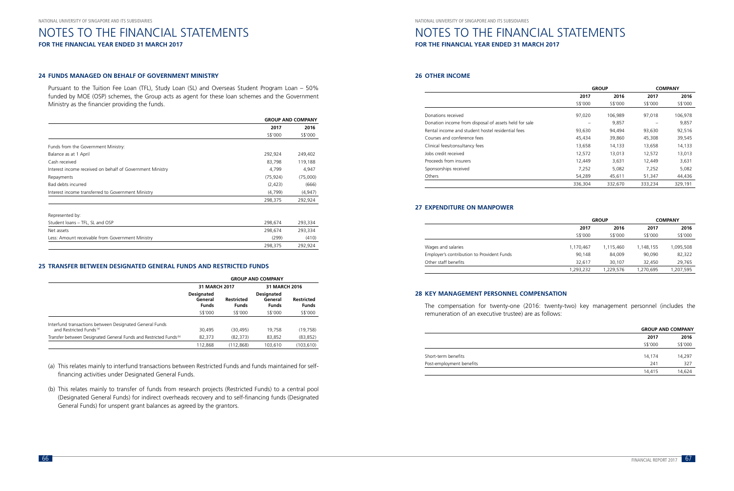#### **24 FUNDS MANAGED ON BEHALF OF GOVERNMENT MINISTRY**

Pursuant to the Tuition Fee Loan (TFL), Study Loan (SL) and Overseas Student Program Loan – 50% funded by MOE (OSP) schemes, the Group acts as agent for these loan schemes and the Government Ministry as the financier providing the funds.

| 2017<br>S\$'000 | 2016<br>S\$'000 |
|-----------------|-----------------|
|                 |                 |
|                 |                 |
|                 |                 |
| 292,924         | 249,402         |
| 83,798          | 119,188         |
| 4,799           | 4,947           |
| (75, 924)       | (75,000)        |
| (2, 423)        | (666)           |
| (4,799)         | (4, 947)        |
| 298,375         | 292.924         |
|                 |                 |

| Represented by:                                  |         |         |
|--------------------------------------------------|---------|---------|
| Student loans - TFL, SL and OSP                  | 298.674 | 293.334 |
| Net assets                                       | 298.674 | 293.334 |
| Less: Amount receivable from Government Ministry | (299)   | (410)   |
|                                                  | 298,375 | 292.924 |

#### **25 TRANSFER BETWEEN DESIGNATED GENERAL FUNDS AND RESTRICTED FUNDS**

|                                                                                                |                                              | <b>GROUP AND COMPANY</b>          |                                              |                                   |  |  |  |
|------------------------------------------------------------------------------------------------|----------------------------------------------|-----------------------------------|----------------------------------------------|-----------------------------------|--|--|--|
|                                                                                                | 31 MARCH 2017                                |                                   | 31 MARCH 2016                                |                                   |  |  |  |
|                                                                                                | <b>Designated</b><br>General<br><b>Funds</b> | <b>Restricted</b><br><b>Funds</b> | <b>Designated</b><br>General<br><b>Funds</b> | <b>Restricted</b><br><b>Funds</b> |  |  |  |
|                                                                                                | S\$'000                                      | S\$'000                           | S\$'000                                      | S\$'000                           |  |  |  |
| Interfund transactions between Designated General Funds<br>and Restricted Funds <sup>(a)</sup> | 30.495                                       | (30, 495)                         | 19.758                                       | (19, 758)                         |  |  |  |
| Transfer between Designated General Funds and Restricted Funds <sup>(b)</sup>                  | 82,373                                       | (82, 373)                         | 83,852                                       | (83, 852)                         |  |  |  |
|                                                                                                | 112,868                                      | (112, 868)                        | 103,610                                      | (103, 610)                        |  |  |  |

(a) This relates mainly to interfund transactions between Restricted Funds and funds maintained for selffinancing activities under Designated General Funds.

(b) This relates mainly to transfer of funds from research projects (Restricted Funds) to a central pool (Designated General Funds) for indirect overheads recovery and to self-financing funds (Designated General Funds) for unspent grant balances as agreed by the grantors.

### NOTES TO THE FINANCIAL STATEMENTS **FOR THE FINANCIAL YEAR ENDED 31 MARCH 2017**

#### **26 OTHER INCOME**

|                                                       |         | <b>GROUP</b><br>COMPANY |         |         |
|-------------------------------------------------------|---------|-------------------------|---------|---------|
|                                                       | 2017    | 2016                    | 2017    | 2016    |
|                                                       | S\$'000 | S\$'000                 | S\$'000 | S\$'000 |
| Donations received                                    | 97.020  | 106.989                 | 97,018  | 106,978 |
| Donation income from disposal of assets held for sale | -       | 9,857                   | $\sim$  | 9,857   |
| Rental income and student hostel residential fees     | 93,630  | 94,494                  | 93,630  | 92,516  |
| Courses and conference fees                           | 45.434  | 39,860                  | 45,308  | 39,545  |
| Clinical fees/consultancy fees                        | 13,658  | 14,133                  | 13,658  | 14,133  |
| Jobs credit received                                  | 12.572  | 13,013                  | 12,572  | 13,013  |
| Proceeds from insurers                                | 12,449  | 3,631                   | 12,449  | 3,631   |
| Sponsorships received                                 | 7.252   | 5.082                   | 7.252   | 5,082   |
| Others                                                | 54.289  | 45.611                  | 51,347  | 44,436  |
|                                                       | 336,304 | 332,670                 | 333,234 | 329,191 |

#### **27 EXPENDITURE ON MANPOWER**

|                                            |           | <b>GROUP</b> |           | <b>COMPANY</b> |  |
|--------------------------------------------|-----------|--------------|-----------|----------------|--|
|                                            | 2017      | 2016         | 2017      | 2016           |  |
|                                            | S\$'000   | S\$'000      | S\$'000   | S\$'000        |  |
| Wages and salaries                         | 1.170.467 | 1,115,460    | 1.148.155 | 1,095,508      |  |
| Employer's contribution to Provident Funds | 90,148    | 84,009       | 90,090    | 82,322         |  |
| Other staff benefits                       | 32,617    | 30,107       | 32,450    | 29,765         |  |
|                                            | 1,293,232 | 1,229,576    | 1,270,695 | 1,207,595      |  |

#### **28 KEY MANAGEMENT PERSONNEL COMPENSATION**

The compensation for twenty-one (2016: twenty-two) key management personnel (includes the remuneration of an executive trustee) are as follows:

|                          |         | <b>GROUP AND COMPANY</b> |
|--------------------------|---------|--------------------------|
|                          | 2017    | 2016                     |
|                          | S\$'000 | S\$'000                  |
| Short-term benefits      | 14,174  | 14,297                   |
| Post-employment benefits | 241     | 327                      |
|                          | 14,415  | 14,624                   |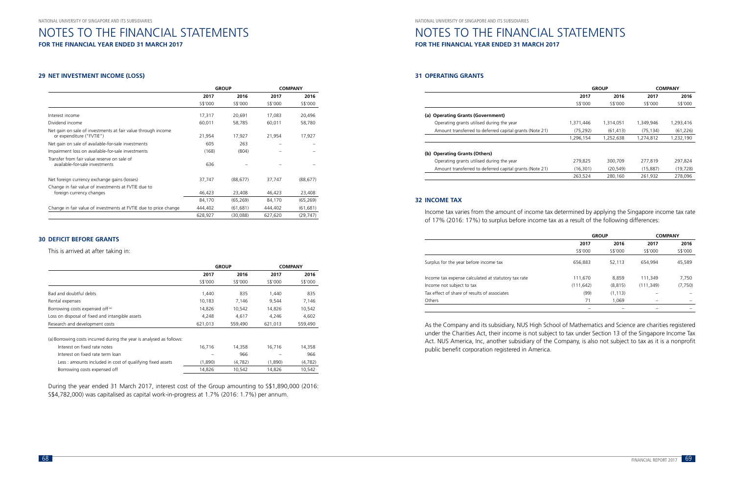#### **29 NET INVESTMENT INCOME (LOSS)**

|                                                                                          |         | <b>GROUP</b><br><b>COMPANY</b> |         |           |
|------------------------------------------------------------------------------------------|---------|--------------------------------|---------|-----------|
|                                                                                          | 2017    | 2016                           | 2017    | 2016      |
|                                                                                          | S\$'000 | S\$'000                        | S\$'000 | S\$'000   |
| Interest income                                                                          | 17,317  | 20,691                         | 17,083  | 20,496    |
| Dividend income                                                                          | 60,011  | 58,785                         | 60,011  | 58,780    |
| Net gain on sale of investments at fair value through income<br>or expenditure ("FVTIE") | 21,954  | 17,927                         | 21,954  | 17,927    |
| Net gain on sale of available-for-sale investments                                       | 605     | 263                            |         |           |
| Impairment loss on available-for-sale investments                                        | (168)   | (804)                          |         |           |
| Transfer from fair value reserve on sale of<br>available-for-sale investments            | 636     |                                |         |           |
| Net foreign currency exchange gains (losses)                                             | 37,747  | (88, 677)                      | 37,747  | (88, 677) |
| Change in fair value of investments at FVTIE due to<br>foreign currency changes          | 46,423  | 23,408                         | 46,423  | 23,408    |
|                                                                                          | 84,170  | (65, 269)                      | 84,170  | (65, 269) |
| Change in fair value of investments at FVTIE due to price change                         | 444,402 | (61, 681)                      | 444,402 | (61, 681) |
|                                                                                          | 628,927 | (30,088)                       | 627,620 | (29, 747) |

#### **30 DEFICIT BEFORE GRANTS**

This is arrived at after taking in:

|                                                                      |         | <b>GROUP</b> |         | COMPANY |  |
|----------------------------------------------------------------------|---------|--------------|---------|---------|--|
|                                                                      | 2017    | 2016         | 2017    | 2016    |  |
|                                                                      | S\$'000 | S\$'000      | S\$'000 | S\$'000 |  |
| Bad and doubtful debts                                               | 1,440   | 835          | 1.440   | 835     |  |
| Rental expenses                                                      | 10,183  | 7,146        | 9,544   | 7,146   |  |
| Borrowing costs expensed off <sup>(a)</sup>                          | 14,826  | 10,542       | 14,826  | 10,542  |  |
| Loss on disposal of fixed and intangible assets                      | 4,248   | 4,617        | 4.246   | 4,602   |  |
| Research and development costs                                       | 621,013 | 559,490      | 621,013 | 559,490 |  |
| (a) Borrowing costs incurred during the year is analysed as follows: |         |              |         |         |  |
| Interest on fixed rate notes                                         | 16,716  | 14,358       | 16,716  | 14,358  |  |
| Interest on fixed rate term loan                                     |         | 966          |         | 966     |  |
| Less: amounts included in cost of qualifying fixed assets            | (1,890) | (4,782)      | (1,890) | (4,782) |  |
| Borrowing costs expensed off                                         | 14,826  | 10,542       | 14,826  | 10,542  |  |
|                                                                      |         |              |         |         |  |

During the year ended 31 March 2017, interest cost of the Group amounting to S\$1,890,000 (2016: S\$4,782,000) was capitalised as capital work-in-progress at 1.7% (2016: 1.7%) per annum.

### NOTES TO THE FINANCIAL STATEMENTS **FOR THE FINANCIAL YEAR ENDED 31 MARCH 2017**

#### **31 OPERATING GRANTS**

|                                                         | <b>GROUP</b> |           | <b>COMPANY</b> |           |
|---------------------------------------------------------|--------------|-----------|----------------|-----------|
|                                                         | 2017         | 2016      | 2017           | 2016      |
|                                                         | S\$'000      | S\$'000   | S\$'000        | S\$'000   |
| (a) Operating Grants (Government)                       |              |           |                |           |
| Operating grants utilised during the year               | 1.371.446    | 1.314.051 | 1.349.946      | 1.293.416 |
| Amount transferred to deferred capital grants (Note 21) | (75, 292)    | (61, 413) | (75, 134)      | (61, 226) |
|                                                         | 1,296,154    | 1,252,638 | 1,274,812      | 1,232,190 |
| (b) Operating Grants (Others)                           |              |           |                |           |
| Operating grants utilised during the year               | 279,825      | 300,709   | 277,819        | 297,824   |
| Amount transferred to deferred capital grants (Note 21) | (16, 301)    | (20, 549) | (15, 887)      | (19, 728) |
|                                                         | 263,524      | 280.160   | 261,932        | 278.096   |
|                                                         |              |           |                |           |

#### **32 INCOME TAX**

Income tax varies from the amount of income tax determined by applying the Singapore income tax rate of 17% (2016: 17%) to surplus before income tax as a result of the following differences:

|                                                     | <b>GROUP</b> |          | <b>COMPANY</b> |          |
|-----------------------------------------------------|--------------|----------|----------------|----------|
|                                                     | 2017         | 2016     | 2017           | 2016     |
|                                                     | S\$'000      | S\$'000  | S\$'000        | S\$'000  |
| Surplus for the year before income tax              | 656,883      | 52,113   | 654.994        | 45,589   |
| Income tax expense calculated at statutory tax rate | 111,670      | 8,859    | 111,349        | 7,750    |
| Income not subject to tax                           | (111, 642)   | (8, 815) | (111, 349)     | (7, 750) |
| Tax effect of share of results of associates        | (99)         | (1, 113) |                |          |
| Others                                              | 71           | 1.069    |                |          |
|                                                     |              |          |                |          |

As the Company and its subsidiary, NUS High School of Mathematics and Science are charities registered under the Charities Act, their income is not subject to tax under Section 13 of the Singapore Income Tax Act. NUS America, Inc, another subsidiary of the Company, is also not subject to tax as it is a nonprofit public benefit corporation registered in America.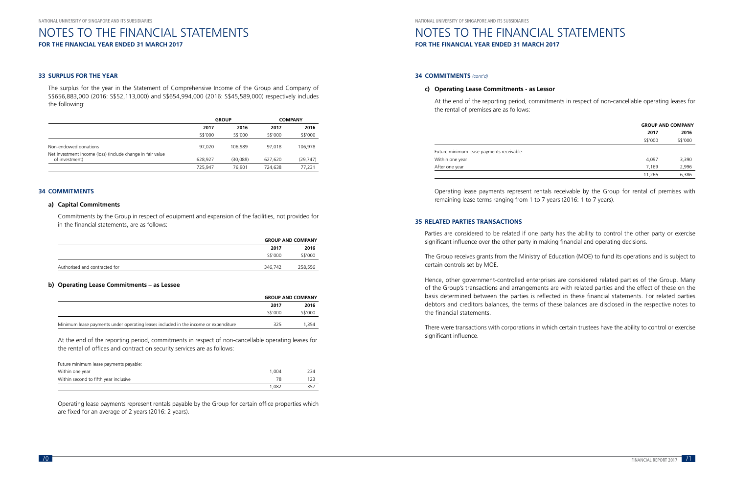#### **33 SURPLUS FOR THE YEAR**

The surplus for the year in the Statement of Comprehensive Income of the Group and Company of S\$656,883,000 (2016: S\$52,113,000) and S\$654,994,000 (2016: S\$45,589,000) respectively includes the following:

|                                                                              | <b>GROUP</b> |          | <b>COMPANY</b> |           |
|------------------------------------------------------------------------------|--------------|----------|----------------|-----------|
|                                                                              | 2017         | 2016     | 2017           | 2016      |
|                                                                              | S\$'000      | S\$'000  | S\$'000        | S\$'000   |
| Non-endowed donations                                                        | 97.020       | 106.989  | 97.018         | 106.978   |
| Net investment income (loss) (include change in fair value<br>of investment) | 628.927      | (30,088) | 627.620        | (29, 747) |
|                                                                              | 725.947      | 76.901   | 724,638        | 77.231    |

#### **34 COMMITMENTS**

#### **a) Capital Commitments**

Commitments by the Group in respect of equipment and expansion of the facilities, not provided for in the financial statements, are as follows:

|                               |         | <b>GROUP AND COMPANY</b> |  |
|-------------------------------|---------|--------------------------|--|
|                               | 2017    | 2016                     |  |
|                               | S\$'000 | S\$'000                  |  |
| Authorised and contracted for | 346.742 | 258,556                  |  |

#### **b) Operating Lease Commitments – as Lessee**

|                                                                                     | <b>GROUP AND COMPANY</b> |         |
|-------------------------------------------------------------------------------------|--------------------------|---------|
|                                                                                     | 2017                     | 2016    |
|                                                                                     | S\$'000                  | S\$'000 |
| Minimum lease payments under operating leases included in the income or expenditure | 325                      | 1.354   |

At the end of the reporting period, commitments in respect of non-cancellable operating leases for the rental of offices and contract on security services are as follows:

| Future minimum lease payments payable: |       |     |
|----------------------------------------|-------|-----|
| Within one year                        | 1.004 | 234 |
| Within second to fifth year inclusive  | 78    |     |
|                                        | 1.082 | 357 |

Operating lease payments represent rentals payable by the Group for certain office properties which are fixed for an average of 2 years (2016: 2 years).

### NOTES TO THE FINANCIAL STATEMENTS **FOR THE FINANCIAL YEAR ENDED 31 MARCH 2017**

#### **34 COMMITMENTS** *(cont'd)*

#### **c) Operating Lease Commitments - as Lessor**

At the end of the reporting period, commitments in respect of non-cancellable operating leases for the rental of premises are as follows:

|                                           |         | <b>GROUP AND COMPANY</b> |  |
|-------------------------------------------|---------|--------------------------|--|
|                                           | 2017    | 2016                     |  |
|                                           | S\$'000 | S\$'000                  |  |
| Future minimum lease payments receivable: |         |                          |  |
| Within one year                           | 4,097   | 3,390                    |  |
| After one year                            | 7.169   | 2,996                    |  |
|                                           | 11,266  | 6,386                    |  |

Operating lease payments represent rentals receivable by the Group for rental of premises with remaining lease terms ranging from 1 to 7 years (2016: 1 to 7 years).

#### **35 RELATED PARTIES TRANSACTIONS**

Parties are considered to be related if one party has the ability to control the other party or exercise significant influence over the other party in making financial and operating decisions.

The Group receives grants from the Ministry of Education (MOE) to fund its operations and is subject to certain controls set by MOE.

Hence, other government-controlled enterprises are considered related parties of the Group. Many of the Group's transactions and arrangements are with related parties and the effect of these on the basis determined between the parties is reflected in these financial statements. For related parties debtors and creditors balances, the terms of these balances are disclosed in the respective notes to the financial statements.

There were transactions with corporations in which certain trustees have the ability to control or exercise significant influence.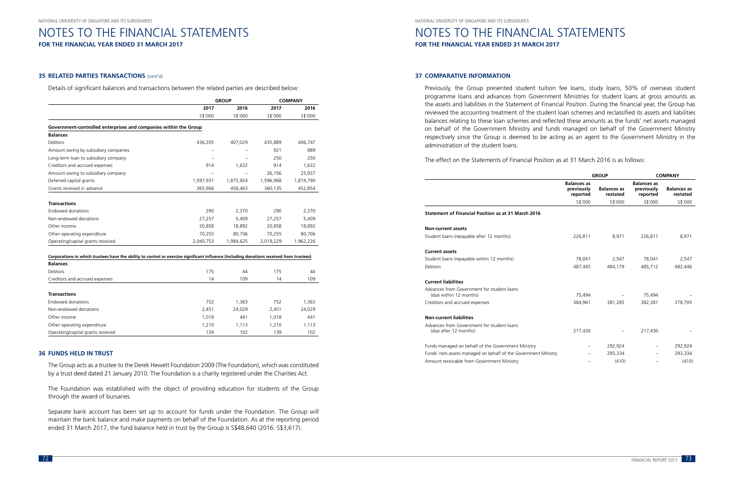#### **35 RELATED PARTIES TRANSACTIONS** *(cont'd)*

Details of significant balances and transactions between the related parties are described below:

|                                                                                                                                                              |           | <b>GROUP</b> |           | <b>COMPANY</b> |  |
|--------------------------------------------------------------------------------------------------------------------------------------------------------------|-----------|--------------|-----------|----------------|--|
|                                                                                                                                                              | 2017      | 2016         | 2017      | 2016           |  |
|                                                                                                                                                              | S\$'000   | S\$'000      | S\$'000   | S\$'000        |  |
| Government-controlled enterprises and companies within the Group                                                                                             |           |              |           |                |  |
| <b>Balances</b>                                                                                                                                              |           |              |           |                |  |
| Debtors                                                                                                                                                      | 436,205   | 407,029      | 435,889   | 406,747        |  |
| Amount owing by subsidiary companies                                                                                                                         |           |              | 921       | 889            |  |
| Long-term loan to subsidiary company                                                                                                                         | -         |              | 250       | 250            |  |
| Creditors and accrued expenses                                                                                                                               | 914       | 1,632        | 914       | 1,632          |  |
| Amount owing to subsidiary company                                                                                                                           |           |              | 26,156    | 25,937         |  |
| Deferred capital grants                                                                                                                                      | 1,597,937 | 1,875,924    | 1,596,968 | 1,874,790      |  |
| Grants received in advance                                                                                                                                   | 365,906   | 458,463      | 360,135   | 452,854        |  |
| <b>Transactions</b>                                                                                                                                          |           |              |           |                |  |
| Endowed donations                                                                                                                                            | 290       | 2,370        | 290       | 2,370          |  |
| Non-endowed donations                                                                                                                                        | 27,257    | 5,409        | 27,257    | 5,409          |  |
| Other income                                                                                                                                                 | 20,858    | 18,892       | 20,858    | 18,892         |  |
| Other operating expenditure                                                                                                                                  | 70,255    | 80,706       | 70,255    | 80,706         |  |
| Operating/capital grants received                                                                                                                            | 2,040,753 | 1,984,625    | 2,019,229 | 1,962,226      |  |
|                                                                                                                                                              |           |              |           |                |  |
| Corporations in which trustees have the ability to control or exercise significant influence (including donations received from trustees)<br><b>Balances</b> |           |              |           |                |  |
| Debtors                                                                                                                                                      | 175       | 44           | 175       | 44             |  |
| Creditors and accrued expenses                                                                                                                               | 14        | 109          | 14        | 109            |  |
| <b>Transactions</b>                                                                                                                                          |           |              |           |                |  |
|                                                                                                                                                              |           |              |           |                |  |
| <b>Endowed donations</b>                                                                                                                                     | 752       | 1,363        | 752       | 1,363          |  |
| Non-endowed donations                                                                                                                                        | 2,451     | 24,029       | 2,451     | 24,029         |  |
| Other income                                                                                                                                                 | 1,018     | 441          | 1,018     | 441            |  |
| Other operating expenditure                                                                                                                                  | 1,210     | 1,113        | 1,210     | 1,113          |  |
| Operating/capital grants received                                                                                                                            | 139       | 102          | 139       | 102            |  |

#### **36 FUNDS HELD IN TRUST**

The Group acts as a trustee to the Derek Hewett Foundation 2009 (The Foundation), which was constituted by a trust deed dated 21 January 2010. The Foundation is a charity registered under the Charities Act.

The Foundation was established with the object of providing education for students of the Group through the award of bursaries.

Separate bank account has been set up to account for funds under the Foundation. The Group will maintain the bank balance and make payments on behalf of the Foundation. As at the reporting period ended 31 March 2017, the fund balance held in trust by the Group is S\$48,640 (2016: S\$3,617).

### NOTES TO THE FINANCIAL STATEMENTS **FOR THE FINANCIAL YEAR ENDED 31 MARCH 2017**

#### **37 COMPARATIVE INFORMATION**

Previously, the Group presented student tuition fee loans, study loans, 50% of overseas student programme loans and advances from Government Ministries for student loans at gross amounts as the assets and liabilities in the Statement of Financial Position. During the financial year, the Group has reviewed the accounting treatment of the student loan schemes and reclassified its assets and liabilities balances relating to these loan schemes and reflected these amounts as the funds' net assets managed on behalf of the Government Ministry and funds managed on behalf of the Government Ministry respectively since the Group is deemed to be acting as an agent to the Government Ministry in the administration of the student loans.

The effect on the Statements of Financial Position as at 31 March 2016 is as follows:

| <b>Balances as</b>     |                                |                                              | <b>COMPANY</b>                 |  |
|------------------------|--------------------------------|----------------------------------------------|--------------------------------|--|
| previously<br>reported | <b>Balances as</b><br>restated | <b>Balances</b> as<br>previously<br>reported | <b>Balances</b> as<br>restated |  |
| S\$'000                | S\$'000                        | S\$'000                                      | S\$'000                        |  |
|                        |                                |                                              |                                |  |
|                        |                                |                                              |                                |  |
| 226,811                | 8,971                          | 226,811                                      | 8,971                          |  |
|                        |                                |                                              |                                |  |
| 78,041                 | 2,547                          | 78,041                                       | 2,547                          |  |
| 487,445                | 484,179                        | 485.712                                      | 482,446                        |  |
|                        |                                |                                              |                                |  |
| 75.494                 |                                | 75,494                                       |                                |  |
| 384,961                | 381,285                        | 382,381                                      | 378,705                        |  |
|                        |                                |                                              |                                |  |
| 217,430                |                                | 217,430                                      |                                |  |
|                        | 292,924                        |                                              | 292,924                        |  |
|                        | 293,334                        |                                              | 293,334                        |  |
|                        | (410)                          |                                              | (410)                          |  |
|                        |                                |                                              |                                |  |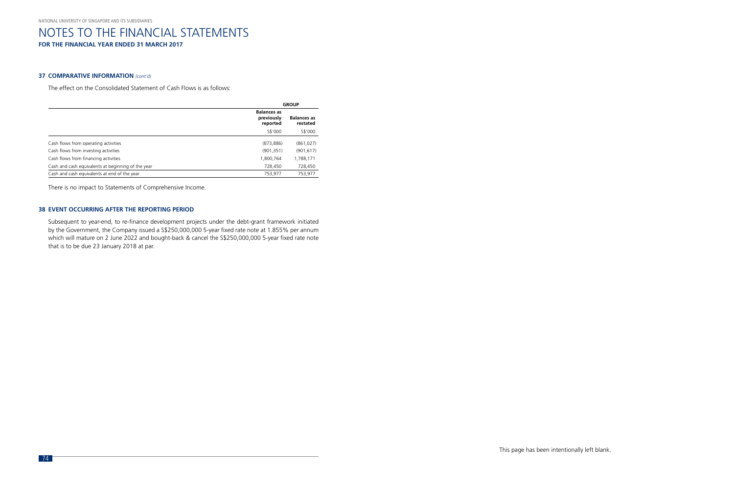#### **37 COMPARATIVE INFORMATION** *(cont'd)*

The effect on the Consolidated Statement of Cash Flows is as follows:

|                                                    |                                              | <b>GROUP</b>                   |  |  |
|----------------------------------------------------|----------------------------------------------|--------------------------------|--|--|
|                                                    | <b>Balances as</b><br>previously<br>reported | <b>Balances as</b><br>restated |  |  |
|                                                    | S\$'000                                      | S\$'000                        |  |  |
| Cash flows from operating activities               | (873, 886)                                   | (861, 027)                     |  |  |
| Cash flows from investing activities               | (901, 351)                                   | (901, 617)                     |  |  |
| Cash flows from financing activities               | 1,800,764                                    | 1,788,171                      |  |  |
| Cash and cash equivalents at beginning of the year | 728,450                                      | 728,450                        |  |  |
| Cash and cash equivalents at end of the year       | 753,977                                      | 753,977                        |  |  |

There is no impact to Statements of Comprehensive Income.

#### **38 EVENT OCCURRING AFTER THE REPORTING PERIOD**

Subsequent to year-end, to re-finance development projects under the debt-grant framework initiated by the Government, the Company issued a S\$250,000,000 5-year fixed rate note at 1.855% per annum which will mature on 2 June 2022 and bought-back & cancel the S\$250,000,000 5-year fixed rate note that is to be due 23 January 2018 at par.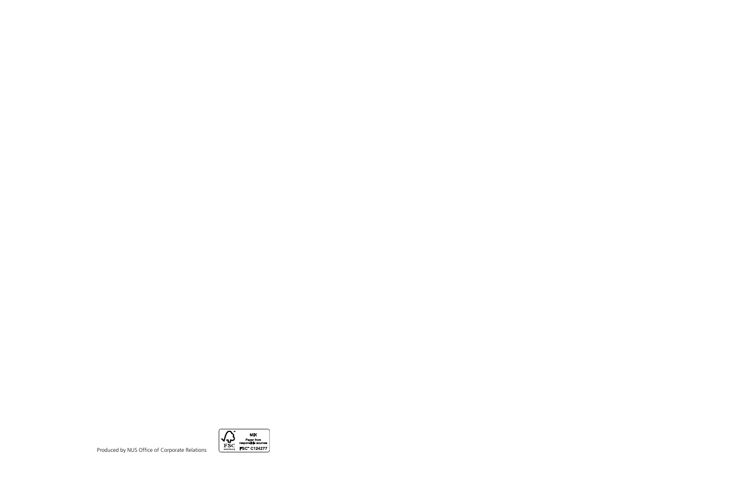